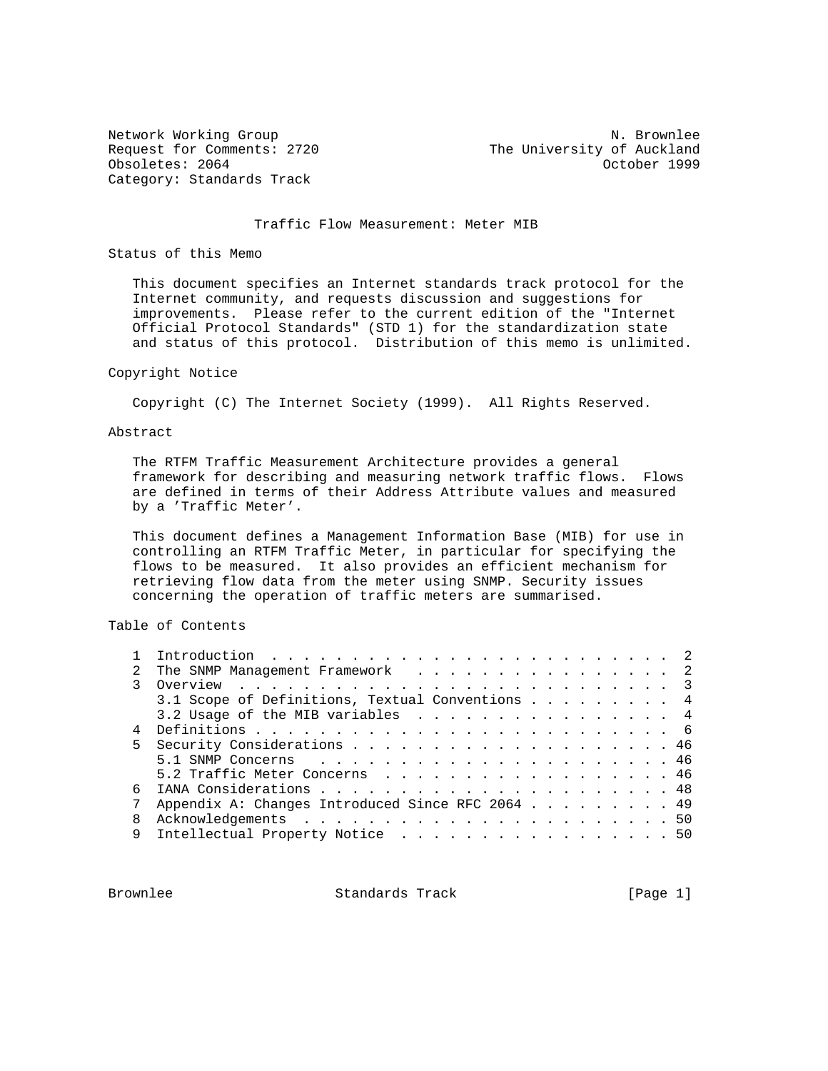Category: Standards Track

Network Working Group Network Months and Museum N. Brownlee Request for Comments: 2720 The University of Auckland Obsoletes: 2064 October 1999

#### Traffic Flow Measurement: Meter MIB

Status of this Memo

 This document specifies an Internet standards track protocol for the Internet community, and requests discussion and suggestions for improvements. Please refer to the current edition of the "Internet Official Protocol Standards" (STD 1) for the standardization state and status of this protocol. Distribution of this memo is unlimited.

# Copyright Notice

Copyright (C) The Internet Society (1999). All Rights Reserved.

### Abstract

 The RTFM Traffic Measurement Architecture provides a general framework for describing and measuring network traffic flows. Flows are defined in terms of their Address Attribute values and measured by a 'Traffic Meter'.

 This document defines a Management Information Base (MIB) for use in controlling an RTFM Traffic Meter, in particular for specifying the flows to be measured. It also provides an efficient mechanism for retrieving flow data from the meter using SNMP. Security issues concerning the operation of traffic meters are summarised.

Table of Contents

|                | The SNMP Management Framework 2                  |
|----------------|--------------------------------------------------|
|                |                                                  |
|                | 3.1 Scope of Definitions, Textual Conventions 4  |
|                | 3.2 Usage of the MIB variables 4                 |
| $\overline{4}$ |                                                  |
|                |                                                  |
|                |                                                  |
|                | 5.2 Traffic Meter Concerns 46                    |
| ნ.             |                                                  |
|                | Appendix A: Changes Introduced Since RFC 2064 49 |
|                |                                                  |
| 9              | Intellectual Property Notice 50                  |
|                |                                                  |

Brownlee Standards Track [Page 1]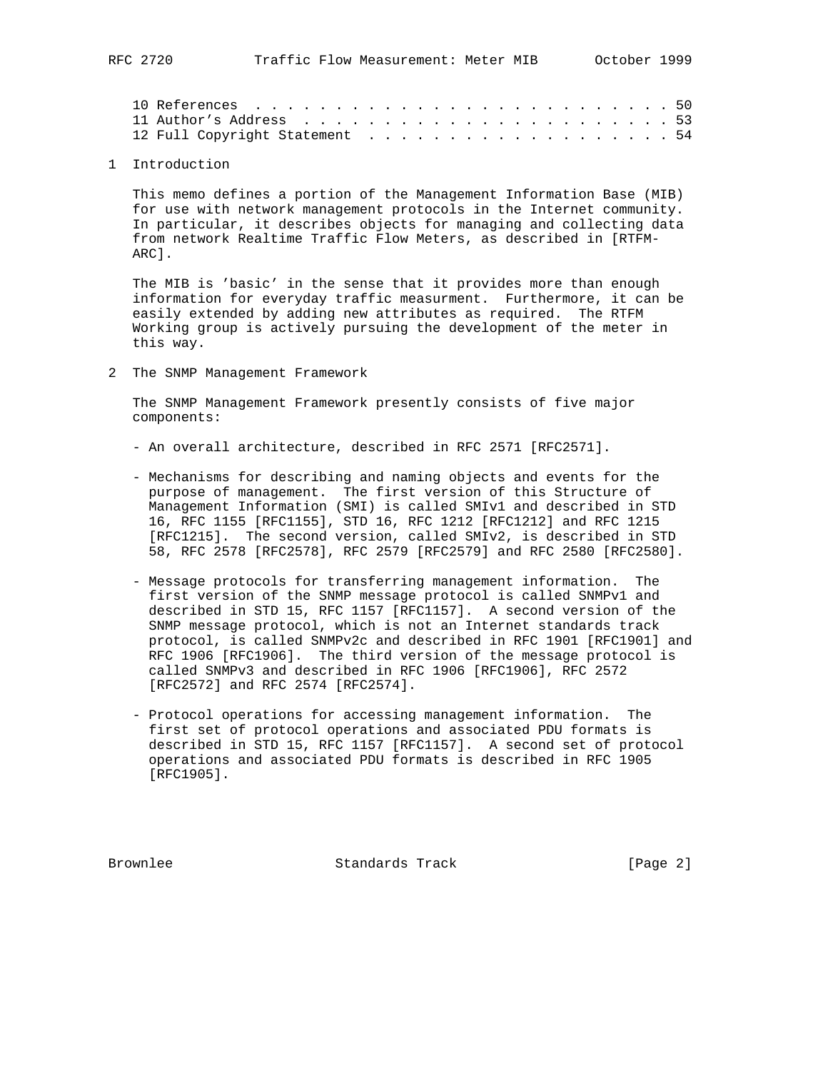### 1 Introduction

 This memo defines a portion of the Management Information Base (MIB) for use with network management protocols in the Internet community. In particular, it describes objects for managing and collecting data from network Realtime Traffic Flow Meters, as described in [RTFM- ARC].

 The MIB is 'basic' in the sense that it provides more than enough information for everyday traffic measurment. Furthermore, it can be easily extended by adding new attributes as required. The RTFM Working group is actively pursuing the development of the meter in this way.

2 The SNMP Management Framework

 The SNMP Management Framework presently consists of five major components:

- An overall architecture, described in RFC 2571 [RFC2571].
- Mechanisms for describing and naming objects and events for the purpose of management. The first version of this Structure of Management Information (SMI) is called SMIv1 and described in STD 16, RFC 1155 [RFC1155], STD 16, RFC 1212 [RFC1212] and RFC 1215 [RFC1215]. The second version, called SMIv2, is described in STD 58, RFC 2578 [RFC2578], RFC 2579 [RFC2579] and RFC 2580 [RFC2580].
- Message protocols for transferring management information. The first version of the SNMP message protocol is called SNMPv1 and described in STD 15, RFC 1157 [RFC1157]. A second version of the SNMP message protocol, which is not an Internet standards track protocol, is called SNMPv2c and described in RFC 1901 [RFC1901] and RFC 1906 [RFC1906]. The third version of the message protocol is called SNMPv3 and described in RFC 1906 [RFC1906], RFC 2572 [RFC2572] and RFC 2574 [RFC2574].
- Protocol operations for accessing management information. The first set of protocol operations and associated PDU formats is described in STD 15, RFC 1157 [RFC1157]. A second set of protocol operations and associated PDU formats is described in RFC 1905 [RFC1905].

Brownlee Standards Track [Page 2]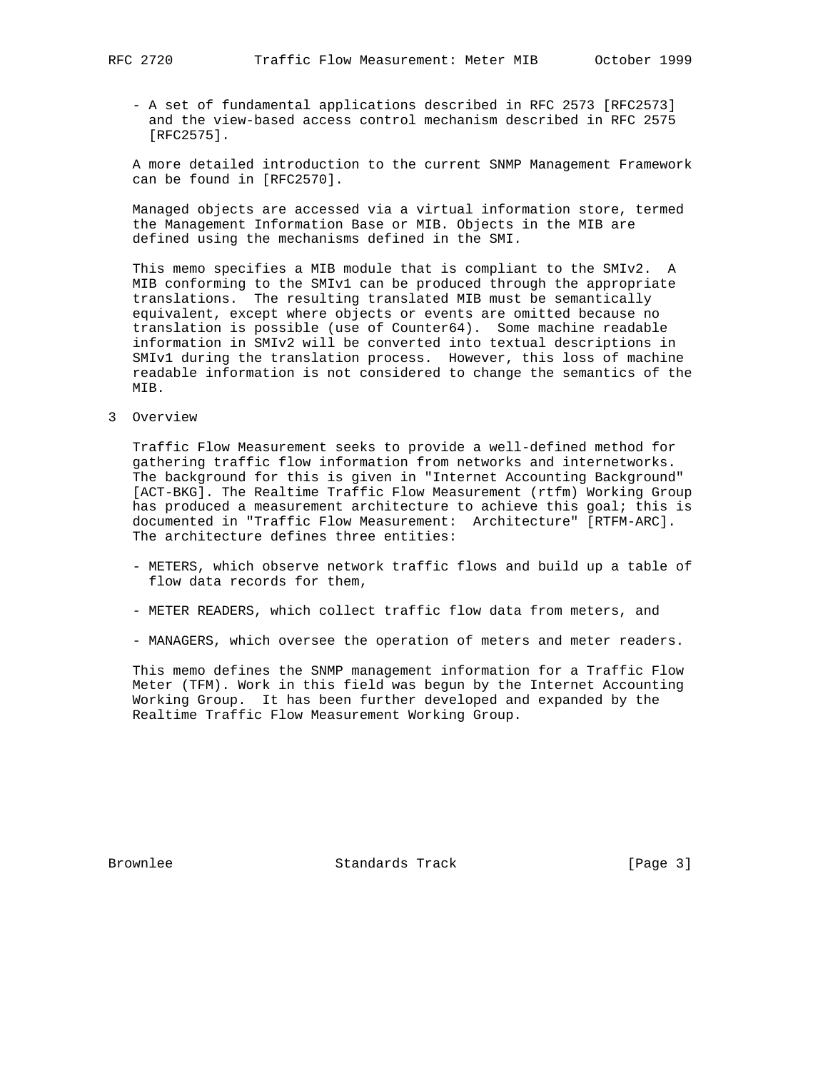- A set of fundamental applications described in RFC 2573 [RFC2573] and the view-based access control mechanism described in RFC 2575 [RFC2575].

 A more detailed introduction to the current SNMP Management Framework can be found in [RFC2570].

 Managed objects are accessed via a virtual information store, termed the Management Information Base or MIB. Objects in the MIB are defined using the mechanisms defined in the SMI.

 This memo specifies a MIB module that is compliant to the SMIv2. A MIB conforming to the SMIv1 can be produced through the appropriate translations. The resulting translated MIB must be semantically equivalent, except where objects or events are omitted because no translation is possible (use of Counter64). Some machine readable information in SMIv2 will be converted into textual descriptions in SMIv1 during the translation process. However, this loss of machine readable information is not considered to change the semantics of the MIB.

3 Overview

 Traffic Flow Measurement seeks to provide a well-defined method for gathering traffic flow information from networks and internetworks. The background for this is given in "Internet Accounting Background" [ACT-BKG]. The Realtime Traffic Flow Measurement (rtfm) Working Group has produced a measurement architecture to achieve this goal; this is documented in "Traffic Flow Measurement: Architecture" [RTFM-ARC]. The architecture defines three entities:

- METERS, which observe network traffic flows and build up a table of flow data records for them,
- METER READERS, which collect traffic flow data from meters, and
- MANAGERS, which oversee the operation of meters and meter readers.

 This memo defines the SNMP management information for a Traffic Flow Meter (TFM). Work in this field was begun by the Internet Accounting Working Group. It has been further developed and expanded by the Realtime Traffic Flow Measurement Working Group.

Brownlee Standards Track [Page 3]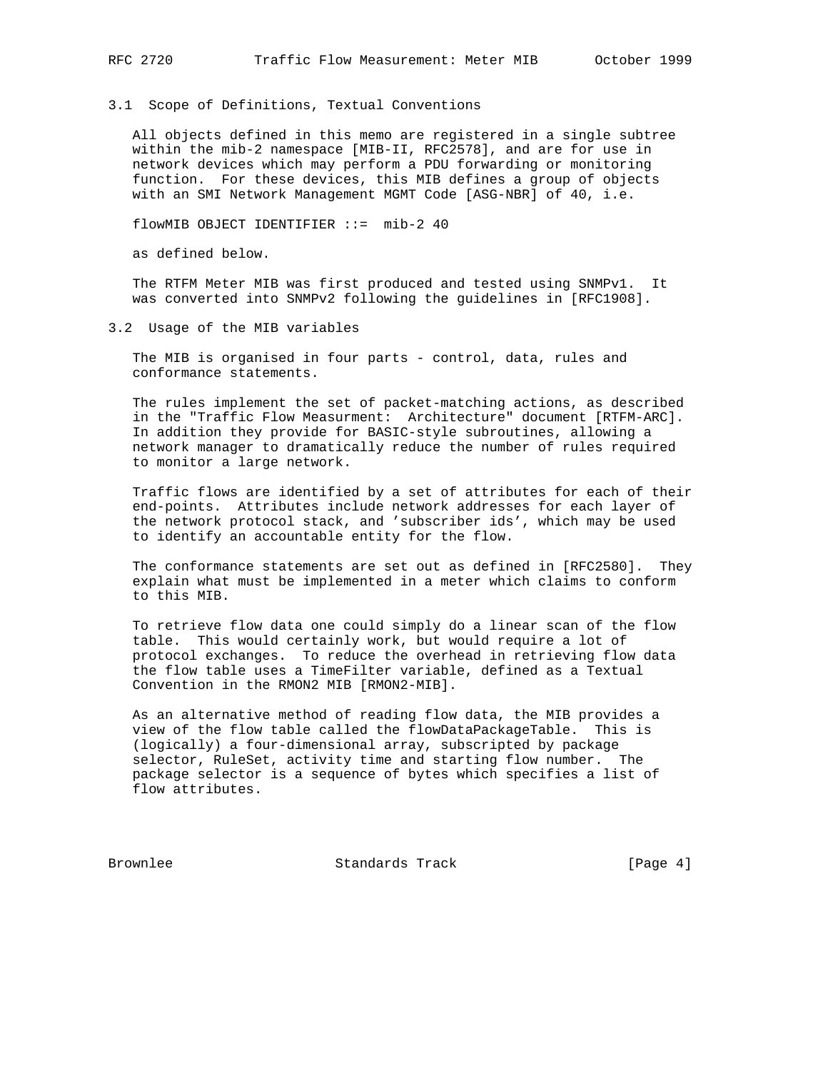3.1 Scope of Definitions, Textual Conventions

 All objects defined in this memo are registered in a single subtree within the mib-2 namespace [MIB-II, RFC2578], and are for use in network devices which may perform a PDU forwarding or monitoring function. For these devices, this MIB defines a group of objects with an SMI Network Management MGMT Code [ASG-NBR] of 40, i.e.

flowMIB OBJECT IDENTIFIER ::= mib-2 40

as defined below.

 The RTFM Meter MIB was first produced and tested using SNMPv1. It was converted into SNMPv2 following the guidelines in [RFC1908].

3.2 Usage of the MIB variables

The MIB is organised in four parts - control, data, rules and conformance statements.

 The rules implement the set of packet-matching actions, as described in the "Traffic Flow Measurment: Architecture" document [RTFM-ARC]. In addition they provide for BASIC-style subroutines, allowing a network manager to dramatically reduce the number of rules required to monitor a large network.

 Traffic flows are identified by a set of attributes for each of their end-points. Attributes include network addresses for each layer of the network protocol stack, and 'subscriber ids', which may be used to identify an accountable entity for the flow.

 The conformance statements are set out as defined in [RFC2580]. They explain what must be implemented in a meter which claims to conform to this MIB.

 To retrieve flow data one could simply do a linear scan of the flow table. This would certainly work, but would require a lot of protocol exchanges. To reduce the overhead in retrieving flow data the flow table uses a TimeFilter variable, defined as a Textual Convention in the RMON2 MIB [RMON2-MIB].

 As an alternative method of reading flow data, the MIB provides a view of the flow table called the flowDataPackageTable. This is (logically) a four-dimensional array, subscripted by package selector, RuleSet, activity time and starting flow number. The package selector is a sequence of bytes which specifies a list of flow attributes.

Brownlee Standards Track [Page 4]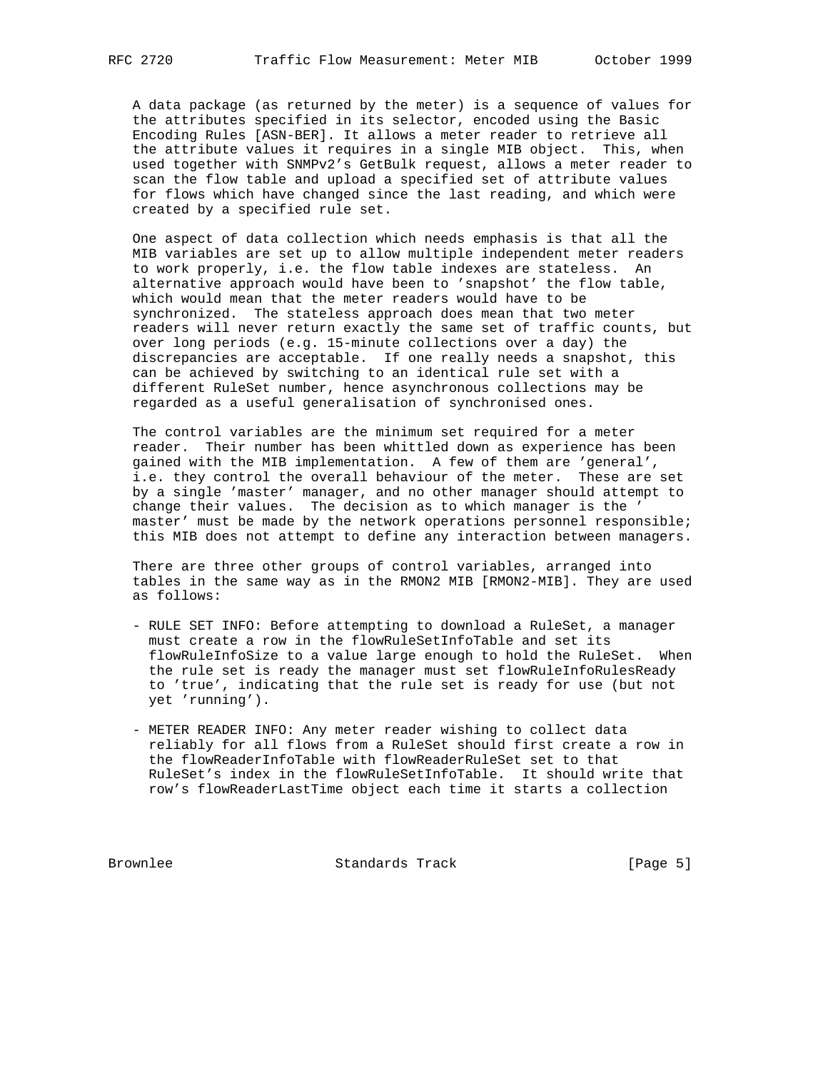A data package (as returned by the meter) is a sequence of values for the attributes specified in its selector, encoded using the Basic Encoding Rules [ASN-BER]. It allows a meter reader to retrieve all the attribute values it requires in a single MIB object. This, when used together with SNMPv2's GetBulk request, allows a meter reader to scan the flow table and upload a specified set of attribute values for flows which have changed since the last reading, and which were created by a specified rule set.

 One aspect of data collection which needs emphasis is that all the MIB variables are set up to allow multiple independent meter readers to work properly, i.e. the flow table indexes are stateless. An alternative approach would have been to 'snapshot' the flow table, which would mean that the meter readers would have to be synchronized. The stateless approach does mean that two meter readers will never return exactly the same set of traffic counts, but over long periods (e.g. 15-minute collections over a day) the discrepancies are acceptable. If one really needs a snapshot, this can be achieved by switching to an identical rule set with a different RuleSet number, hence asynchronous collections may be regarded as a useful generalisation of synchronised ones.

 The control variables are the minimum set required for a meter reader. Their number has been whittled down as experience has been gained with the MIB implementation. A few of them are 'general', i.e. they control the overall behaviour of the meter. These are set by a single 'master' manager, and no other manager should attempt to change their values. The decision as to which manager is the ' master' must be made by the network operations personnel responsible; this MIB does not attempt to define any interaction between managers.

 There are three other groups of control variables, arranged into tables in the same way as in the RMON2 MIB [RMON2-MIB]. They are used as follows:

- RULE SET INFO: Before attempting to download a RuleSet, a manager must create a row in the flowRuleSetInfoTable and set its flowRuleInfoSize to a value large enough to hold the RuleSet. When the rule set is ready the manager must set flowRuleInfoRulesReady to 'true', indicating that the rule set is ready for use (but not yet 'running').
- METER READER INFO: Any meter reader wishing to collect data reliably for all flows from a RuleSet should first create a row in the flowReaderInfoTable with flowReaderRuleSet set to that RuleSet's index in the flowRuleSetInfoTable. It should write that row's flowReaderLastTime object each time it starts a collection

Brownlee Standards Track [Page 5]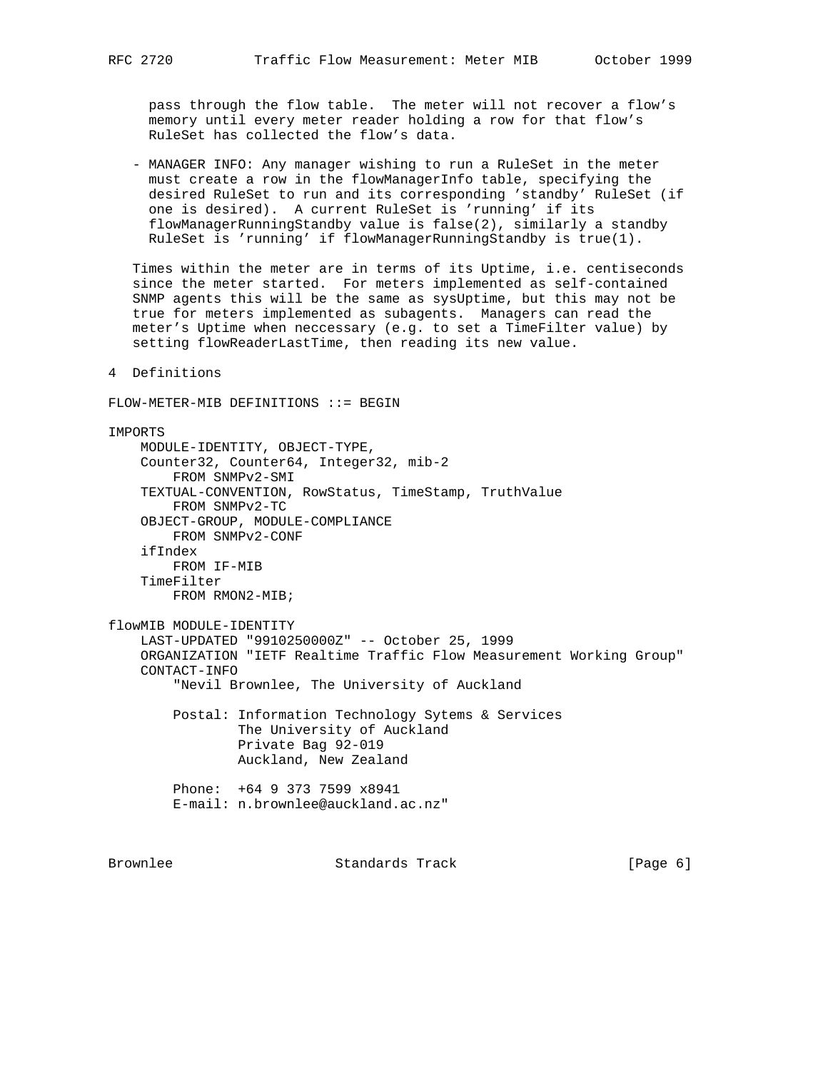pass through the flow table. The meter will not recover a flow's memory until every meter reader holding a row for that flow's RuleSet has collected the flow's data.

 - MANAGER INFO: Any manager wishing to run a RuleSet in the meter must create a row in the flowManagerInfo table, specifying the desired RuleSet to run and its corresponding 'standby' RuleSet (if one is desired). A current RuleSet is 'running' if its flowManagerRunningStandby value is false(2), similarly a standby RuleSet is 'running' if flowManagerRunningStandby is true(1).

 Times within the meter are in terms of its Uptime, i.e. centiseconds since the meter started. For meters implemented as self-contained SNMP agents this will be the same as sysUptime, but this may not be true for meters implemented as subagents. Managers can read the meter's Uptime when neccessary (e.g. to set a TimeFilter value) by setting flowReaderLastTime, then reading its new value.

4 Definitions

FLOW-METER-MIB DEFINITIONS ::= BEGIN

IMPORTS MODULE-IDENTITY, OBJECT-TYPE, Counter32, Counter64, Integer32, mib-2 FROM SNMPv2-SMI TEXTUAL-CONVENTION, RowStatus, TimeStamp, TruthValue FROM SNMPv2-TC OBJECT-GROUP, MODULE-COMPLIANCE FROM SNMPv2-CONF ifIndex FROM IF-MIB TimeFilter FROM RMON2-MIB; flowMIB MODULE-IDENTITY LAST-UPDATED "9910250000Z" -- October 25, 1999 ORGANIZATION "IETF Realtime Traffic Flow Measurement Working Group" CONTACT-INFO "Nevil Brownlee, The University of Auckland Postal: Information Technology Sytems & Services The University of Auckland

> Private Bag 92-019 Auckland, New Zealand Phone: +64 9 373 7599 x8941

E-mail: n.brownlee@auckland.ac.nz"

Brownlee Standards Track [Page 6]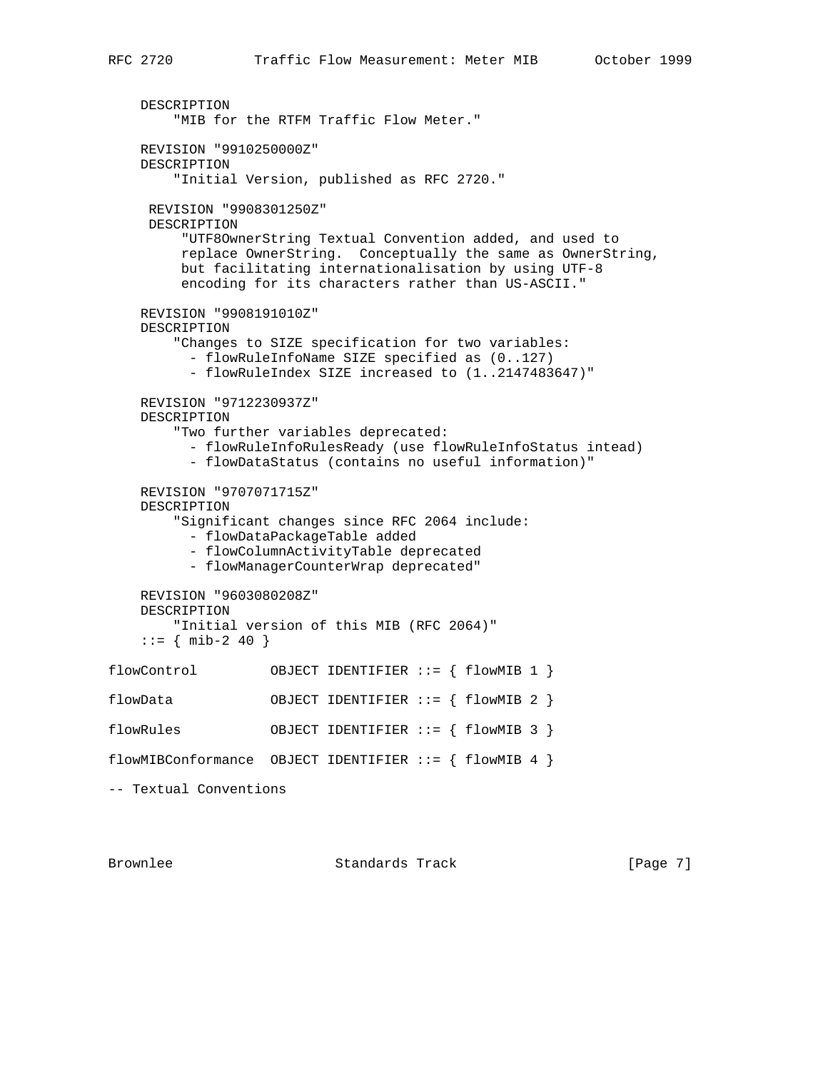```
 DESCRIPTION
         "MIB for the RTFM Traffic Flow Meter."
     REVISION "9910250000Z"
     DESCRIPTION
         "Initial Version, published as RFC 2720."
     REVISION "9908301250Z"
      DESCRIPTION
          "UTF8OwnerString Textual Convention added, and used to
          replace OwnerString. Conceptually the same as OwnerString,
          but facilitating internationalisation by using UTF-8
          encoding for its characters rather than US-ASCII."
     REVISION "9908191010Z"
     DESCRIPTION
         "Changes to SIZE specification for two variables:
           - flowRuleInfoName SIZE specified as (0..127)
           - flowRuleIndex SIZE increased to (1..2147483647)"
     REVISION "9712230937Z"
     DESCRIPTION
         "Two further variables deprecated:
           - flowRuleInfoRulesReady (use flowRuleInfoStatus intead)
           - flowDataStatus (contains no useful information)"
     REVISION "9707071715Z"
     DESCRIPTION
         "Significant changes since RFC 2064 include:
           - flowDataPackageTable added
           - flowColumnActivityTable deprecated
           - flowManagerCounterWrap deprecated"
     REVISION "9603080208Z"
     DESCRIPTION
         "Initial version of this MIB (RFC 2064)"
    ::= { mib-2 40 }
flowControl OBJECT IDENTIFIER ::= { flowMIB 1 }
flowData OBJECT IDENTIFIER ::= { flowMIB 2 }
flowRules 0BJECT IDENTIFIER ::= { flowMIB 3 }
flowMIBConformance OBJECT IDENTIFIER ::= { flowMIB 4 }
-- Textual Conventions
```
Brownlee Standards Track [Page 7]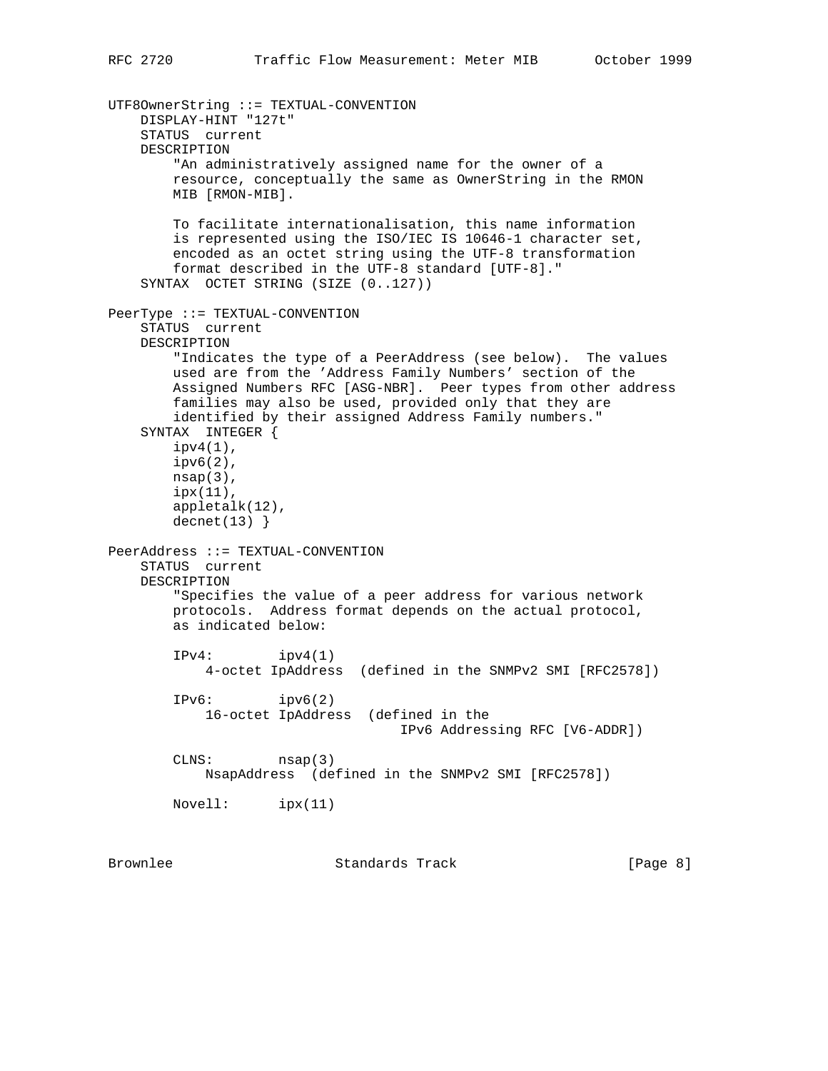```
UTF8OwnerString ::= TEXTUAL-CONVENTION
    DISPLAY-HINT "127t"
     STATUS current
    DESCRIPTION
         "An administratively assigned name for the owner of a
        resource, conceptually the same as OwnerString in the RMON
        MIB [RMON-MIB].
        To facilitate internationalisation, this name information
        is represented using the ISO/IEC IS 10646-1 character set,
        encoded as an octet string using the UTF-8 transformation
        format described in the UTF-8 standard [UTF-8]."
     SYNTAX OCTET STRING (SIZE (0..127))
PeerType ::= TEXTUAL-CONVENTION
     STATUS current
    DESCRIPTION
         "Indicates the type of a PeerAddress (see below). The values
        used are from the 'Address Family Numbers' section of the
        Assigned Numbers RFC [ASG-NBR]. Peer types from other address
        families may also be used, provided only that they are
         identified by their assigned Address Family numbers."
     SYNTAX INTEGER {
        ipv4(1),
         ipv6(2),
       nsap(3),
        ipx(11),
        appletalk(12),
       decnet(13)}
PeerAddress ::= TEXTUAL-CONVENTION
     STATUS current
    DESCRIPTION
         "Specifies the value of a peer address for various network
        protocols. Address format depends on the actual protocol,
        as indicated below:
        IPv4: ipv4(1) 4-octet IpAddress (defined in the SNMPv2 SMI [RFC2578])
         IPv6: ipv6(2)
            16-octet IpAddress (defined in the
                                     IPv6 Addressing RFC [V6-ADDR])
        CLNS: nsap(3)
            NsapAddress (defined in the SNMPv2 SMI [RFC2578])
        Novell: ipx(11)
```
Brownlee Standards Track [Page 8]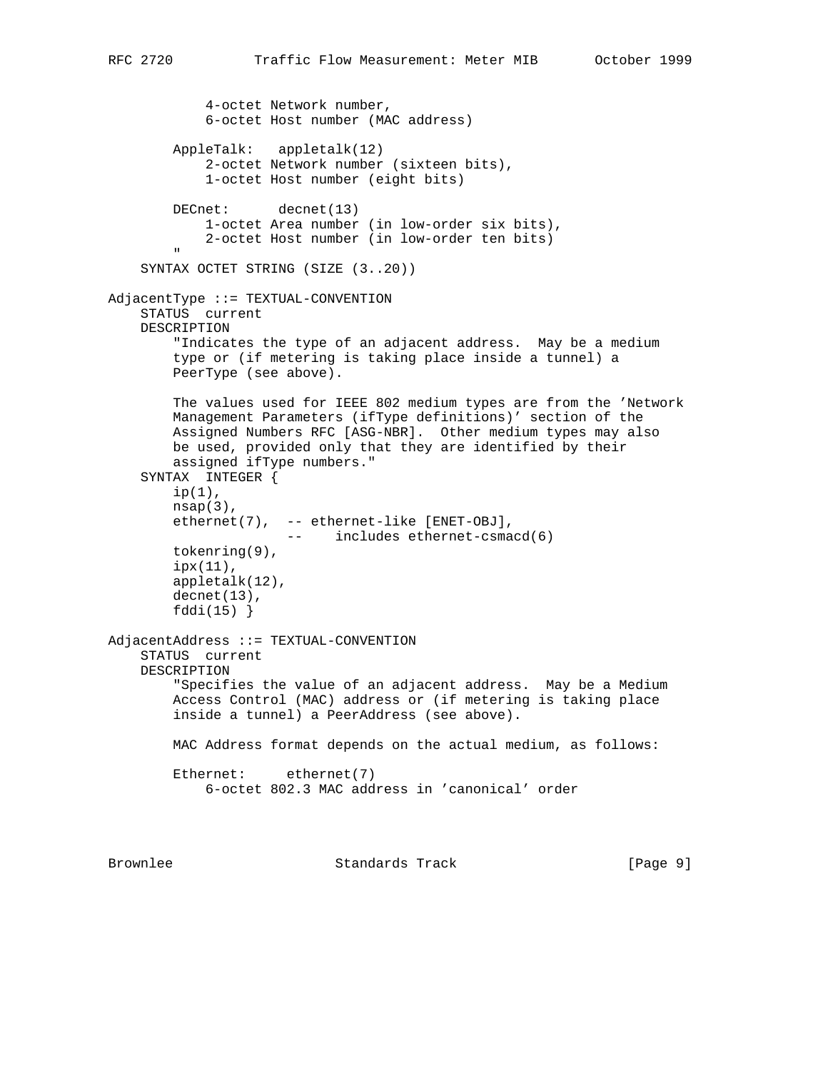```
 4-octet Network number,
             6-octet Host number (MAC address)
         AppleTalk: appletalk(12)
             2-octet Network number (sixteen bits),
             1-octet Host number (eight bits)
        DECnet: decnet(13)
             1-octet Area number (in low-order six bits),
             2-octet Host number (in low-order ten bits)
 "
     SYNTAX OCTET STRING (SIZE (3..20))
AdjacentType ::= TEXTUAL-CONVENTION
     STATUS current
     DESCRIPTION
         "Indicates the type of an adjacent address. May be a medium
         type or (if metering is taking place inside a tunnel) a
         PeerType (see above).
         The values used for IEEE 802 medium types are from the 'Network
         Management Parameters (ifType definitions)' section of the
         Assigned Numbers RFC [ASG-NBR]. Other medium types may also
         be used, provided only that they are identified by their
         assigned ifType numbers."
     SYNTAX INTEGER {
        ip(1),
        nsap(3),
         ethernet(7), -- ethernet-like [ENET-OBJ],
                       -- includes ethernet-csmacd(6)
         tokenring(9),
         ipx(11),
         appletalk(12),
         decnet(13),
         fddi(15) }
AdjacentAddress ::= TEXTUAL-CONVENTION
     STATUS current
     DESCRIPTION
         "Specifies the value of an adjacent address. May be a Medium
         Access Control (MAC) address or (if metering is taking place
         inside a tunnel) a PeerAddress (see above).
         MAC Address format depends on the actual medium, as follows:
         Ethernet: ethernet(7)
             6-octet 802.3 MAC address in 'canonical' order
```
Brownlee Standards Track [Page 9]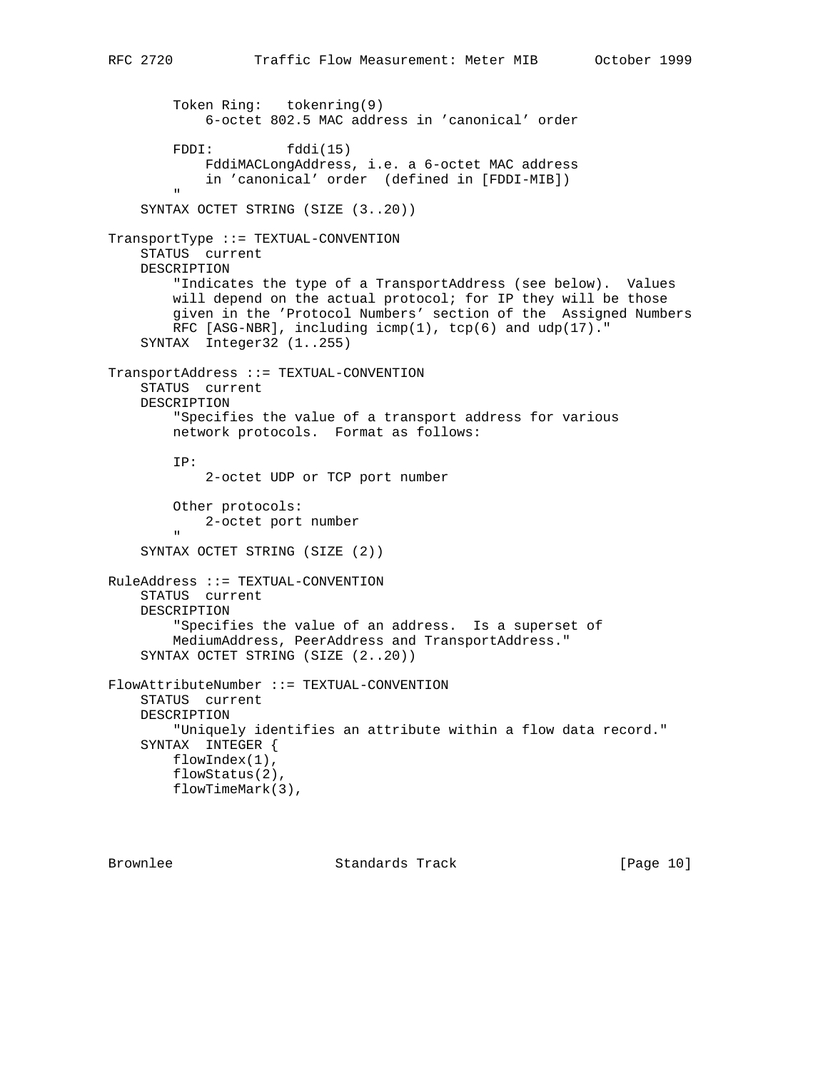```
 Token Ring: tokenring(9)
             6-octet 802.5 MAC address in 'canonical' order
        FDDI: fddi(15)
            FddiMACLongAddress, i.e. a 6-octet MAC address
             in 'canonical' order (defined in [FDDI-MIB])
 "
     SYNTAX OCTET STRING (SIZE (3..20))
TransportType ::= TEXTUAL-CONVENTION
     STATUS current
     DESCRIPTION
         "Indicates the type of a TransportAddress (see below). Values
         will depend on the actual protocol; for IP they will be those
         given in the 'Protocol Numbers' section of the Assigned Numbers
        RFC [ASG-NBR], including icmp(1), tcp(6) and udp(17)."
     SYNTAX Integer32 (1..255)
TransportAddress ::= TEXTUAL-CONVENTION
     STATUS current
     DESCRIPTION
         "Specifies the value of a transport address for various
        network protocols. Format as follows:
        IP:
             2-octet UDP or TCP port number
         Other protocols:
           2-octet port number
 "
     SYNTAX OCTET STRING (SIZE (2))
RuleAddress ::= TEXTUAL-CONVENTION
     STATUS current
     DESCRIPTION
         "Specifies the value of an address. Is a superset of
        MediumAddress, PeerAddress and TransportAddress."
     SYNTAX OCTET STRING (SIZE (2..20))
FlowAttributeNumber ::= TEXTUAL-CONVENTION
     STATUS current
     DESCRIPTION
         "Uniquely identifies an attribute within a flow data record."
     SYNTAX INTEGER {
        flowIndex(1),
         flowStatus(2),
        flowTimeMark(3),
```
Brownlee Standards Track [Page 10]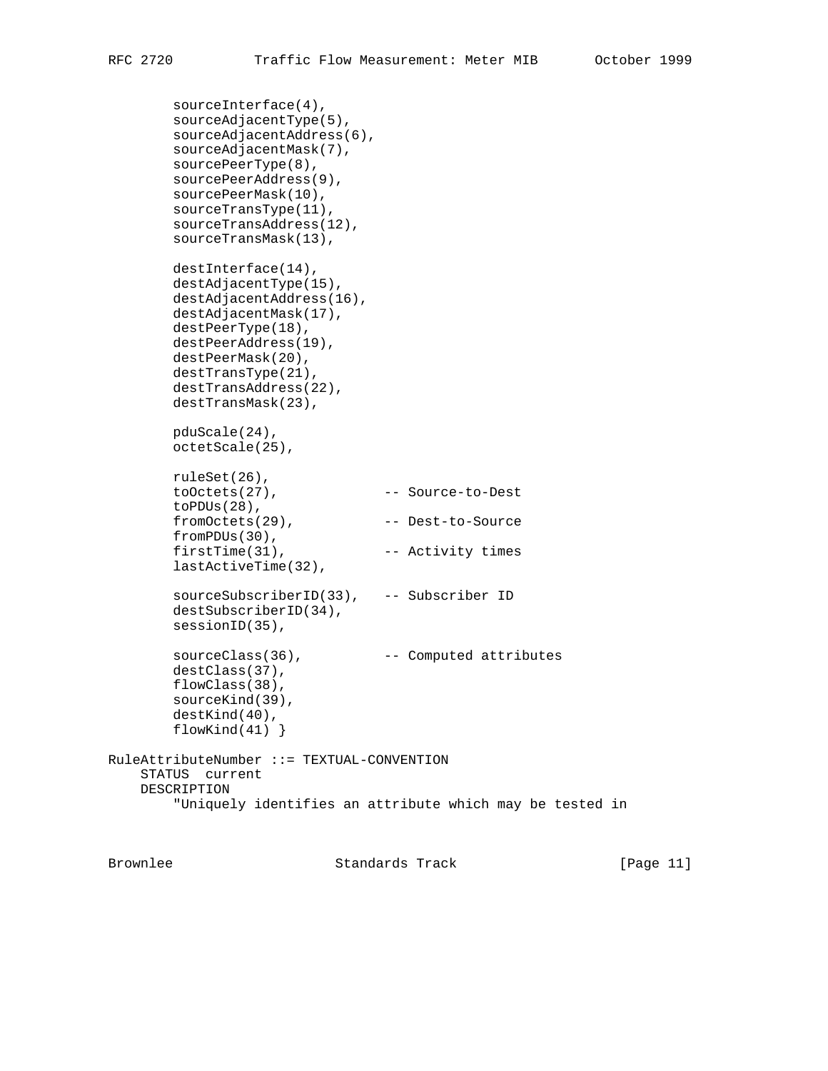```
 sourceInterface(4),
         sourceAdjacentType(5),
         sourceAdjacentAddress(6),
         sourceAdjacentMask(7),
        sourcePeerType(8),
        sourcePeerAddress(9),
        sourcePeerMask(10),
        sourceTransType(11),
        sourceTransAddress(12),
        sourceTransMask(13),
        destInterface(14),
        destAdjacentType(15),
        destAdjacentAddress(16),
        destAdjacentMask(17),
        destPeerType(18),
        destPeerAddress(19),
        destPeerMask(20),
        destTransType(21),
        destTransAddress(22),
        destTransMask(23),
        pduScale(24),
        octetScale(25),
        ruleSet(26),
        toOctets(27), -- Source-to-Dest
        toPDUs(28),
        fromOctets(29), -- Dest-to-Source
        fromPDUs(30),
       firstTime(31), -- Activity times lastActiveTime(32),
        sourceSubscriberID(33), -- Subscriber ID
        destSubscriberID(34),
        sessionID(35),
       sourceClass(36), -- Computed attributes
        destClass(37),
        flowClass(38),
        sourceKind(39),
        destKind(40),
       flowKind(41) }
RuleAttributeNumber ::= TEXTUAL-CONVENTION
     STATUS current
     DESCRIPTION
         "Uniquely identifies an attribute which may be tested in
```
Brownlee Standards Track [Page 11]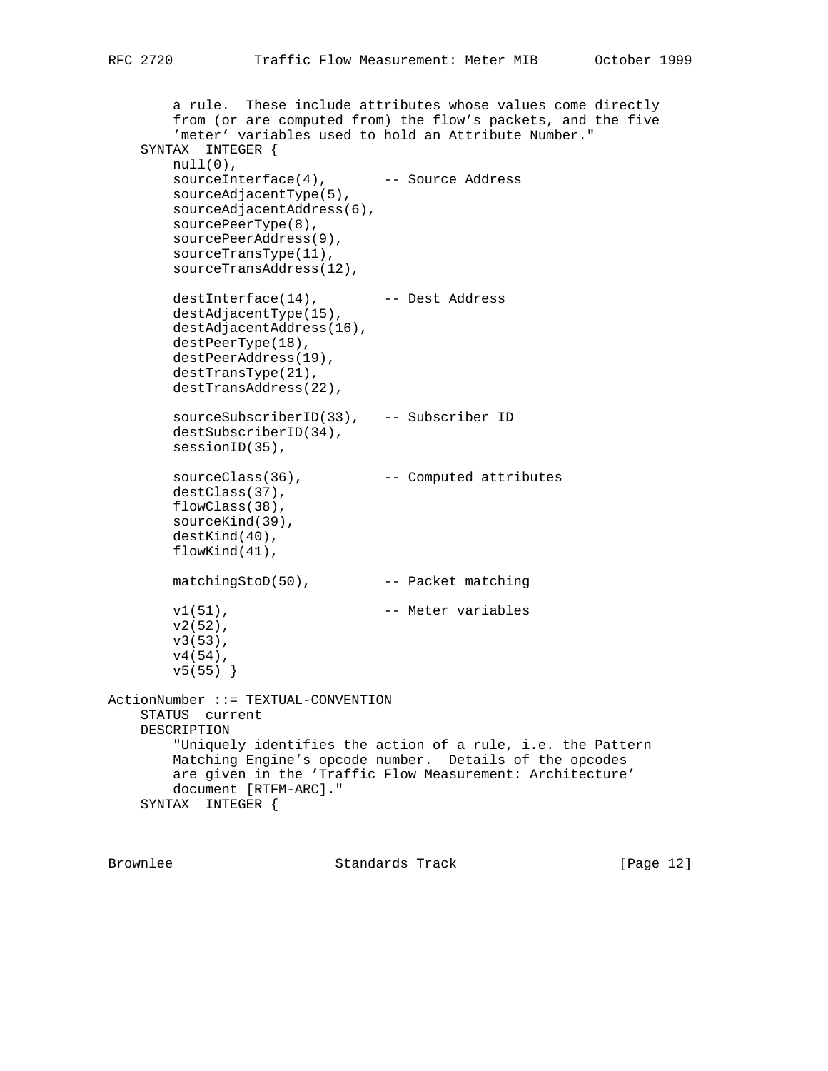```
 a rule. These include attributes whose values come directly
        from (or are computed from) the flow's packets, and the five
         'meter' variables used to hold an Attribute Number."
     SYNTAX INTEGER {
        null(0),
       sourceInterface(4), -- Source Address
        sourceAdjacentType(5),
        sourceAdjacentAddress(6),
        sourcePeerType(8),
        sourcePeerAddress(9),
        sourceTransType(11),
        sourceTransAddress(12),
 destInterface(14), -- Dest Address
 destAdjacentType(15),
 destAdjacentAddress(16),
        destPeerType(18),
        destPeerAddress(19),
        destTransType(21),
        destTransAddress(22),
        sourceSubscriberID(33), -- Subscriber ID
        destSubscriberID(34),
        sessionID(35),
       sourceClass(36), -- Computed attributes
        destClass(37),
        flowClass(38),
        sourceKind(39),
        destKind(40),
        flowKind(41),
       matchingStoD(50), -- Packet matching
       v1(51), - Meter variables
        v2(52),
        v3(53),
        v4(54),
        v5(55) }
ActionNumber ::= TEXTUAL-CONVENTION
    STATUS current
    DESCRIPTION
         "Uniquely identifies the action of a rule, i.e. the Pattern
        Matching Engine's opcode number. Details of the opcodes
        are given in the 'Traffic Flow Measurement: Architecture'
        document [RTFM-ARC]."
    SYNTAX INTEGER {
```
Brownlee Standards Track [Page 12]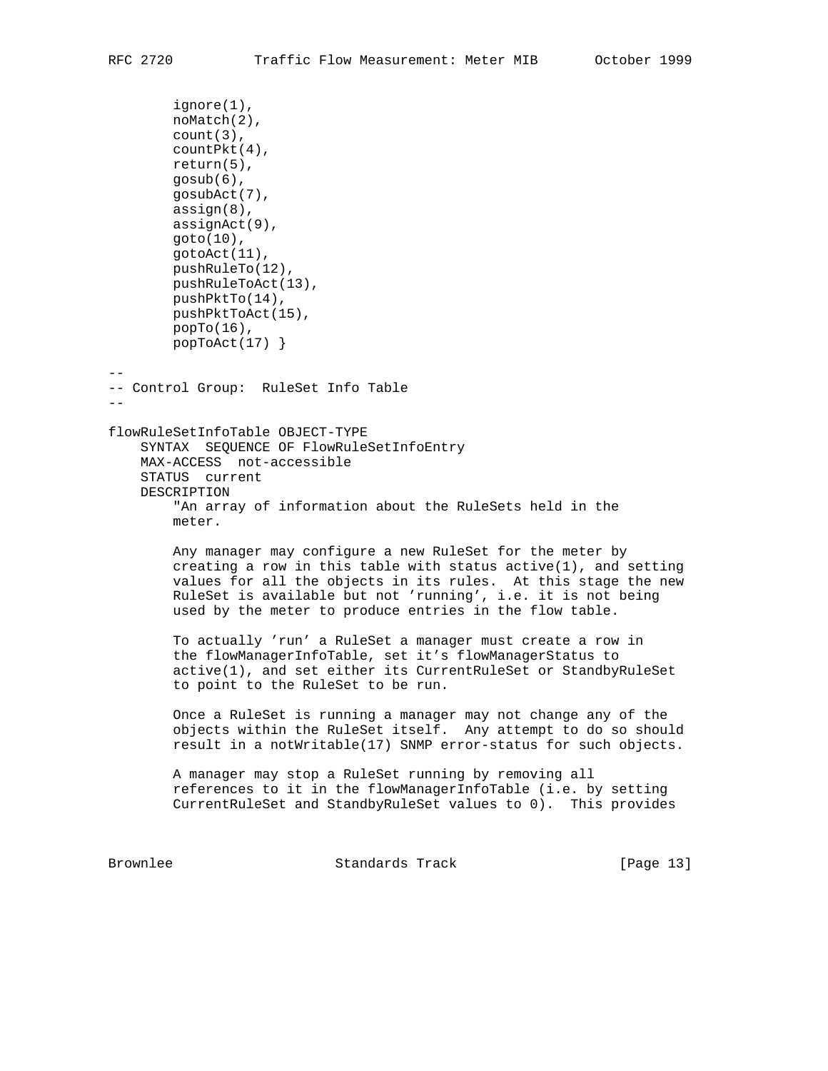```
 ignore(1),
        noMatch(2),
        count(3),
        countPkt(4),
        return(5),
        gosub(6),
        gosubAct(7),
        assign(8),
        assignAct(9),
        goto(10),
        gotoAct(11),
        pushRuleTo(12),
        pushRuleToAct(13),
        pushPktTo(14),
        pushPktToAct(15),
        popTo(16),
        popToAct(17) }
--
-- Control Group: RuleSet Info Table
- -flowRuleSetInfoTable OBJECT-TYPE
     SYNTAX SEQUENCE OF FlowRuleSetInfoEntry
    MAX-ACCESS not-accessible
     STATUS current
     DESCRIPTION
         "An array of information about the RuleSets held in the
        meter.
        Any manager may configure a new RuleSet for the meter by
       creating a row in this table with status active(1), and setting values for all the objects in its rules. At this stage the new
        RuleSet is available but not 'running', i.e. it is not being
        used by the meter to produce entries in the flow table.
         To actually 'run' a RuleSet a manager must create a row in
         the flowManagerInfoTable, set it's flowManagerStatus to
         active(1), and set either its CurrentRuleSet or StandbyRuleSet
         to point to the RuleSet to be run.
         Once a RuleSet is running a manager may not change any of the
         objects within the RuleSet itself. Any attempt to do so should
        result in a notWritable(17) SNMP error-status for such objects.
        A manager may stop a RuleSet running by removing all
        references to it in the flowManagerInfoTable (i.e. by setting
        CurrentRuleSet and StandbyRuleSet values to 0). This provides
Brownlee Standards Track [Page 13]
```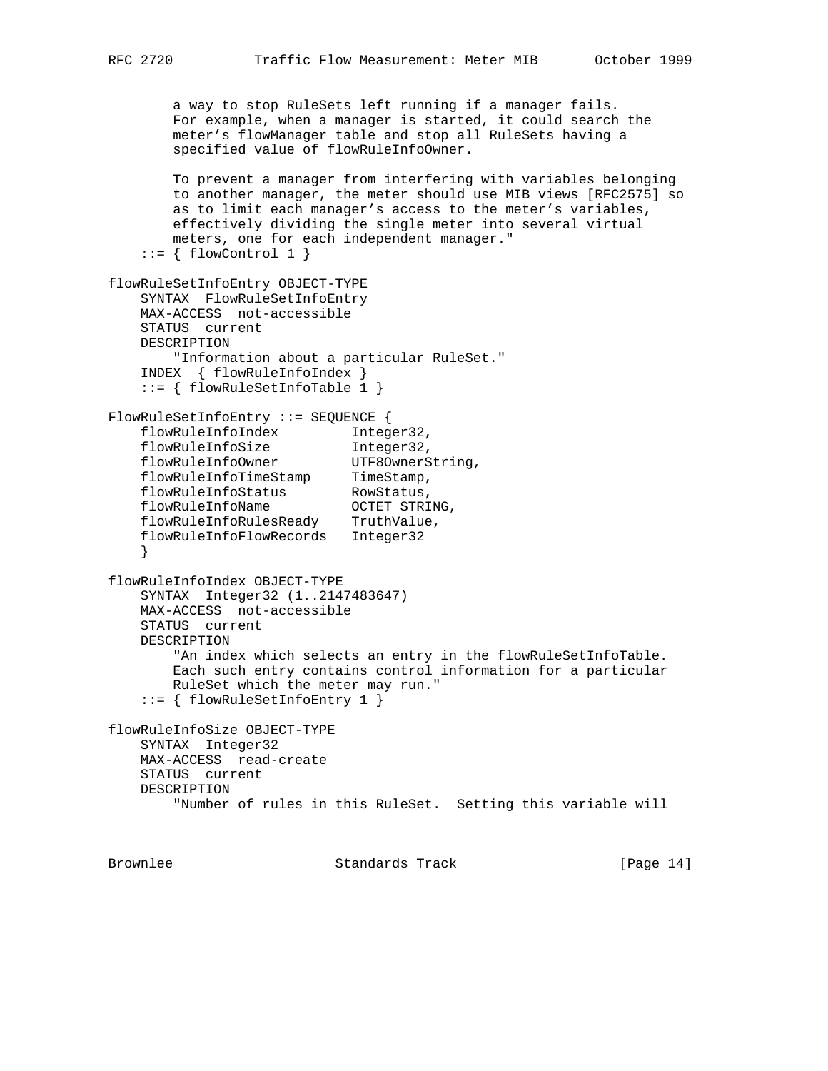```
 a way to stop RuleSets left running if a manager fails.
        For example, when a manager is started, it could search the
        meter's flowManager table and stop all RuleSets having a
        specified value of flowRuleInfoOwner.
        To prevent a manager from interfering with variables belonging
        to another manager, the meter should use MIB views [RFC2575] so
        as to limit each manager's access to the meter's variables,
        effectively dividing the single meter into several virtual
        meters, one for each independent manager."
    ::= \{ \text{flowControl 1 } \}flowRuleSetInfoEntry OBJECT-TYPE
    SYNTAX FlowRuleSetInfoEntry
    MAX-ACCESS not-accessible
    STATUS current
    DESCRIPTION
        "Information about a particular RuleSet."
    INDEX { flowRuleInfoIndex }
     ::= { flowRuleSetInfoTable 1 }
FlowRuleSetInfoEntry ::= SEQUENCE {
 flowRuleInfoIndex Integer32,
 flowRuleInfoSize Integer32,
 flowRuleInfoOwner UTF8OwnerString,
flowRuleInfoTimeStamp TimeStamp,
flowRuleInfoStatus RowStatus,
 flowRuleInfoName OCTET STRING,
 flowRuleInfoRulesReady TruthValue,
 flowRuleInfoFlowRecords Integer32
     }
flowRuleInfoIndex OBJECT-TYPE
    SYNTAX Integer32 (1..2147483647)
    MAX-ACCESS not-accessible
    STATUS current
    DESCRIPTION
         "An index which selects an entry in the flowRuleSetInfoTable.
        Each such entry contains control information for a particular
        RuleSet which the meter may run."
     ::= { flowRuleSetInfoEntry 1 }
flowRuleInfoSize OBJECT-TYPE
    SYNTAX Integer32
    MAX-ACCESS read-create
    STATUS current
    DESCRIPTION
         "Number of rules in this RuleSet. Setting this variable will
```
Brownlee Standards Track [Page 14]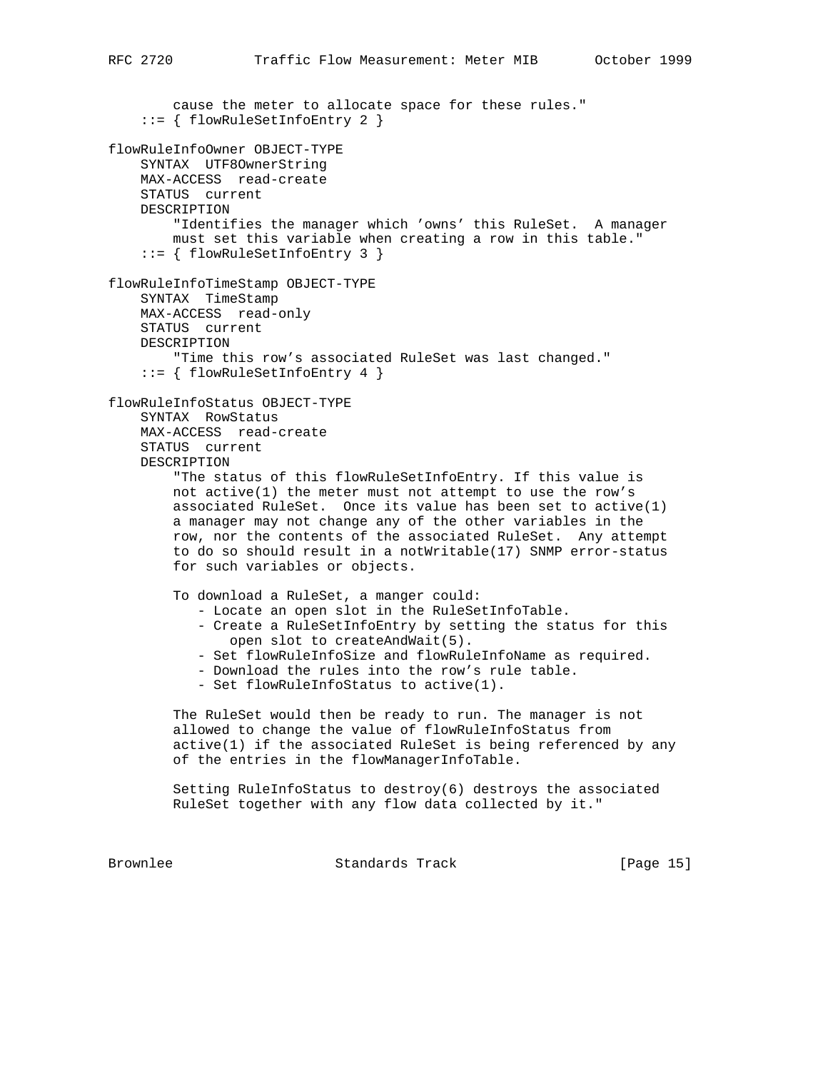cause the meter to allocate space for these rules." ::= { flowRuleSetInfoEntry 2 } flowRuleInfoOwner OBJECT-TYPE SYNTAX UTF8OwnerString MAX-ACCESS read-create STATUS current DESCRIPTION "Identifies the manager which 'owns' this RuleSet. A manager must set this variable when creating a row in this table." ::= { flowRuleSetInfoEntry 3 } flowRuleInfoTimeStamp OBJECT-TYPE SYNTAX TimeStamp MAX-ACCESS read-only STATUS current DESCRIPTION "Time this row's associated RuleSet was last changed." ::= { flowRuleSetInfoEntry 4 } flowRuleInfoStatus OBJECT-TYPE SYNTAX RowStatus MAX-ACCESS read-create STATUS current DESCRIPTION "The status of this flowRuleSetInfoEntry. If this value is not active(1) the meter must not attempt to use the row's associated RuleSet. Once its value has been set to active(1) a manager may not change any of the other variables in the row, nor the contents of the associated RuleSet. Any attempt to do so should result in a notWritable(17) SNMP error-status for such variables or objects. To download a RuleSet, a manger could: - Locate an open slot in the RuleSetInfoTable. - Create a RuleSetInfoEntry by setting the status for this open slot to createAndWait(5). - Set flowRuleInfoSize and flowRuleInfoName as required. - Download the rules into the row's rule table. - Set flowRuleInfoStatus to active(1). The RuleSet would then be ready to run. The manager is not allowed to change the value of flowRuleInfoStatus from active(1) if the associated RuleSet is being referenced by any of the entries in the flowManagerInfoTable. Setting RuleInfoStatus to destroy(6) destroys the associated RuleSet together with any flow data collected by it." Brownlee Standards Track [Page 15]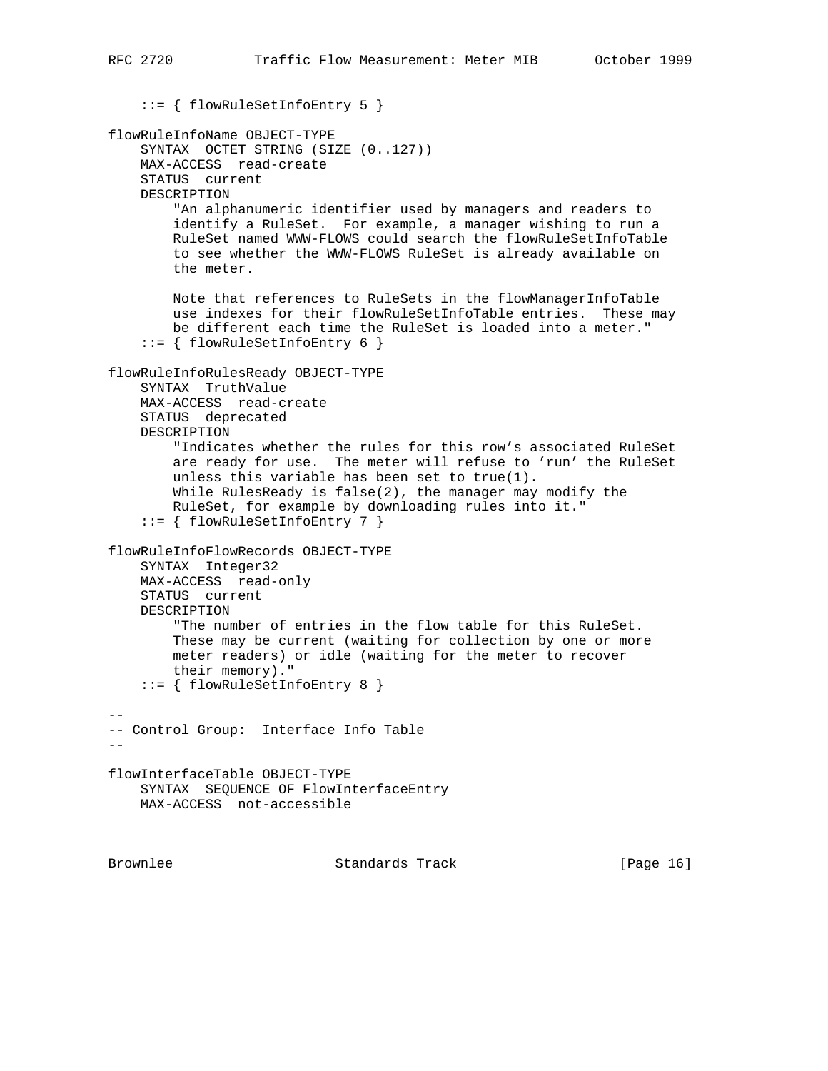::= { flowRuleSetInfoEntry 5 }

```
flowRuleInfoName OBJECT-TYPE
     SYNTAX OCTET STRING (SIZE (0..127))
    MAX-ACCESS read-create
    STATUS current
    DESCRIPTION
         "An alphanumeric identifier used by managers and readers to
         identify a RuleSet. For example, a manager wishing to run a
        RuleSet named WWW-FLOWS could search the flowRuleSetInfoTable
         to see whether the WWW-FLOWS RuleSet is already available on
         the meter.
        Note that references to RuleSets in the flowManagerInfoTable
         use indexes for their flowRuleSetInfoTable entries. These may
        be different each time the RuleSet is loaded into a meter."
     ::= { flowRuleSetInfoEntry 6 }
flowRuleInfoRulesReady OBJECT-TYPE
    SYNTAX TruthValue
    MAX-ACCESS read-create
    STATUS deprecated
    DESCRIPTION
         "Indicates whether the rules for this row's associated RuleSet
         are ready for use. The meter will refuse to 'run' the RuleSet
         unless this variable has been set to true(1).
        While RulesReady is false(2), the manager may modify the
         RuleSet, for example by downloading rules into it."
     ::= { flowRuleSetInfoEntry 7 }
flowRuleInfoFlowRecords OBJECT-TYPE
    SYNTAX Integer32
    MAX-ACCESS read-only
    STATUS current
    DESCRIPTION
         "The number of entries in the flow table for this RuleSet.
         These may be current (waiting for collection by one or more
        meter readers) or idle (waiting for the meter to recover
         their memory)."
     ::= { flowRuleSetInfoEntry 8 }
--
-- Control Group: Interface Info Table
--flowInterfaceTable OBJECT-TYPE
    SYNTAX SEQUENCE OF FlowInterfaceEntry
    MAX-ACCESS not-accessible
```
Brownlee Standards Track [Page 16]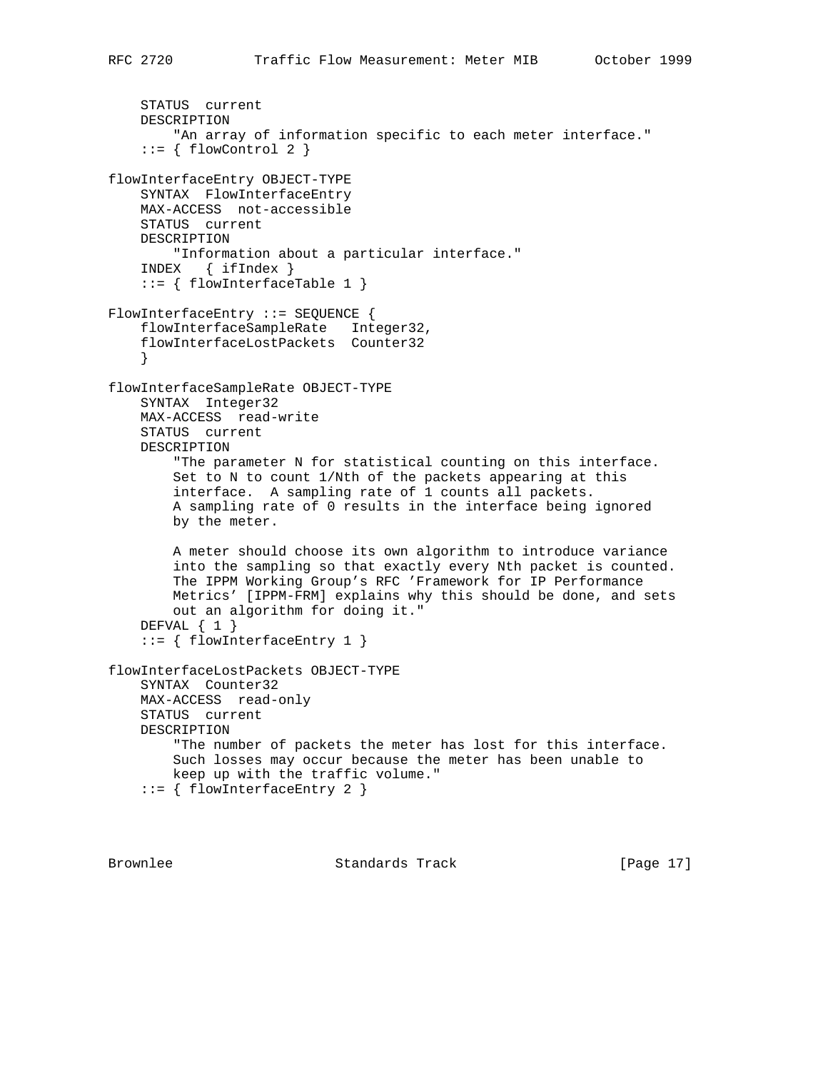```
 STATUS current
     DESCRIPTION
        "An array of information specific to each meter interface."
    ::= \{ \text{flowControl } 2 \}flowInterfaceEntry OBJECT-TYPE
     SYNTAX FlowInterfaceEntry
    MAX-ACCESS not-accessible
    STATUS current
     DESCRIPTION
         "Information about a particular interface."
     INDEX { ifIndex }
     ::= { flowInterfaceTable 1 }
FlowInterfaceEntry ::= SEQUENCE {
     flowInterfaceSampleRate Integer32,
     flowInterfaceLostPackets Counter32
 }
flowInterfaceSampleRate OBJECT-TYPE
     SYNTAX Integer32
     MAX-ACCESS read-write
     STATUS current
     DESCRIPTION
         "The parameter N for statistical counting on this interface.
         Set to N to count 1/Nth of the packets appearing at this
         interface. A sampling rate of 1 counts all packets.
         A sampling rate of 0 results in the interface being ignored
         by the meter.
         A meter should choose its own algorithm to introduce variance
         into the sampling so that exactly every Nth packet is counted.
         The IPPM Working Group's RFC 'Framework for IP Performance
         Metrics' [IPPM-FRM] explains why this should be done, and sets
         out an algorithm for doing it."
     DEFVAL { 1 }
     ::= { flowInterfaceEntry 1 }
flowInterfaceLostPackets OBJECT-TYPE
     SYNTAX Counter32
     MAX-ACCESS read-only
     STATUS current
     DESCRIPTION
         "The number of packets the meter has lost for this interface.
         Such losses may occur because the meter has been unable to
         keep up with the traffic volume."
     ::= { flowInterfaceEntry 2 }
```
Brownlee Standards Track [Page 17]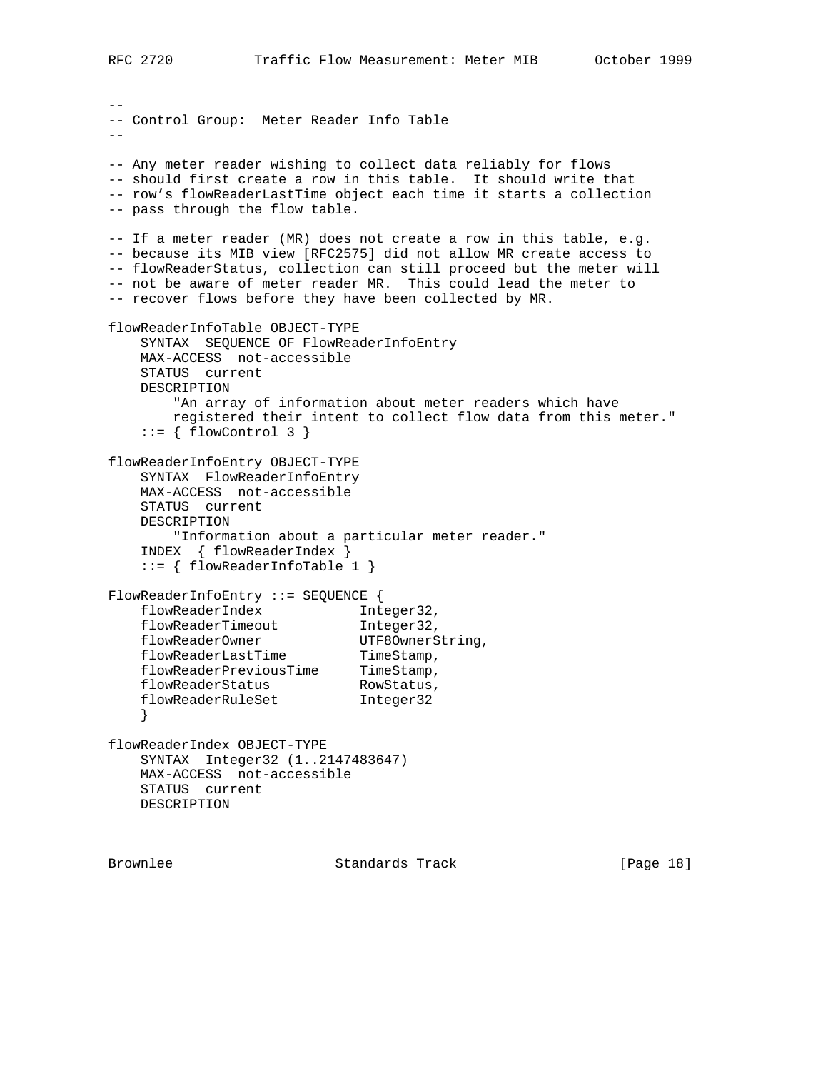-- -- Control Group: Meter Reader Info Table -- -- Any meter reader wishing to collect data reliably for flows -- should first create a row in this table. It should write that -- row's flowReaderLastTime object each time it starts a collection -- pass through the flow table. -- If a meter reader (MR) does not create a row in this table, e.g. -- because its MIB view [RFC2575] did not allow MR create access to -- flowReaderStatus, collection can still proceed but the meter will -- not be aware of meter reader MR. This could lead the meter to -- recover flows before they have been collected by MR. flowReaderInfoTable OBJECT-TYPE SYNTAX SEQUENCE OF FlowReaderInfoEntry MAX-ACCESS not-accessible STATUS current DESCRIPTION "An array of information about meter readers which have registered their intent to collect flow data from this meter."  $::=$  { flowControl 3 } flowReaderInfoEntry OBJECT-TYPE SYNTAX FlowReaderInfoEntry MAX-ACCESS not-accessible STATUS current DESCRIPTION "Information about a particular meter reader." INDEX { flowReaderIndex } ::= { flowReaderInfoTable 1 } FlowReaderInfoEntry ::= SEQUENCE { flowReaderIndex 1nteger32, flowReaderTimeout 1nteger32, flowReaderOwner UTF8OwnerString, flowReaderLastTime TimeStamp, flowReaderPreviousTime TimeStamp, flowReaderStatus RowStatus, flowReaderRuleSet Integer32 } flowReaderIndex OBJECT-TYPE SYNTAX Integer32 (1..2147483647) MAX-ACCESS not-accessible STATUS current DESCRIPTION

Brownlee Standards Track [Page 18]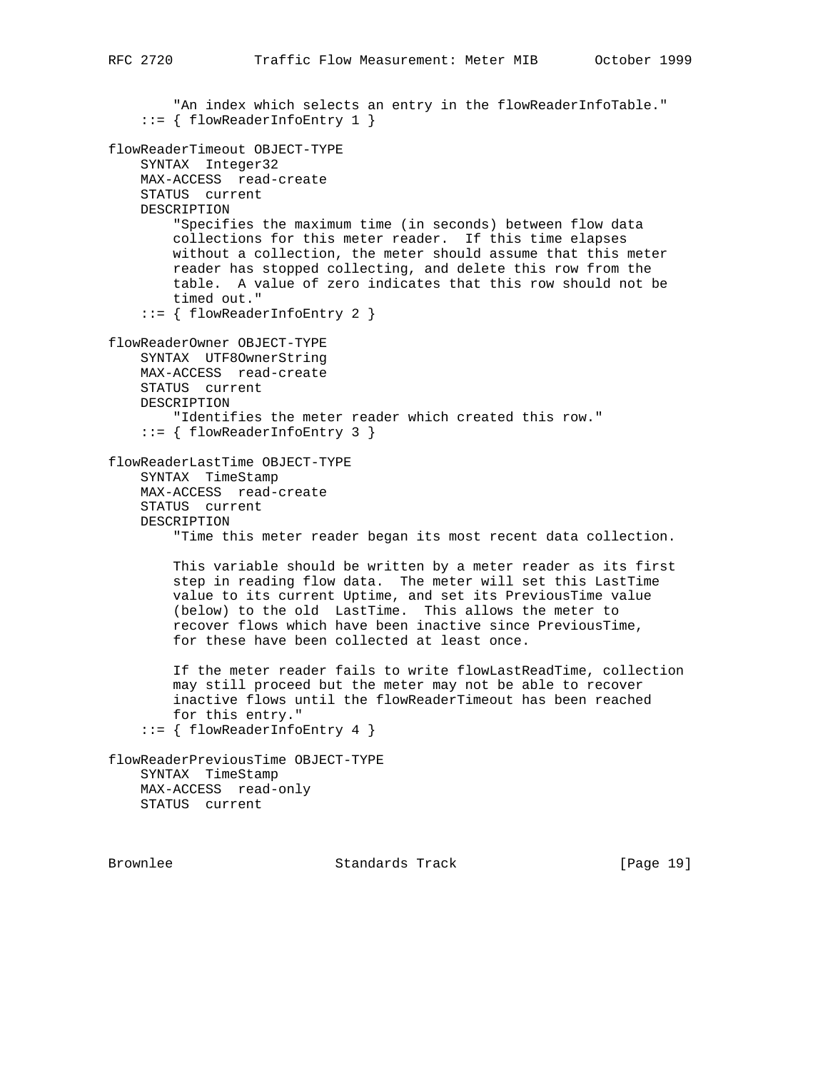```
"An index which selects an entry in the flowReaderInfoTable."
     ::= { flowReaderInfoEntry 1 }
flowReaderTimeout OBJECT-TYPE
     SYNTAX Integer32
    MAX-ACCESS read-create
    STATUS current
    DESCRIPTION
         "Specifies the maximum time (in seconds) between flow data
         collections for this meter reader. If this time elapses
        without a collection, the meter should assume that this meter
        reader has stopped collecting, and delete this row from the
         table. A value of zero indicates that this row should not be
         timed out."
     ::= { flowReaderInfoEntry 2 }
flowReaderOwner OBJECT-TYPE
     SYNTAX UTF8OwnerString
    MAX-ACCESS read-create
    STATUS current
    DESCRIPTION
         "Identifies the meter reader which created this row."
     ::= { flowReaderInfoEntry 3 }
flowReaderLastTime OBJECT-TYPE
     SYNTAX TimeStamp
    MAX-ACCESS read-create
     STATUS current
    DESCRIPTION
         "Time this meter reader began its most recent data collection.
        This variable should be written by a meter reader as its first
         step in reading flow data. The meter will set this LastTime
        value to its current Uptime, and set its PreviousTime value
         (below) to the old LastTime. This allows the meter to
        recover flows which have been inactive since PreviousTime,
         for these have been collected at least once.
         If the meter reader fails to write flowLastReadTime, collection
         may still proceed but the meter may not be able to recover
         inactive flows until the flowReaderTimeout has been reached
        for this entry."
     ::= { flowReaderInfoEntry 4 }
flowReaderPreviousTime OBJECT-TYPE
    SYNTAX TimeStamp
    MAX-ACCESS read-only
    STATUS current
```
Brownlee Standards Track [Page 19]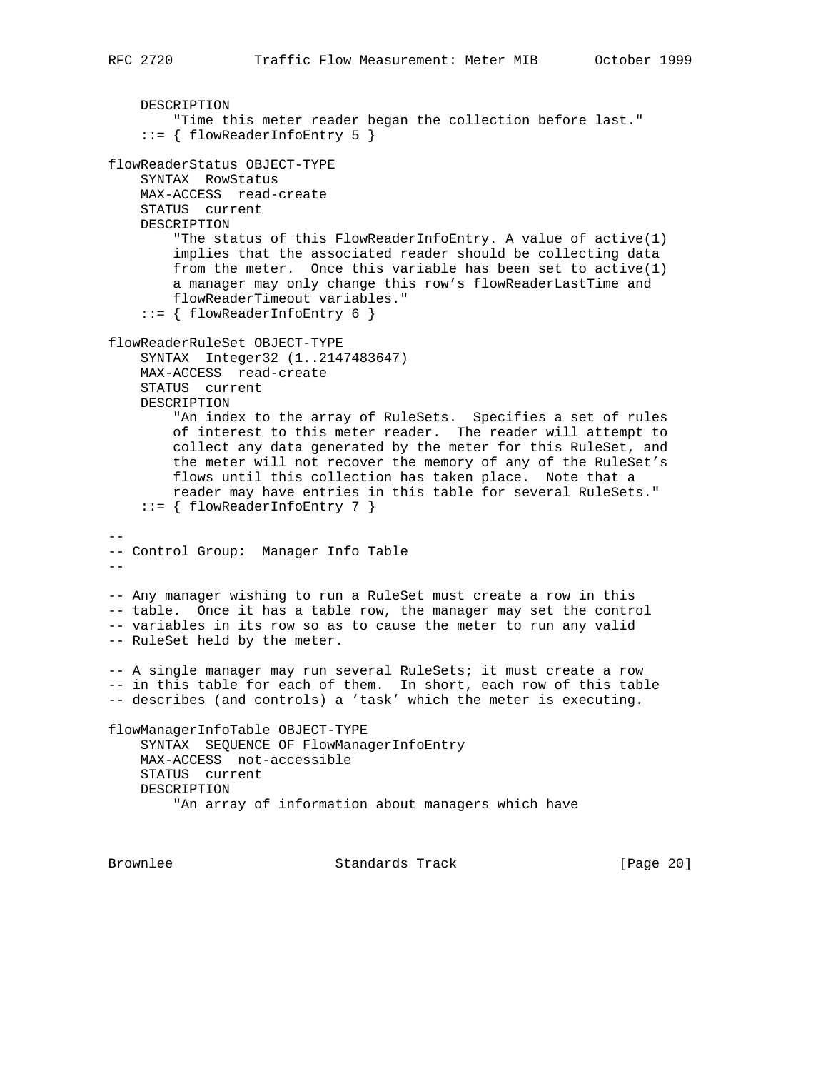```
 DESCRIPTION
         "Time this meter reader began the collection before last."
     ::= { flowReaderInfoEntry 5 }
flowReaderStatus OBJECT-TYPE
    SYNTAX RowStatus
    MAX-ACCESS read-create
    STATUS current
    DESCRIPTION
         "The status of this FlowReaderInfoEntry. A value of active(1)
        implies that the associated reader should be collecting data
        from the meter. Once this variable has been set to active(1)
        a manager may only change this row's flowReaderLastTime and
        flowReaderTimeout variables."
     ::= { flowReaderInfoEntry 6 }
flowReaderRuleSet OBJECT-TYPE
    SYNTAX Integer32 (1..2147483647)
    MAX-ACCESS read-create
    STATUS current
    DESCRIPTION
         "An index to the array of RuleSets. Specifies a set of rules
        of interest to this meter reader. The reader will attempt to
        collect any data generated by the meter for this RuleSet, and
        the meter will not recover the memory of any of the RuleSet's
        flows until this collection has taken place. Note that a
        reader may have entries in this table for several RuleSets."
     ::= { flowReaderInfoEntry 7 }
--
-- Control Group: Manager Info Table
--
-- Any manager wishing to run a RuleSet must create a row in this
-- table. Once it has a table row, the manager may set the control
-- variables in its row so as to cause the meter to run any valid
-- RuleSet held by the meter.
-- A single manager may run several RuleSets; it must create a row
-- in this table for each of them. In short, each row of this table
-- describes (and controls) a 'task' which the meter is executing.
flowManagerInfoTable OBJECT-TYPE
    SYNTAX SEQUENCE OF FlowManagerInfoEntry
    MAX-ACCESS not-accessible
    STATUS current
    DESCRIPTION
         "An array of information about managers which have
Brownlee Standards Track [Page 20]
```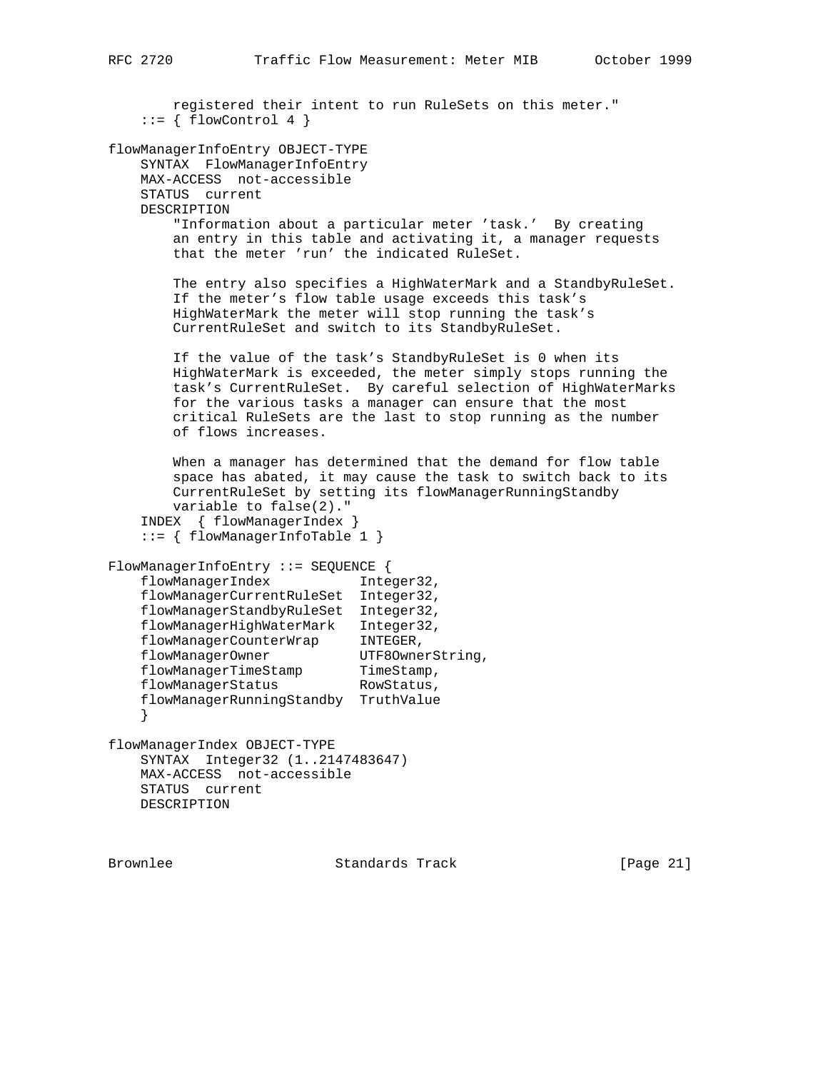registered their intent to run RuleSets on this meter."  $::= \{ \text{flowControl } 4 \}$ flowManagerInfoEntry OBJECT-TYPE SYNTAX FlowManagerInfoEntry MAX-ACCESS not-accessible STATUS current DESCRIPTION "Information about a particular meter 'task.' By creating an entry in this table and activating it, a manager requests that the meter 'run' the indicated RuleSet. The entry also specifies a HighWaterMark and a StandbyRuleSet. If the meter's flow table usage exceeds this task's HighWaterMark the meter will stop running the task's CurrentRuleSet and switch to its StandbyRuleSet. If the value of the task's StandbyRuleSet is 0 when its HighWaterMark is exceeded, the meter simply stops running the task's CurrentRuleSet. By careful selection of HighWaterMarks for the various tasks a manager can ensure that the most critical RuleSets are the last to stop running as the number of flows increases. When a manager has determined that the demand for flow table space has abated, it may cause the task to switch back to its CurrentRuleSet by setting its flowManagerRunningStandby variable to false(2)." INDEX { flowManagerIndex } ::= { flowManagerInfoTable 1 } FlowManagerInfoEntry ::= SEQUENCE { flowManagerIndex Integer32, flowManagerCurrentRuleSet Integer32, flowManagerStandbyRuleSet Integer32, flowManagerHighWaterMark Integer32, flowManagerCounterWrap INTEGER, flowManagerOwner UTF8OwnerString, flowManagerTimeStamp TimeStamp, flowManagerStatus RowStatus, flowManagerRunningStandby TruthValue } flowManagerIndex OBJECT-TYPE SYNTAX Integer32 (1..2147483647) MAX-ACCESS not-accessible STATUS current DESCRIPTION

Brownlee Standards Track [Page 21]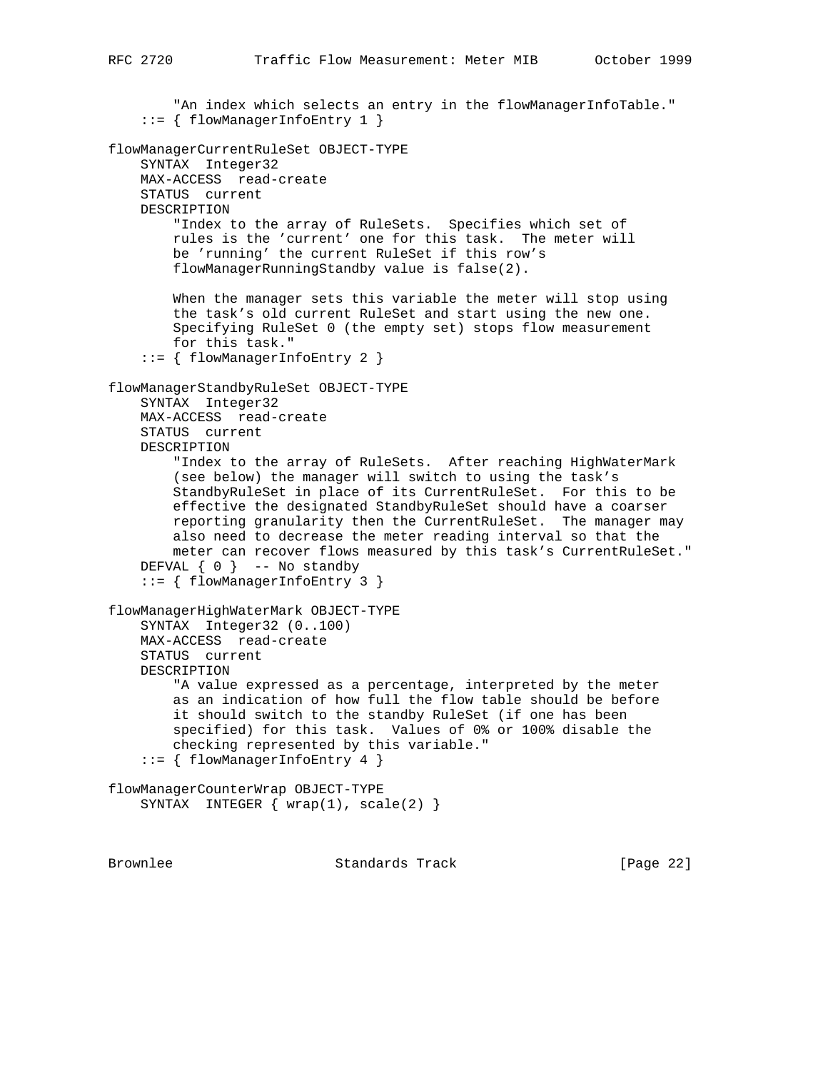"An index which selects an entry in the flowManagerInfoTable." ::= { flowManagerInfoEntry 1 } flowManagerCurrentRuleSet OBJECT-TYPE SYNTAX Integer32 MAX-ACCESS read-create STATUS current DESCRIPTION "Index to the array of RuleSets. Specifies which set of rules is the 'current' one for this task. The meter will be 'running' the current RuleSet if this row's flowManagerRunningStandby value is false(2). When the manager sets this variable the meter will stop using the task's old current RuleSet and start using the new one. Specifying RuleSet 0 (the empty set) stops flow measurement for this task." ::= { flowManagerInfoEntry 2 } flowManagerStandbyRuleSet OBJECT-TYPE SYNTAX Integer32 MAX-ACCESS read-create STATUS current DESCRIPTION "Index to the array of RuleSets. After reaching HighWaterMark (see below) the manager will switch to using the task's StandbyRuleSet in place of its CurrentRuleSet. For this to be effective the designated StandbyRuleSet should have a coarser reporting granularity then the CurrentRuleSet. The manager may also need to decrease the meter reading interval so that the meter can recover flows measured by this task's CurrentRuleSet." DEFVAL  $\{ 0 \}$  -- No standby ::= { flowManagerInfoEntry 3 } flowManagerHighWaterMark OBJECT-TYPE SYNTAX Integer32 (0..100) MAX-ACCESS read-create STATUS current DESCRIPTION "A value expressed as a percentage, interpreted by the meter as an indication of how full the flow table should be before it should switch to the standby RuleSet (if one has been specified) for this task. Values of 0% or 100% disable the checking represented by this variable." ::= { flowManagerInfoEntry 4 } flowManagerCounterWrap OBJECT-TYPE SYNTAX INTEGER  $\{ \text{wrap}(1), \text{ scale}(2) \}$ 

Brownlee Standards Track [Page 22]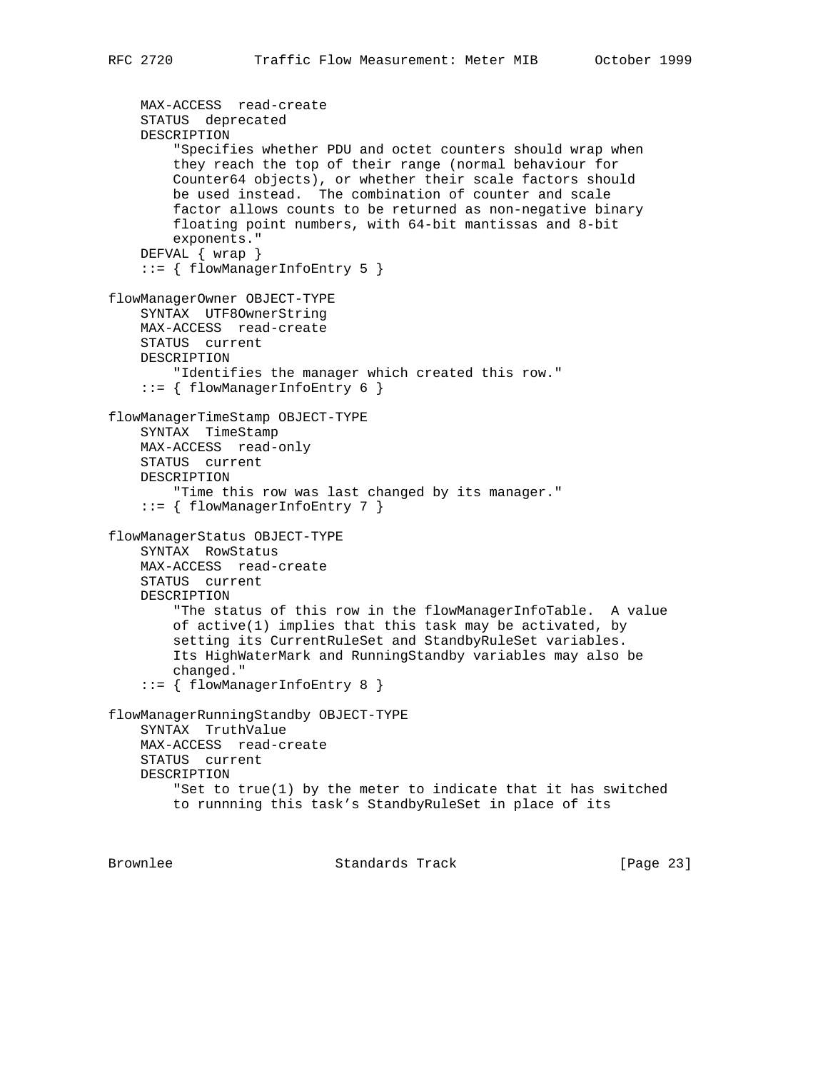```
 MAX-ACCESS read-create
     STATUS deprecated
     DESCRIPTION
         "Specifies whether PDU and octet counters should wrap when
         they reach the top of their range (normal behaviour for
         Counter64 objects), or whether their scale factors should
         be used instead. The combination of counter and scale
         factor allows counts to be returned as non-negative binary
         floating point numbers, with 64-bit mantissas and 8-bit
         exponents."
     DEFVAL { wrap }
     ::= { flowManagerInfoEntry 5 }
flowManagerOwner OBJECT-TYPE
     SYNTAX UTF8OwnerString
     MAX-ACCESS read-create
     STATUS current
     DESCRIPTION
         "Identifies the manager which created this row."
     ::= { flowManagerInfoEntry 6 }
flowManagerTimeStamp OBJECT-TYPE
     SYNTAX TimeStamp
    MAX-ACCESS read-only
    STATUS current
     DESCRIPTION
         "Time this row was last changed by its manager."
     ::= { flowManagerInfoEntry 7 }
flowManagerStatus OBJECT-TYPE
     SYNTAX RowStatus
     MAX-ACCESS read-create
     STATUS current
     DESCRIPTION
         "The status of this row in the flowManagerInfoTable. A value
         of active(1) implies that this task may be activated, by
         setting its CurrentRuleSet and StandbyRuleSet variables.
         Its HighWaterMark and RunningStandby variables may also be
         changed."
     ::= { flowManagerInfoEntry 8 }
flowManagerRunningStandby OBJECT-TYPE
     SYNTAX TruthValue
     MAX-ACCESS read-create
     STATUS current
     DESCRIPTION
         "Set to true(1) by the meter to indicate that it has switched
         to runnning this task's StandbyRuleSet in place of its
```
Brownlee Standards Track [Page 23]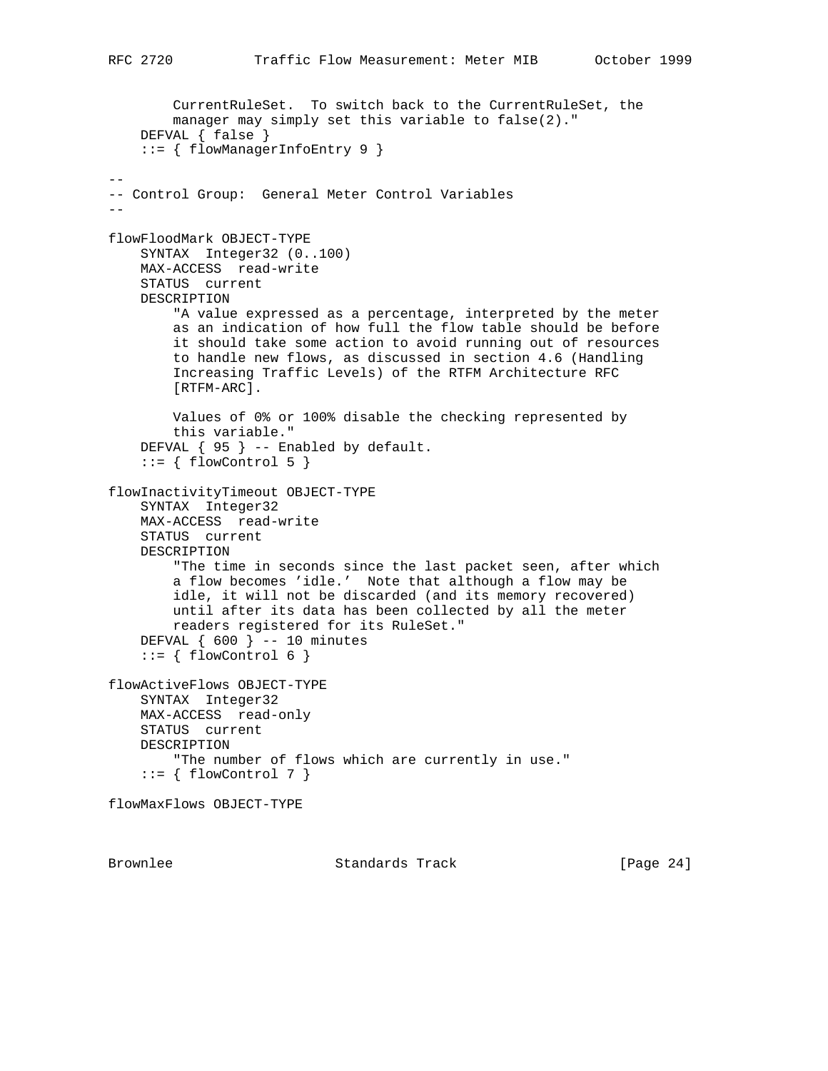```
 CurrentRuleSet. To switch back to the CurrentRuleSet, the
         manager may simply set this variable to false(2)."
     DEFVAL { false }
     ::= { flowManagerInfoEntry 9 }
--
-- Control Group: General Meter Control Variables
--flowFloodMark OBJECT-TYPE
     SYNTAX Integer32 (0..100)
    MAX-ACCESS read-write
    STATUS current
    DESCRIPTION
         "A value expressed as a percentage, interpreted by the meter
         as an indication of how full the flow table should be before
         it should take some action to avoid running out of resources
         to handle new flows, as discussed in section 4.6 (Handling
         Increasing Traffic Levels) of the RTFM Architecture RFC
         [RTFM-ARC].
         Values of 0% or 100% disable the checking represented by
         this variable."
     DEFVAL { 95 } -- Enabled by default.
     ::= { flowControl 5 }
flowInactivityTimeout OBJECT-TYPE
     SYNTAX Integer32
     MAX-ACCESS read-write
     STATUS current
     DESCRIPTION
         "The time in seconds since the last packet seen, after which
         a flow becomes 'idle.' Note that although a flow may be
         idle, it will not be discarded (and its memory recovered)
         until after its data has been collected by all the meter
         readers registered for its RuleSet."
     DEFVAL { 600 } -- 10 minutes
    ::= { flowControl 6 }
flowActiveFlows OBJECT-TYPE
     SYNTAX Integer32
     MAX-ACCESS read-only
     STATUS current
     DESCRIPTION
         "The number of flows which are currently in use."
    ::= \{ \text{flowControl } 7 \}flowMaxFlows OBJECT-TYPE
```
Brownlee Standards Track [Page 24]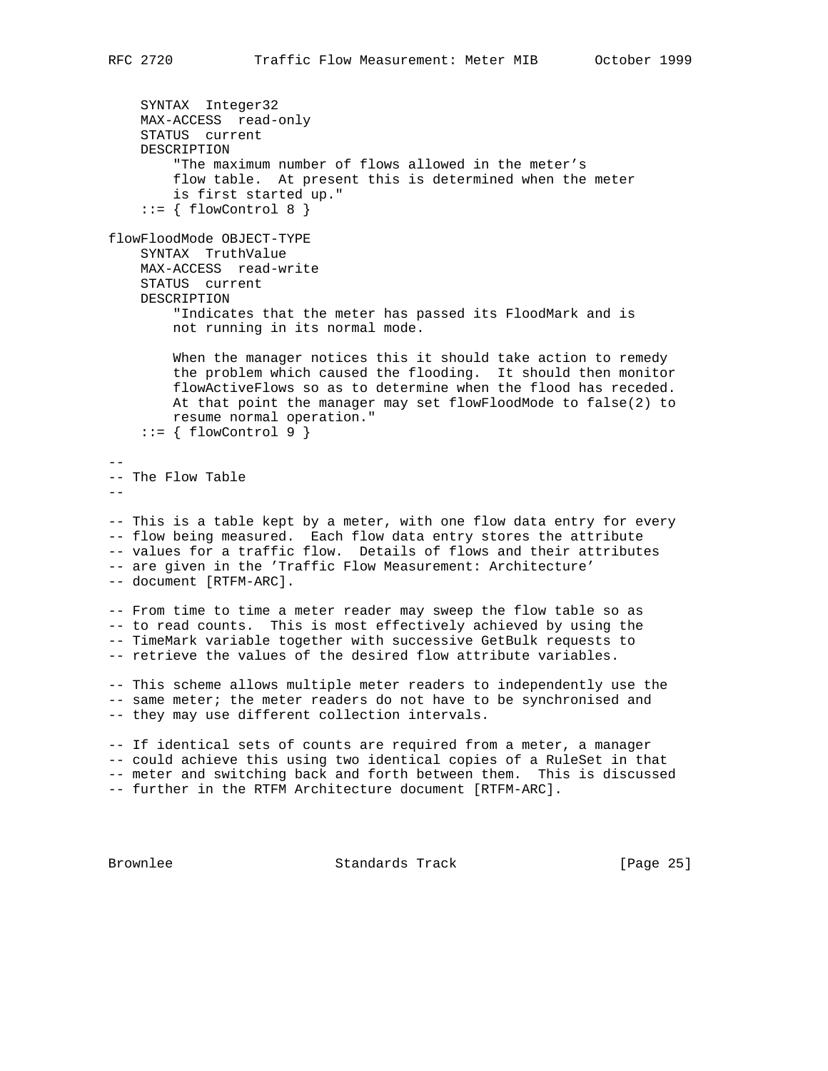```
 SYNTAX Integer32
    MAX-ACCESS read-only
    STATUS current
    DESCRIPTION
         "The maximum number of flows allowed in the meter's
        flow table. At present this is determined when the meter
        is first started up."
    ::= { flowControl 8 }
flowFloodMode OBJECT-TYPE
    SYNTAX TruthValue
    MAX-ACCESS read-write
    STATUS current
    DESCRIPTION
         "Indicates that the meter has passed its FloodMark and is
        not running in its normal mode.
        When the manager notices this it should take action to remedy
        the problem which caused the flooding. It should then monitor
        flowActiveFlows so as to determine when the flood has receded.
        At that point the manager may set flowFloodMode to false(2) to
        resume normal operation."
   ::= \{ \text{flowControl } 9 \}--
-- The Flow Table
--- This is a table kept by a meter, with one flow data entry for every
-- flow being measured. Each flow data entry stores the attribute
-- values for a traffic flow. Details of flows and their attributes
-- are given in the 'Traffic Flow Measurement: Architecture'
-- document [RTFM-ARC].
-- From time to time a meter reader may sweep the flow table so as
-- to read counts. This is most effectively achieved by using the
-- TimeMark variable together with successive GetBulk requests to
-- retrieve the values of the desired flow attribute variables.
-- This scheme allows multiple meter readers to independently use the
-- same meter; the meter readers do not have to be synchronised and
-- they may use different collection intervals.
-- If identical sets of counts are required from a meter, a manager
-- could achieve this using two identical copies of a RuleSet in that
-- meter and switching back and forth between them. This is discussed
-- further in the RTFM Architecture document [RTFM-ARC].
Brownlee Standards Track [Page 25]
```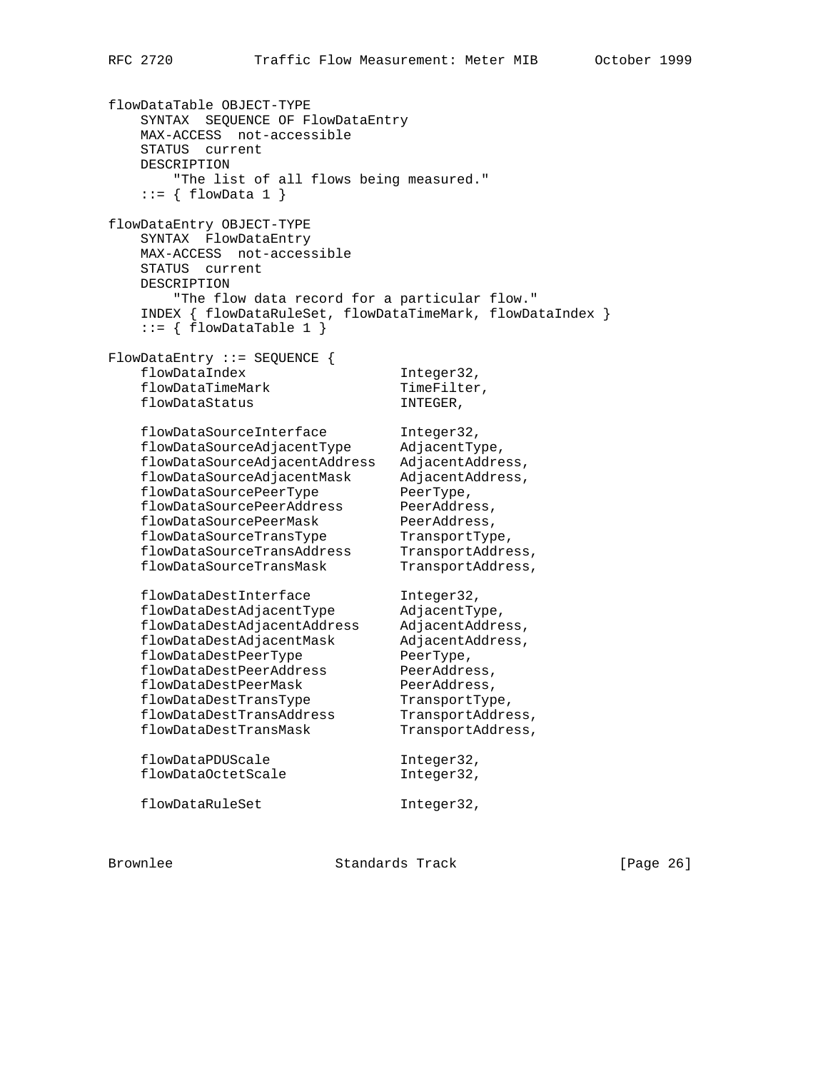flowDataTable OBJECT-TYPE SYNTAX SEQUENCE OF FlowDataEntry MAX-ACCESS not-accessible STATUS current DESCRIPTION "The list of all flows being measured."  $::= \{ \text{flowData 1 } \}$ flowDataEntry OBJECT-TYPE SYNTAX FlowDataEntry MAX-ACCESS not-accessible STATUS current DESCRIPTION "The flow data record for a particular flow." INDEX { flowDataRuleSet, flowDataTimeMark, flowDataIndex }  $::= \{ \text{flowDataTable 1} \}$ FlowDataEntry ::= SEQUENCE { flowDataIndex 1nteger32, flowDataTimeMark TimeFilter, flowDataStatus INTEGER, flowDataSourceInterface Integer32, flowDataSourceAdjacentType AdjacentType, flowDataSourceAdjacentAddress AdjacentAddress, flowDataSourceAdjacentMask AdjacentAddress, flowDataSourcePeerType PeerType, flowDataSourcePeerAddress PeerAddress, flowDataSourcePeerMask PeerAddress, flowDataSourceTransType TransportType, flowDataSourceTransAddress TransportAddress, flowDataSourceTransMask TransportAddress, flowDataDestInterface 1nteger32, flowDataDestAdjacentType AdjacentType, flowDataDestAdjacentAddress AdjacentAddress, flowDataDestAdjacentMask AdjacentAddress, flowDataDestPeerType PeerType, flowDataDestPeerAddress PeerAddress, flowDataDestPeerMask PeerAddress, flowDataDestTransType TransportType, flowDataDestTransAddress TransportAddress, flowDataDestTransMask TransportAddress, flowDataPDUScale 1nteger32, flowDataOctetScale integer32, flowDataRuleSet Integer32,

Brownlee Standards Track [Page 26]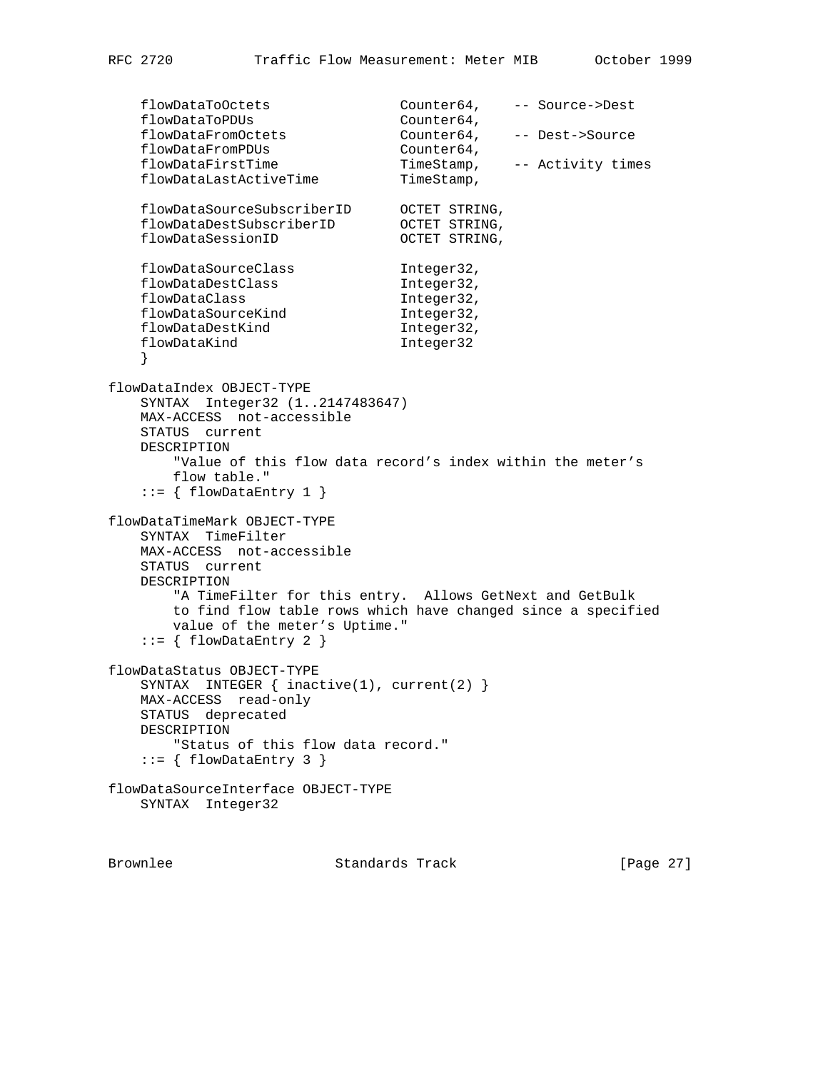```
 flowDataToOctets Counter64, -- Source->Dest
flowDataToPDUs Counter64,
 flowDataFromOctets Counter64, -- Dest->Source
flowDataFromPDUs Counter64,
 flowDataFirstTime TimeStamp, -- Activity times
flowDataLastActiveTime TimeStamp,
 flowDataSourceSubscriberID OCTET STRING,
 flowDataDestSubscriberID OCTET STRING,
flowDataSessionID OCTET STRING,
flowDataSourceClass Integer32,
flowDataDestClass 1nteger32,
flowDataClass 1nteger32,
flowDataSourceKind Integer32,
flowDataDestKind Integer32,
flowDataKind 1nteger32
    }
flowDataIndex OBJECT-TYPE
    SYNTAX Integer32 (1..2147483647)
    MAX-ACCESS not-accessible
    STATUS current
    DESCRIPTION
       "Value of this flow data record's index within the meter's
       flow table."
   ::= { flowDataEntry 1 }
flowDataTimeMark OBJECT-TYPE
    SYNTAX TimeFilter
    MAX-ACCESS not-accessible
    STATUS current
    DESCRIPTION
       "A TimeFilter for this entry. Allows GetNext and GetBulk
       to find flow table rows which have changed since a specified
       value of the meter's Uptime."
    ::= { flowDataEntry 2 }
flowDataStatus OBJECT-TYPE
    SYNTAX INTEGER { inactive(1), current(2) }
    MAX-ACCESS read-only
    STATUS deprecated
    DESCRIPTION
      "Status of this flow data record."
   ::= { flowDataEntry 3 }
flowDataSourceInterface OBJECT-TYPE
    SYNTAX Integer32
```
Brownlee Standards Track [Page 27]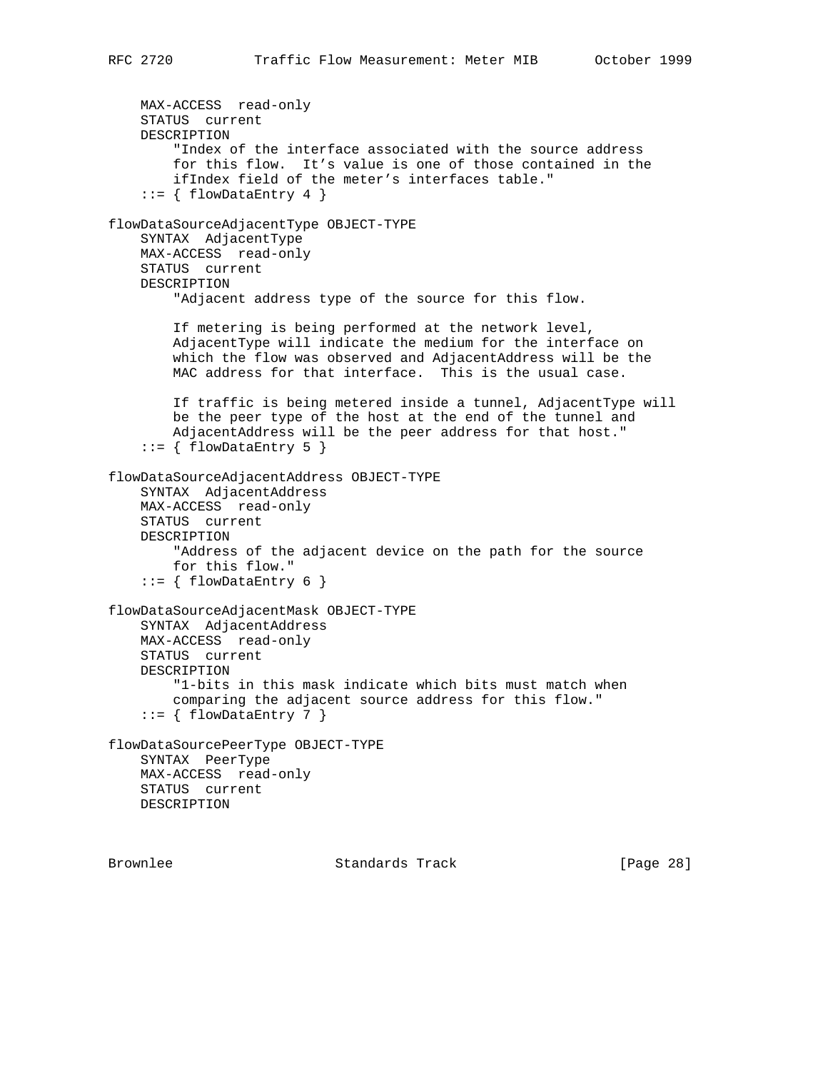```
 MAX-ACCESS read-only
    STATUS current
    DESCRIPTION
         "Index of the interface associated with the source address
         for this flow. It's value is one of those contained in the
         ifIndex field of the meter's interfaces table."
    ::= { flowDataEntry 4 }
flowDataSourceAdjacentType OBJECT-TYPE
     SYNTAX AdjacentType
    MAX-ACCESS read-only
    STATUS current
    DESCRIPTION
         "Adjacent address type of the source for this flow.
         If metering is being performed at the network level,
         AdjacentType will indicate the medium for the interface on
         which the flow was observed and AdjacentAddress will be the
        MAC address for that interface. This is the usual case.
        If traffic is being metered inside a tunnel, AdjacentType will
        be the peer type of the host at the end of the tunnel and
        AdjacentAddress will be the peer address for that host."
    ::= { flowDataEntry 5 }
flowDataSourceAdjacentAddress OBJECT-TYPE
     SYNTAX AdjacentAddress
    MAX-ACCESS read-only
    STATUS current
    DESCRIPTION
         "Address of the adjacent device on the path for the source
        for this flow."
    ::= { flowDataEntry 6 }
flowDataSourceAdjacentMask OBJECT-TYPE
    SYNTAX AdjacentAddress
    MAX-ACCESS read-only
    STATUS current
    DESCRIPTION
         "1-bits in this mask indicate which bits must match when
        comparing the adjacent source address for this flow."
    ::= { flowDataEntry 7 }
flowDataSourcePeerType OBJECT-TYPE
    SYNTAX PeerType
    MAX-ACCESS read-only
    STATUS current
    DESCRIPTION
```
Brownlee Standards Track [Page 28]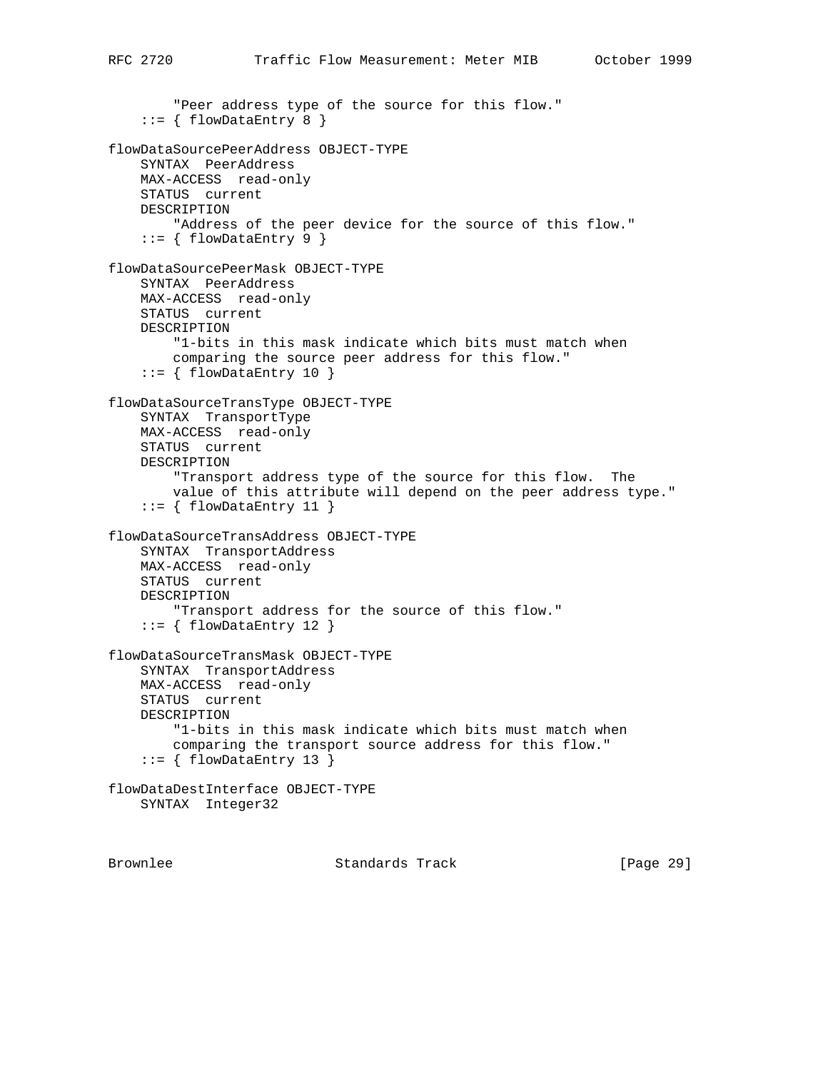```
 "Peer address type of the source for this flow."
    ::= { flowDataEntry 8 }
flowDataSourcePeerAddress OBJECT-TYPE
     SYNTAX PeerAddress
    MAX-ACCESS read-only
    STATUS current
    DESCRIPTION
         "Address of the peer device for the source of this flow."
    ::= { flowDataEntry 9 }
flowDataSourcePeerMask OBJECT-TYPE
    SYNTAX PeerAddress
    MAX-ACCESS read-only
    STATUS current
    DESCRIPTION
         "1-bits in this mask indicate which bits must match when
        comparing the source peer address for this flow."
    ::= { flowDataEntry 10 }
flowDataSourceTransType OBJECT-TYPE
     SYNTAX TransportType
    MAX-ACCESS read-only
    STATUS current
    DESCRIPTION
         "Transport address type of the source for this flow. The
         value of this attribute will depend on the peer address type."
    ::= { flowDataEntry 11 }
flowDataSourceTransAddress OBJECT-TYPE
    SYNTAX TransportAddress
    MAX-ACCESS read-only
    STATUS current
    DESCRIPTION
         "Transport address for the source of this flow."
     ::= { flowDataEntry 12 }
flowDataSourceTransMask OBJECT-TYPE
     SYNTAX TransportAddress
    MAX-ACCESS read-only
    STATUS current
    DESCRIPTION
         "1-bits in this mask indicate which bits must match when
         comparing the transport source address for this flow."
    ::= { flowDataEntry 13 }
flowDataDestInterface OBJECT-TYPE
    SYNTAX Integer32
```
Brownlee Standards Track [Page 29]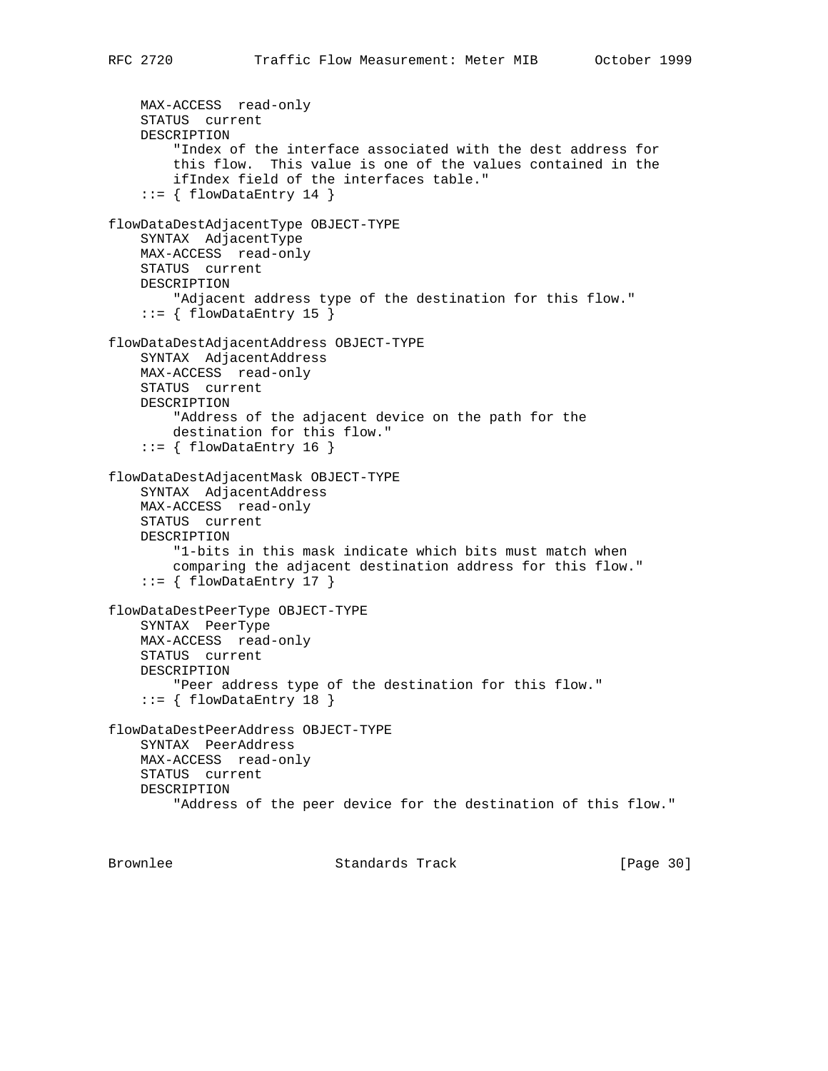```
 MAX-ACCESS read-only
     STATUS current
     DESCRIPTION
         "Index of the interface associated with the dest address for
         this flow. This value is one of the values contained in the
         ifIndex field of the interfaces table."
     ::= { flowDataEntry 14 }
flowDataDestAdjacentType OBJECT-TYPE
     SYNTAX AdjacentType
     MAX-ACCESS read-only
     STATUS current
     DESCRIPTION
         "Adjacent address type of the destination for this flow."
    ::= { flowDataEntry 15 }
flowDataDestAdjacentAddress OBJECT-TYPE
     SYNTAX AdjacentAddress
    MAX-ACCESS read-only
     STATUS current
    DESCRIPTION
         "Address of the adjacent device on the path for the
         destination for this flow."
    ::= { flowDataEntry 16 }
flowDataDestAdjacentMask OBJECT-TYPE
     SYNTAX AdjacentAddress
     MAX-ACCESS read-only
     STATUS current
     DESCRIPTION
         "1-bits in this mask indicate which bits must match when
         comparing the adjacent destination address for this flow."
    ::= { flowDataEntry 17 }
flowDataDestPeerType OBJECT-TYPE
     SYNTAX PeerType
    MAX-ACCESS read-only
     STATUS current
     DESCRIPTION
         "Peer address type of the destination for this flow."
    ::= { flowDataEntry 18 }
flowDataDestPeerAddress OBJECT-TYPE
     SYNTAX PeerAddress
     MAX-ACCESS read-only
     STATUS current
     DESCRIPTION
         "Address of the peer device for the destination of this flow."
```
Brownlee Standards Track [Page 30]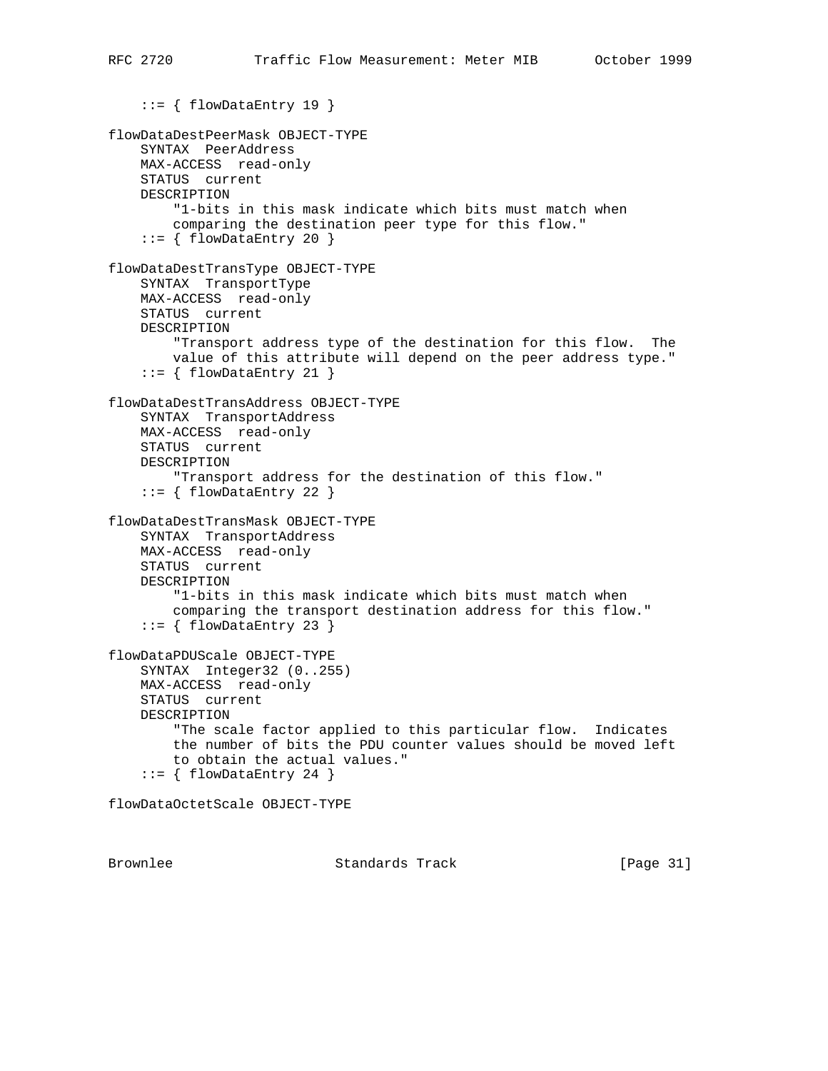```
 ::= { flowDataEntry 19 }
flowDataDestPeerMask OBJECT-TYPE
     SYNTAX PeerAddress
     MAX-ACCESS read-only
     STATUS current
     DESCRIPTION
         "1-bits in this mask indicate which bits must match when
         comparing the destination peer type for this flow."
     ::= { flowDataEntry 20 }
flowDataDestTransType OBJECT-TYPE
     SYNTAX TransportType
     MAX-ACCESS read-only
     STATUS current
     DESCRIPTION
         "Transport address type of the destination for this flow. The
         value of this attribute will depend on the peer address type."
    ::= { flowDataEntry 21 }
flowDataDestTransAddress OBJECT-TYPE
     SYNTAX TransportAddress
    MAX-ACCESS read-only
     STATUS current
     DESCRIPTION
         "Transport address for the destination of this flow."
    ::= { flowDataEntry 22 }
flowDataDestTransMask OBJECT-TYPE
     SYNTAX TransportAddress
    MAX-ACCESS read-only
     STATUS current
     DESCRIPTION
         "1-bits in this mask indicate which bits must match when
         comparing the transport destination address for this flow."
    ::= { flowDataEntry 23 }
flowDataPDUScale OBJECT-TYPE
     SYNTAX Integer32 (0..255)
     MAX-ACCESS read-only
     STATUS current
     DESCRIPTION
         "The scale factor applied to this particular flow. Indicates
         the number of bits the PDU counter values should be moved left
         to obtain the actual values."
     ::= { flowDataEntry 24 }
```
flowDataOctetScale OBJECT-TYPE

Brownlee Standards Track [Page 31]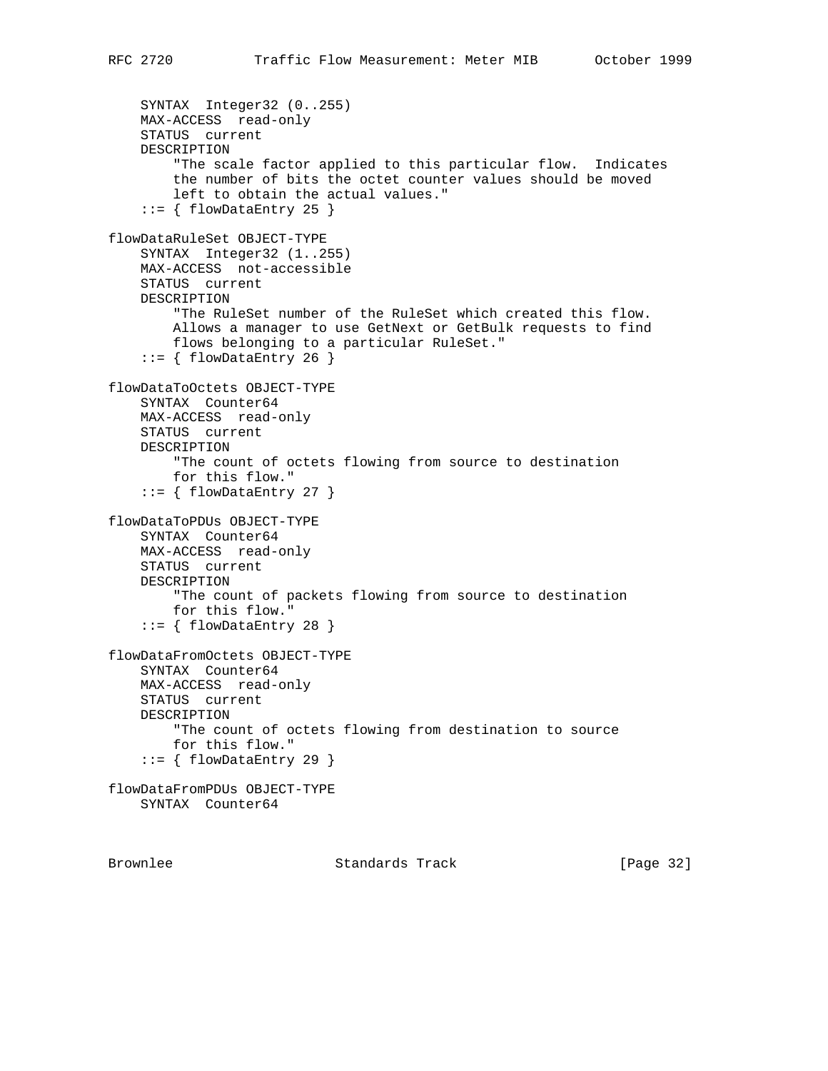```
 SYNTAX Integer32 (0..255)
     MAX-ACCESS read-only
     STATUS current
     DESCRIPTION
         "The scale factor applied to this particular flow. Indicates
         the number of bits the octet counter values should be moved
         left to obtain the actual values."
    ::= { flowDataEntry 25 }
flowDataRuleSet OBJECT-TYPE
     SYNTAX Integer32 (1..255)
     MAX-ACCESS not-accessible
     STATUS current
     DESCRIPTION
         "The RuleSet number of the RuleSet which created this flow.
         Allows a manager to use GetNext or GetBulk requests to find
         flows belonging to a particular RuleSet."
    ::= { flowDataEntry 26 }
flowDataToOctets OBJECT-TYPE
     SYNTAX Counter64
    MAX-ACCESS read-only
    STATUS current
    DESCRIPTION
         "The count of octets flowing from source to destination
         for this flow."
     ::= { flowDataEntry 27 }
flowDataToPDUs OBJECT-TYPE
     SYNTAX Counter64
    MAX-ACCESS read-only
     STATUS current
    DESCRIPTION
         "The count of packets flowing from source to destination
         for this flow."
    ::= { flowDataEntry 28 }
flowDataFromOctets OBJECT-TYPE
     SYNTAX Counter64
     MAX-ACCESS read-only
     STATUS current
     DESCRIPTION
         "The count of octets flowing from destination to source
         for this flow."
     ::= { flowDataEntry 29 }
flowDataFromPDUs OBJECT-TYPE
     SYNTAX Counter64
```
Brownlee Standards Track [Page 32]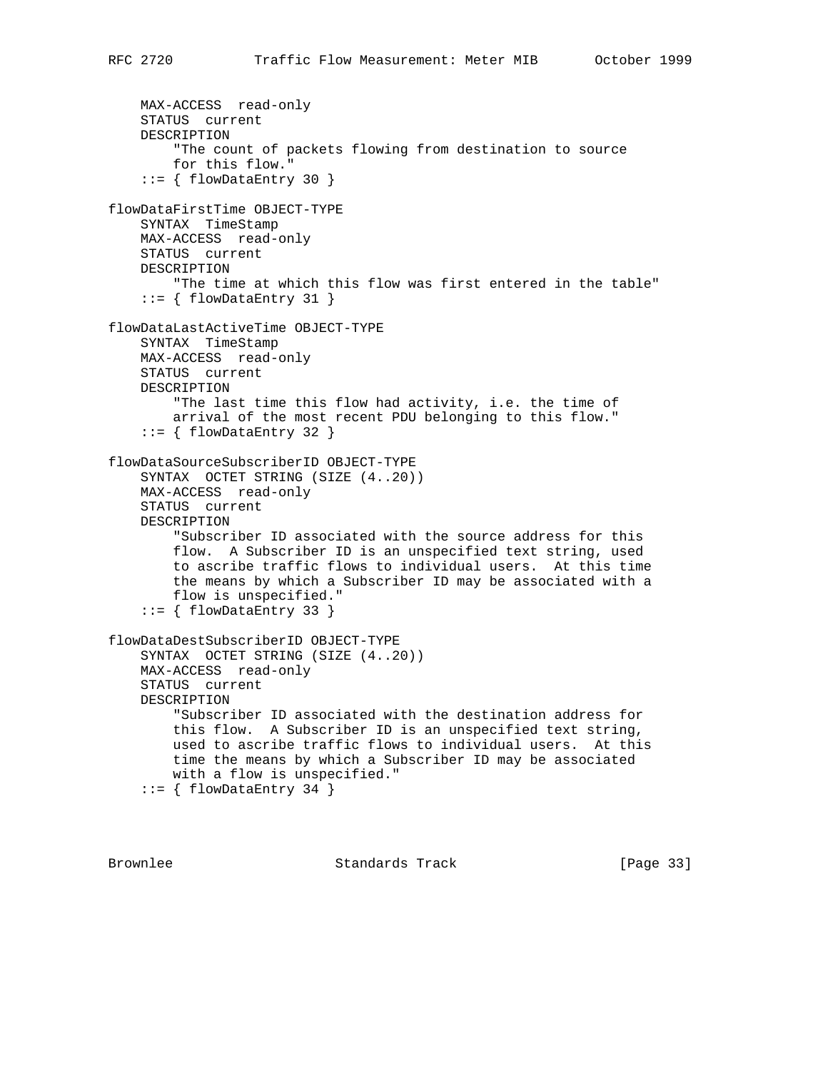```
 MAX-ACCESS read-only
    STATUS current
    DESCRIPTION
         "The count of packets flowing from destination to source
        for this flow."
     ::= { flowDataEntry 30 }
flowDataFirstTime OBJECT-TYPE
    SYNTAX TimeStamp
    MAX-ACCESS read-only
    STATUS current
    DESCRIPTION
         "The time at which this flow was first entered in the table"
    ::= { flowDataEntry 31 }
flowDataLastActiveTime OBJECT-TYPE
    SYNTAX TimeStamp
    MAX-ACCESS read-only
    STATUS current
    DESCRIPTION
         "The last time this flow had activity, i.e. the time of
        arrival of the most recent PDU belonging to this flow."
    ::= { flowDataEntry 32 }
flowDataSourceSubscriberID OBJECT-TYPE
     SYNTAX OCTET STRING (SIZE (4..20))
    MAX-ACCESS read-only
    STATUS current
    DESCRIPTION
         "Subscriber ID associated with the source address for this
        flow. A Subscriber ID is an unspecified text string, used
         to ascribe traffic flows to individual users. At this time
         the means by which a Subscriber ID may be associated with a
         flow is unspecified."
     ::= { flowDataEntry 33 }
flowDataDestSubscriberID OBJECT-TYPE
     SYNTAX OCTET STRING (SIZE (4..20))
    MAX-ACCESS read-only
     STATUS current
    DESCRIPTION
         "Subscriber ID associated with the destination address for
         this flow. A Subscriber ID is an unspecified text string,
        used to ascribe traffic flows to individual users. At this
        time the means by which a Subscriber ID may be associated
        with a flow is unspecified."
    ::= { flowDataEntry 34 }
```
Brownlee Standards Track [Page 33]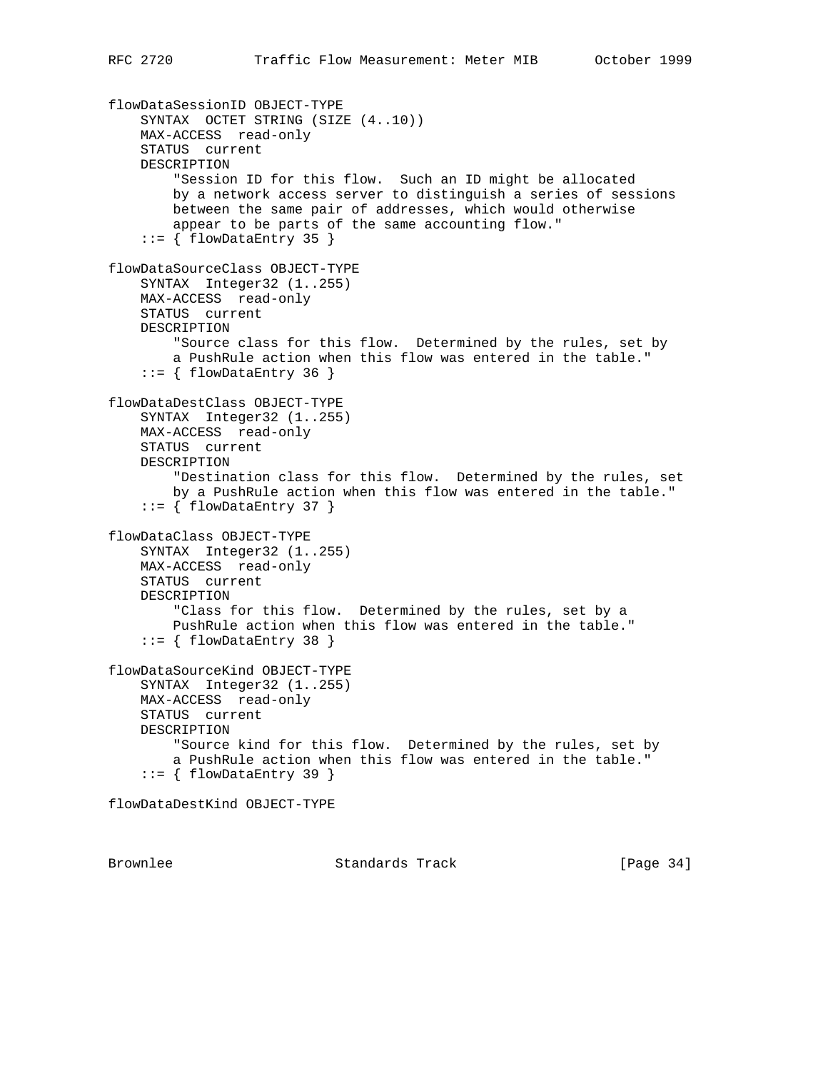```
flowDataSessionID OBJECT-TYPE
     SYNTAX OCTET STRING (SIZE (4..10))
    MAX-ACCESS read-only
     STATUS current
    DESCRIPTION
         "Session ID for this flow. Such an ID might be allocated
        by a network access server to distinguish a series of sessions
        between the same pair of addresses, which would otherwise
         appear to be parts of the same accounting flow."
    ::= { flowDataEntry 35 }
flowDataSourceClass OBJECT-TYPE
     SYNTAX Integer32 (1..255)
    MAX-ACCESS read-only
    STATUS current
    DESCRIPTION
         "Source class for this flow. Determined by the rules, set by
        a PushRule action when this flow was entered in the table."
    ::= { flowDataEntry 36 }
flowDataDestClass OBJECT-TYPE
     SYNTAX Integer32 (1..255)
    MAX-ACCESS read-only
    STATUS current
    DESCRIPTION
         "Destination class for this flow. Determined by the rules, set
        by a PushRule action when this flow was entered in the table."
    ::= { flowDataEntry 37 }
flowDataClass OBJECT-TYPE
    SYNTAX Integer32 (1..255)
    MAX-ACCESS read-only
    STATUS current
    DESCRIPTION
         "Class for this flow. Determined by the rules, set by a
        PushRule action when this flow was entered in the table."
     ::= { flowDataEntry 38 }
flowDataSourceKind OBJECT-TYPE
    SYNTAX Integer32 (1..255)
    MAX-ACCESS read-only
    STATUS current
    DESCRIPTION
         "Source kind for this flow. Determined by the rules, set by
         a PushRule action when this flow was entered in the table."
     ::= { flowDataEntry 39 }
flowDataDestKind OBJECT-TYPE
```
Brownlee Standards Track [Page 34]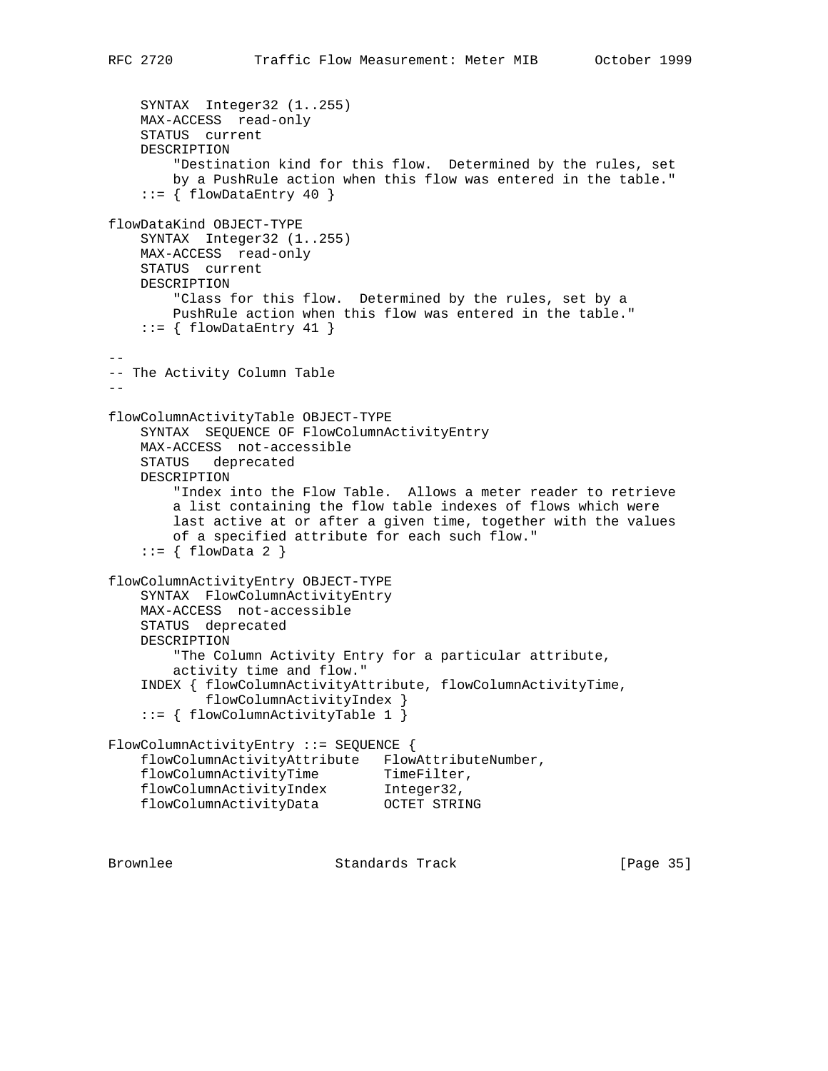```
 SYNTAX Integer32 (1..255)
    MAX-ACCESS read-only
    STATUS current
    DESCRIPTION
         "Destination kind for this flow. Determined by the rules, set
        by a PushRule action when this flow was entered in the table."
    ::= { flowDataEntry 40 }
flowDataKind OBJECT-TYPE
     SYNTAX Integer32 (1..255)
    MAX-ACCESS read-only
    STATUS current
    DESCRIPTION
         "Class for this flow. Determined by the rules, set by a
        PushRule action when this flow was entered in the table."
    ::= { flowDataEntry 41 }
--
-- The Activity Column Table
--flowColumnActivityTable OBJECT-TYPE
     SYNTAX SEQUENCE OF FlowColumnActivityEntry
    MAX-ACCESS not-accessible
    STATUS deprecated
    DESCRIPTION
         "Index into the Flow Table. Allows a meter reader to retrieve
        a list containing the flow table indexes of flows which were
        last active at or after a given time, together with the values
        of a specified attribute for each such flow."
    ::= \{ \text{flowData 2 } \}flowColumnActivityEntry OBJECT-TYPE
    SYNTAX FlowColumnActivityEntry
    MAX-ACCESS not-accessible
    STATUS deprecated
    DESCRIPTION
         "The Column Activity Entry for a particular attribute,
        activity time and flow."
     INDEX { flowColumnActivityAttribute, flowColumnActivityTime,
            flowColumnActivityIndex }
     ::= { flowColumnActivityTable 1 }
FlowColumnActivityEntry ::= SEQUENCE {
     flowColumnActivityAttribute FlowAttributeNumber,
flowColumnActivityTime TimeFilter,
 flowColumnActivityIndex Integer32,
 flowColumnActivityData OCTET STRING
```
Brownlee Standards Track [Page 35]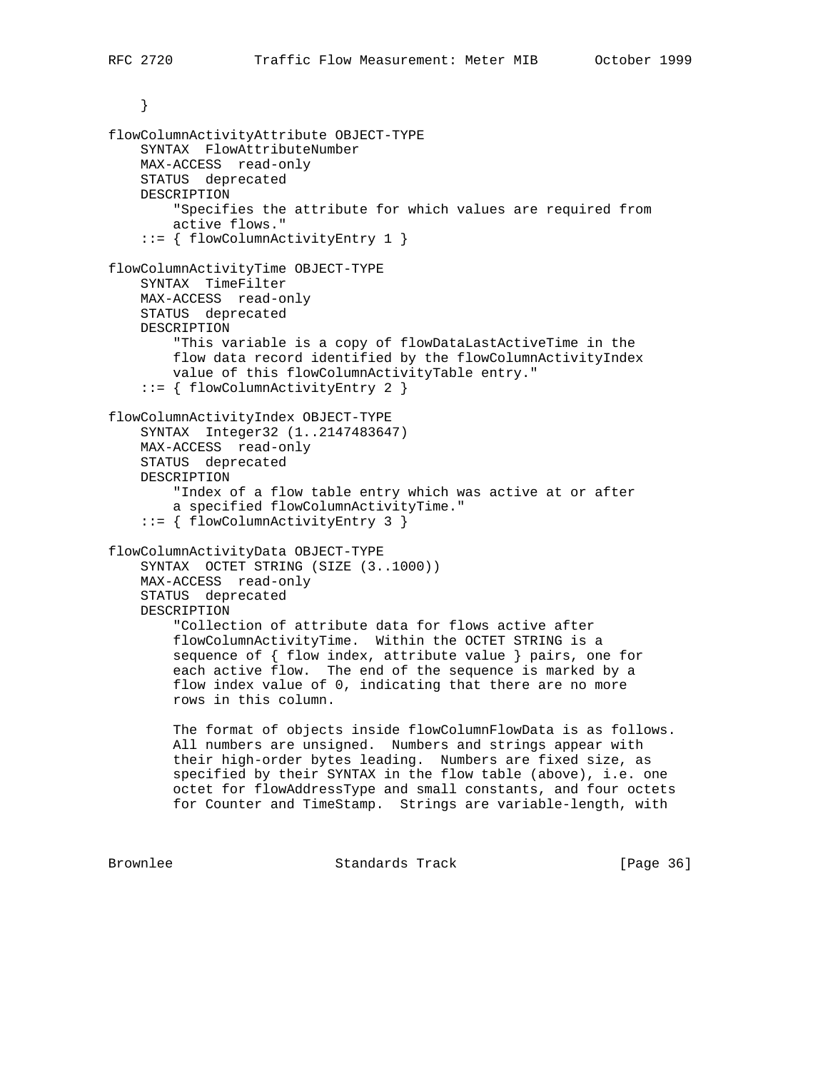```
 }
flowColumnActivityAttribute OBJECT-TYPE
     SYNTAX FlowAttributeNumber
    MAX-ACCESS read-only
    STATUS deprecated
    DESCRIPTION
         "Specifies the attribute for which values are required from
        active flows."
     ::= { flowColumnActivityEntry 1 }
flowColumnActivityTime OBJECT-TYPE
     SYNTAX TimeFilter
    MAX-ACCESS read-only
    STATUS deprecated
    DESCRIPTION
         "This variable is a copy of flowDataLastActiveTime in the
         flow data record identified by the flowColumnActivityIndex
        value of this flowColumnActivityTable entry."
     ::= { flowColumnActivityEntry 2 }
flowColumnActivityIndex OBJECT-TYPE
     SYNTAX Integer32 (1..2147483647)
    MAX-ACCESS read-only
    STATUS deprecated
    DESCRIPTION
         "Index of a flow table entry which was active at or after
        a specified flowColumnActivityTime."
     ::= { flowColumnActivityEntry 3 }
flowColumnActivityData OBJECT-TYPE
     SYNTAX OCTET STRING (SIZE (3..1000))
    MAX-ACCESS read-only
     STATUS deprecated
    DESCRIPTION
         "Collection of attribute data for flows active after
         flowColumnActivityTime. Within the OCTET STRING is a
         sequence of { flow index, attribute value } pairs, one for
        each active flow. The end of the sequence is marked by a
         flow index value of 0, indicating that there are no more
        rows in this column.
       The format of objects inside flowColumnFlowData is as follows.
        All numbers are unsigned. Numbers and strings appear with
        their high-order bytes leading. Numbers are fixed size, as
        specified by their SYNTAX in the flow table (above), i.e. one
        octet for flowAddressType and small constants, and four octets
        for Counter and TimeStamp. Strings are variable-length, with
Brownlee Standards Track [Page 36]
```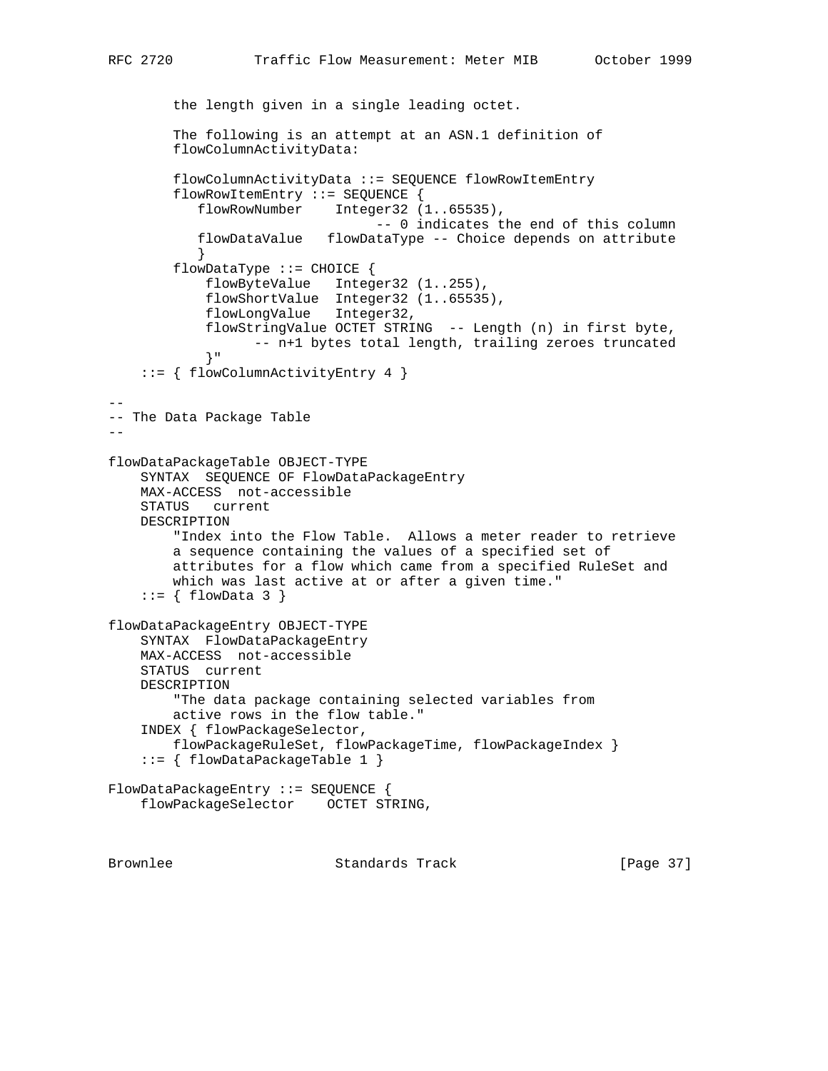```
 the length given in a single leading octet.
        The following is an attempt at an ASN.1 definition of
        flowColumnActivityData:
        flowColumnActivityData ::= SEQUENCE flowRowItemEntry
        flowRowItemEntry ::= SEQUENCE {
           flowRowNumber Integer32 (1..65535),
                                -- 0 indicates the end of this column
           flowDataValue flowDataType -- Choice depends on attribute
 }
        flowDataType ::= CHOICE {
            flowByteValue Integer32 (1..255),
 flowShortValue Integer32 (1..65535),
 flowLongValue Integer32,
            flowStringValue OCTET STRING -- Length (n) in first byte,
                  -- n+1 bytes total length, trailing zeroes truncated
            }"
     ::= { flowColumnActivityEntry 4 }
--
-- The Data Package Table
-flowDataPackageTable OBJECT-TYPE
    SYNTAX SEQUENCE OF FlowDataPackageEntry
    MAX-ACCESS not-accessible
    STATUS current
    DESCRIPTION
        "Index into the Flow Table. Allows a meter reader to retrieve
        a sequence containing the values of a specified set of
        attributes for a flow which came from a specified RuleSet and
        which was last active at or after a given time."
    ::= \{ \text{flowData } 3 \}flowDataPackageEntry OBJECT-TYPE
    SYNTAX FlowDataPackageEntry
    MAX-ACCESS not-accessible
    STATUS current
    DESCRIPTION
        "The data package containing selected variables from
        active rows in the flow table."
     INDEX { flowPackageSelector,
        flowPackageRuleSet, flowPackageTime, flowPackageIndex }
     ::= { flowDataPackageTable 1 }
FlowDataPackageEntry ::= SEQUENCE {
    flowPackageSelector OCTET STRING,
Brownlee Standards Track [Page 37]
```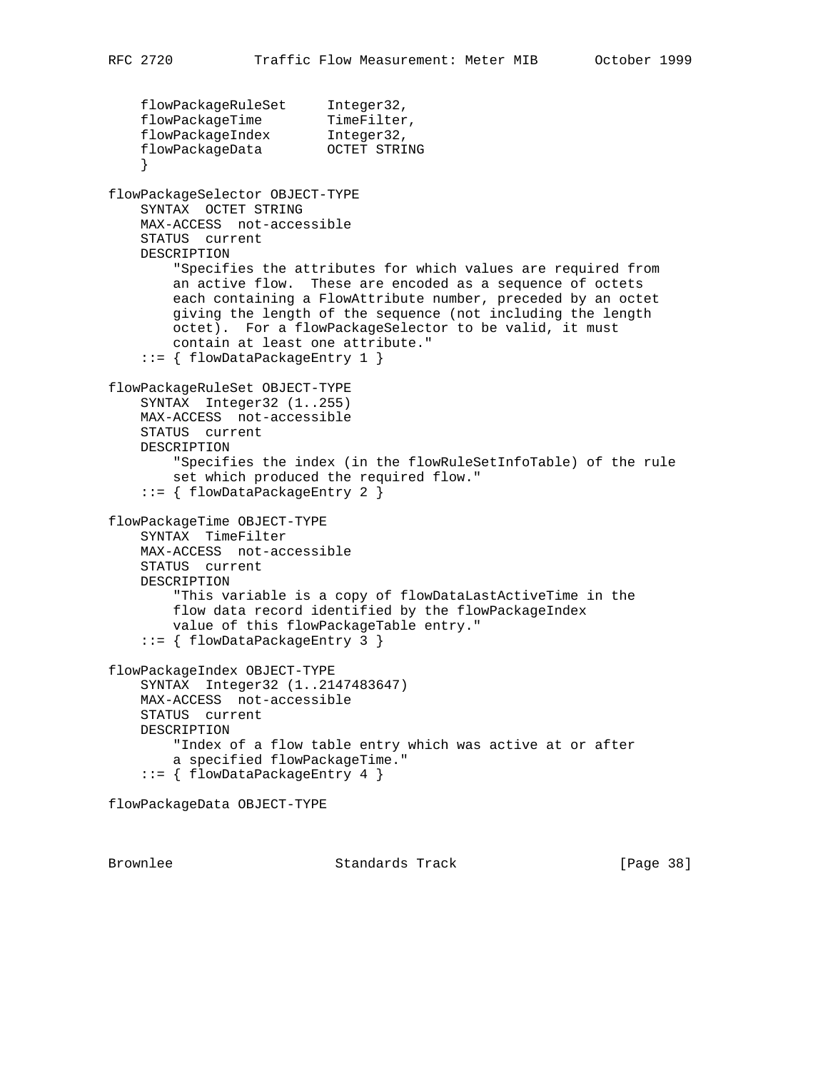```
 flowPackageRuleSet Integer32,
flowPackageTime TimeFilter,
 flowPackageIndex Integer32,
 flowPackageData OCTET STRING
 }
flowPackageSelector OBJECT-TYPE
     SYNTAX OCTET STRING
    MAX-ACCESS not-accessible
    STATUS current
    DESCRIPTION
         "Specifies the attributes for which values are required from
        an active flow. These are encoded as a sequence of octets
        each containing a FlowAttribute number, preceded by an octet
        giving the length of the sequence (not including the length
        octet). For a flowPackageSelector to be valid, it must
        contain at least one attribute."
     ::= { flowDataPackageEntry 1 }
flowPackageRuleSet OBJECT-TYPE
    SYNTAX Integer32 (1..255)
    MAX-ACCESS not-accessible
    STATUS current
    DESCRIPTION
         "Specifies the index (in the flowRuleSetInfoTable) of the rule
         set which produced the required flow."
     ::= { flowDataPackageEntry 2 }
flowPackageTime OBJECT-TYPE
     SYNTAX TimeFilter
    MAX-ACCESS not-accessible
    STATUS current
    DESCRIPTION
         "This variable is a copy of flowDataLastActiveTime in the
         flow data record identified by the flowPackageIndex
        value of this flowPackageTable entry."
     ::= { flowDataPackageEntry 3 }
flowPackageIndex OBJECT-TYPE
    SYNTAX Integer32 (1..2147483647)
    MAX-ACCESS not-accessible
    STATUS current
    DESCRIPTION
         "Index of a flow table entry which was active at or after
        a specified flowPackageTime."
     ::= { flowDataPackageEntry 4 }
flowPackageData OBJECT-TYPE
```
Brownlee Standards Track [Page 38]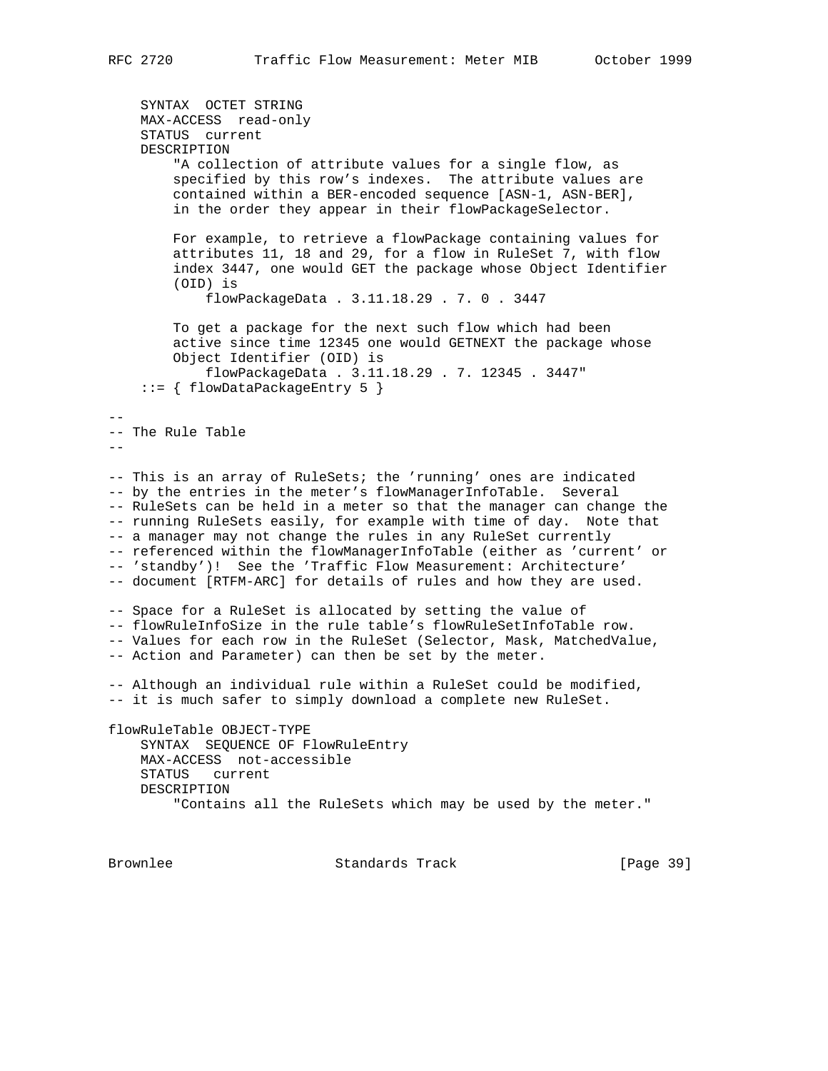SYNTAX OCTET STRING MAX-ACCESS read-only STATUS current DESCRIPTION "A collection of attribute values for a single flow, as specified by this row's indexes. The attribute values are contained within a BER-encoded sequence [ASN-1, ASN-BER], in the order they appear in their flowPackageSelector. For example, to retrieve a flowPackage containing values for attributes 11, 18 and 29, for a flow in RuleSet 7, with flow index 3447, one would GET the package whose Object Identifier (OID) is flowPackageData . 3.11.18.29 . 7. 0 . 3447 To get a package for the next such flow which had been active since time 12345 one would GETNEXT the package whose Object Identifier (OID) is flowPackageData . 3.11.18.29 . 7. 12345 . 3447" ::= { flowDataPackageEntry 5 } -- -- The Rule Table  $-$ -- This is an array of RuleSets; the 'running' ones are indicated -- by the entries in the meter's flowManagerInfoTable. Several -- RuleSets can be held in a meter so that the manager can change the -- running RuleSets easily, for example with time of day. Note that -- a manager may not change the rules in any RuleSet currently -- referenced within the flowManagerInfoTable (either as 'current' or -- 'standby')! See the 'Traffic Flow Measurement: Architecture' -- document [RTFM-ARC] for details of rules and how they are used. -- Space for a RuleSet is allocated by setting the value of -- flowRuleInfoSize in the rule table's flowRuleSetInfoTable row. -- Values for each row in the RuleSet (Selector, Mask, MatchedValue, -- Action and Parameter) can then be set by the meter. -- Although an individual rule within a RuleSet could be modified, -- it is much safer to simply download a complete new RuleSet. flowRuleTable OBJECT-TYPE SYNTAX SEQUENCE OF FlowRuleEntry MAX-ACCESS not-accessible STATUS current DESCRIPTION "Contains all the RuleSets which may be used by the meter." Brownlee Standards Track [Page 39]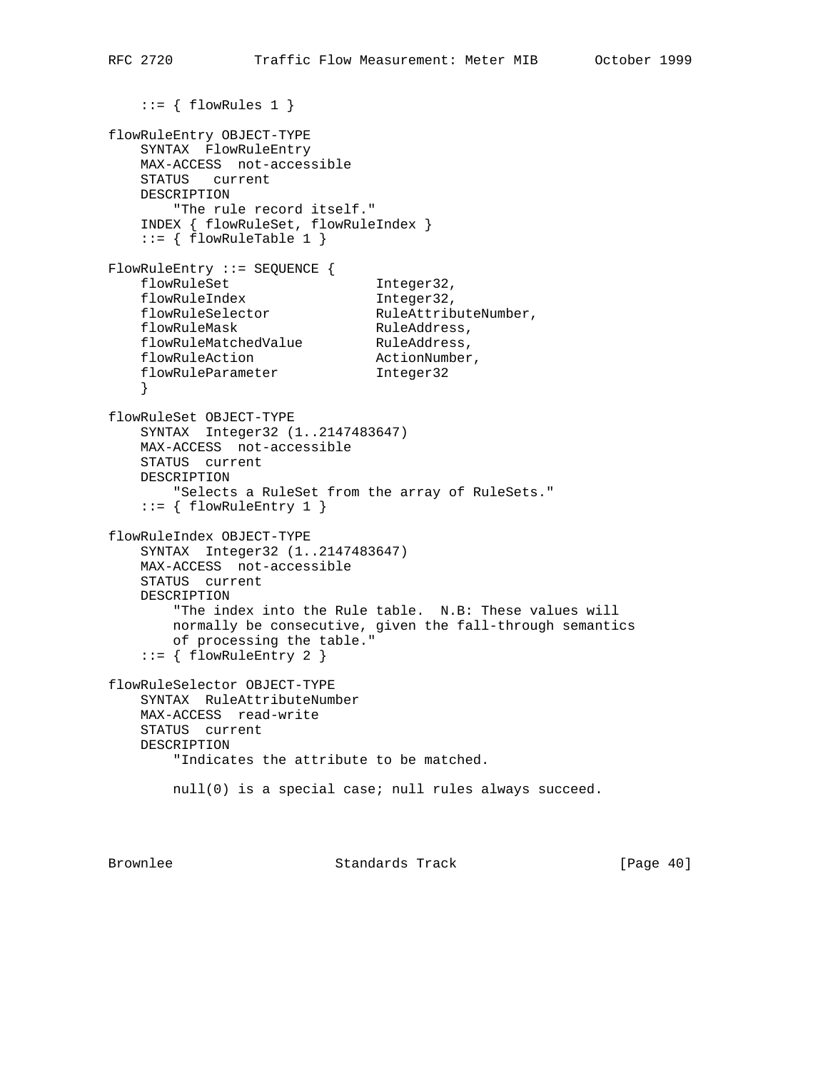```
::= \{ \text{flowRules 1 } \}flowRuleEntry OBJECT-TYPE
    SYNTAX FlowRuleEntry
    MAX-ACCESS not-accessible
    STATUS current
    DESCRIPTION
         "The rule record itself."
     INDEX { flowRuleSet, flowRuleIndex }
    ::= { flowRuleTable 1 }
FlowRuleEntry ::= SEQUENCE {
   flowRuleSet 1nteger32,<br>flowRuleIndex 1nteger32,
   flowRuleIndex                        Integer32,<br>flowRuleSelector                   RuleAttributeNumber,
flowRuleSelector RuleAttributeNumber,
flowRuleMask RuleAddress,
flowRuleMatchedValue RuleAddress,
flowRuleAction ActionNumber,
flowRuleParameter 1nteger32
     }
flowRuleSet OBJECT-TYPE
    SYNTAX Integer32 (1..2147483647)
    MAX-ACCESS not-accessible
    STATUS current
    DESCRIPTION
         "Selects a RuleSet from the array of RuleSets."
    ::= { flowRuleEntry 1 }
flowRuleIndex OBJECT-TYPE
    SYNTAX Integer32 (1..2147483647)
    MAX-ACCESS not-accessible
    STATUS current
    DESCRIPTION
         "The index into the Rule table. N.B: These values will
        normally be consecutive, given the fall-through semantics
        of processing the table."
    ::= { flowRuleEntry 2 }
flowRuleSelector OBJECT-TYPE
    SYNTAX RuleAttributeNumber
    MAX-ACCESS read-write
    STATUS current
    DESCRIPTION
         "Indicates the attribute to be matched.
        null(0) is a special case; null rules always succeed.
```
Brownlee Standards Track [Page 40]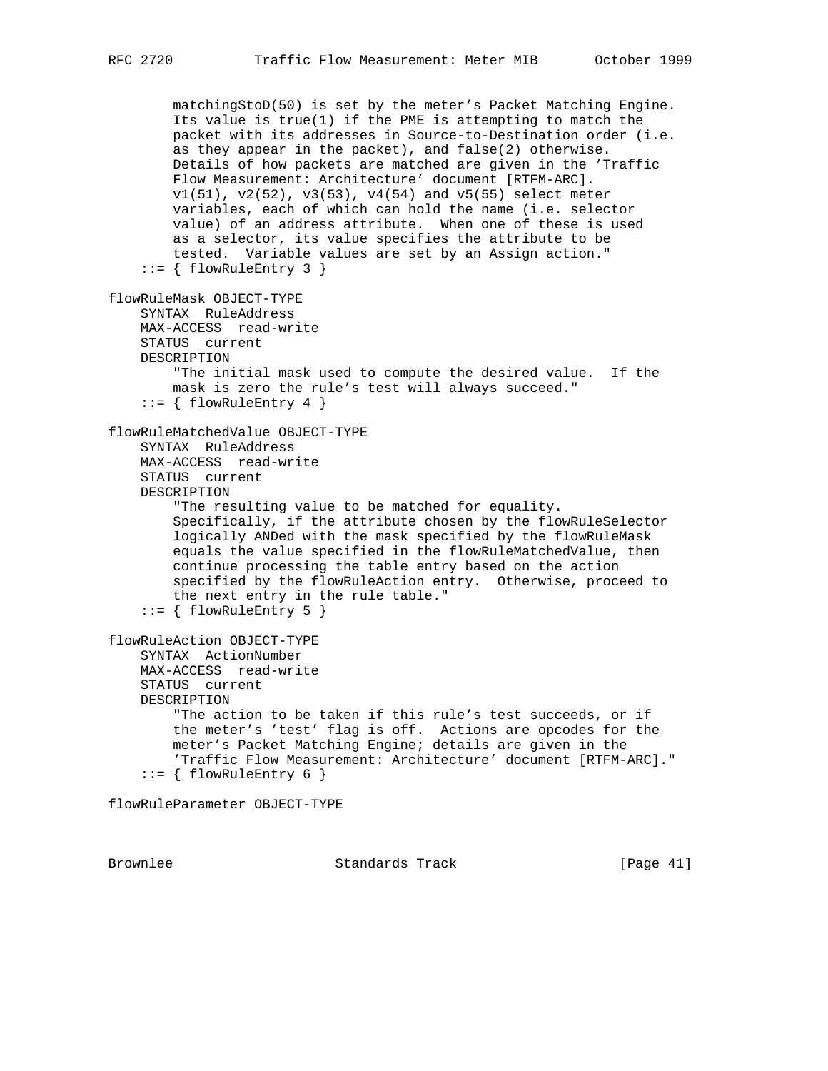matchingStoD(50) is set by the meter's Packet Matching Engine. Its value is true(1) if the PME is attempting to match the packet with its addresses in Source-to-Destination order (i.e. as they appear in the packet), and false(2) otherwise. Details of how packets are matched are given in the 'Traffic Flow Measurement: Architecture' document [RTFM-ARC]. v1(51), v2(52), v3(53), v4(54) and v5(55) select meter variables, each of which can hold the name (i.e. selector value) of an address attribute. When one of these is used as a selector, its value specifies the attribute to be tested. Variable values are set by an Assign action."  $::=$  { flowRuleEntry 3 } flowRuleMask OBJECT-TYPE SYNTAX RuleAddress MAX-ACCESS read-write STATUS current DESCRIPTION "The initial mask used to compute the desired value. If the mask is zero the rule's test will always succeed."  $::=$  { flowRuleEntry 4 } flowRuleMatchedValue OBJECT-TYPE SYNTAX RuleAddress MAX-ACCESS read-write STATUS current DESCRIPTION "The resulting value to be matched for equality. Specifically, if the attribute chosen by the flowRuleSelector logically ANDed with the mask specified by the flowRuleMask equals the value specified in the flowRuleMatchedValue, then continue processing the table entry based on the action specified by the flowRuleAction entry. Otherwise, proceed to the next entry in the rule table."  $::= \{ \text{flowRuleEntry 5 } \}$ flowRuleAction OBJECT-TYPE SYNTAX ActionNumber MAX-ACCESS read-write STATUS current DESCRIPTION "The action to be taken if this rule's test succeeds, or if the meter's 'test' flag is off. Actions are opcodes for the meter's Packet Matching Engine; details are given in the 'Traffic Flow Measurement: Architecture' document [RTFM-ARC]."  $::=$  { flowRuleEntry 6 } flowRuleParameter OBJECT-TYPE

Brownlee Standards Track [Page 41]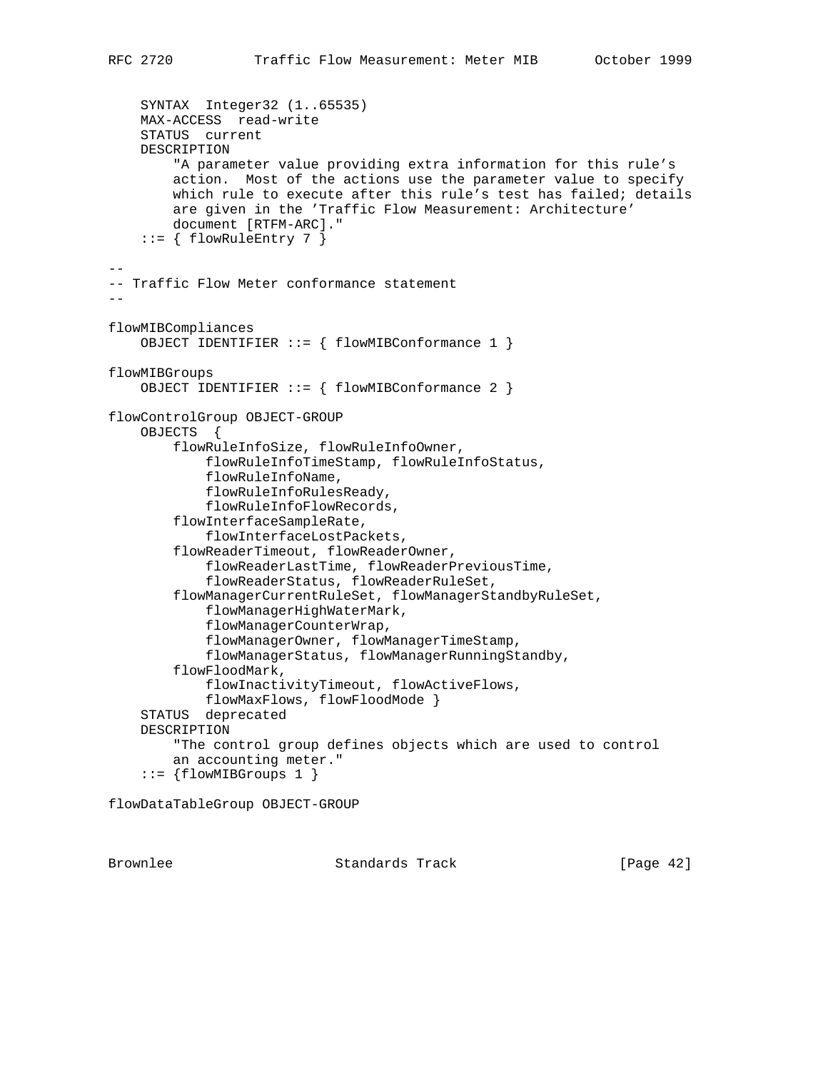```
 SYNTAX Integer32 (1..65535)
     MAX-ACCESS read-write
     STATUS current
     DESCRIPTION
         "A parameter value providing extra information for this rule's
         action. Most of the actions use the parameter value to specify
         which rule to execute after this rule's test has failed; details
         are given in the 'Traffic Flow Measurement: Architecture'
         document [RTFM-ARC]."
    ::= { flowRuleEntry 7 }
--
-- Traffic Flow Meter conformance statement
--
flowMIBCompliances
     OBJECT IDENTIFIER ::= { flowMIBConformance 1 }
flowMIBGroups
     OBJECT IDENTIFIER ::= { flowMIBConformance 2 }
flowControlGroup OBJECT-GROUP
     OBJECTS {
         flowRuleInfoSize, flowRuleInfoOwner,
             flowRuleInfoTimeStamp, flowRuleInfoStatus,
             flowRuleInfoName,
             flowRuleInfoRulesReady,
             flowRuleInfoFlowRecords,
         flowInterfaceSampleRate,
             flowInterfaceLostPackets,
         flowReaderTimeout, flowReaderOwner,
             flowReaderLastTime, flowReaderPreviousTime,
             flowReaderStatus, flowReaderRuleSet,
         flowManagerCurrentRuleSet, flowManagerStandbyRuleSet,
             flowManagerHighWaterMark,
             flowManagerCounterWrap,
             flowManagerOwner, flowManagerTimeStamp,
             flowManagerStatus, flowManagerRunningStandby,
         flowFloodMark,
             flowInactivityTimeout, flowActiveFlows,
             flowMaxFlows, flowFloodMode }
     STATUS deprecated
     DESCRIPTION
         "The control group defines objects which are used to control
         an accounting meter."
     ::= {flowMIBGroups 1 }
```
flowDataTableGroup OBJECT-GROUP

Brownlee Standards Track [Page 42]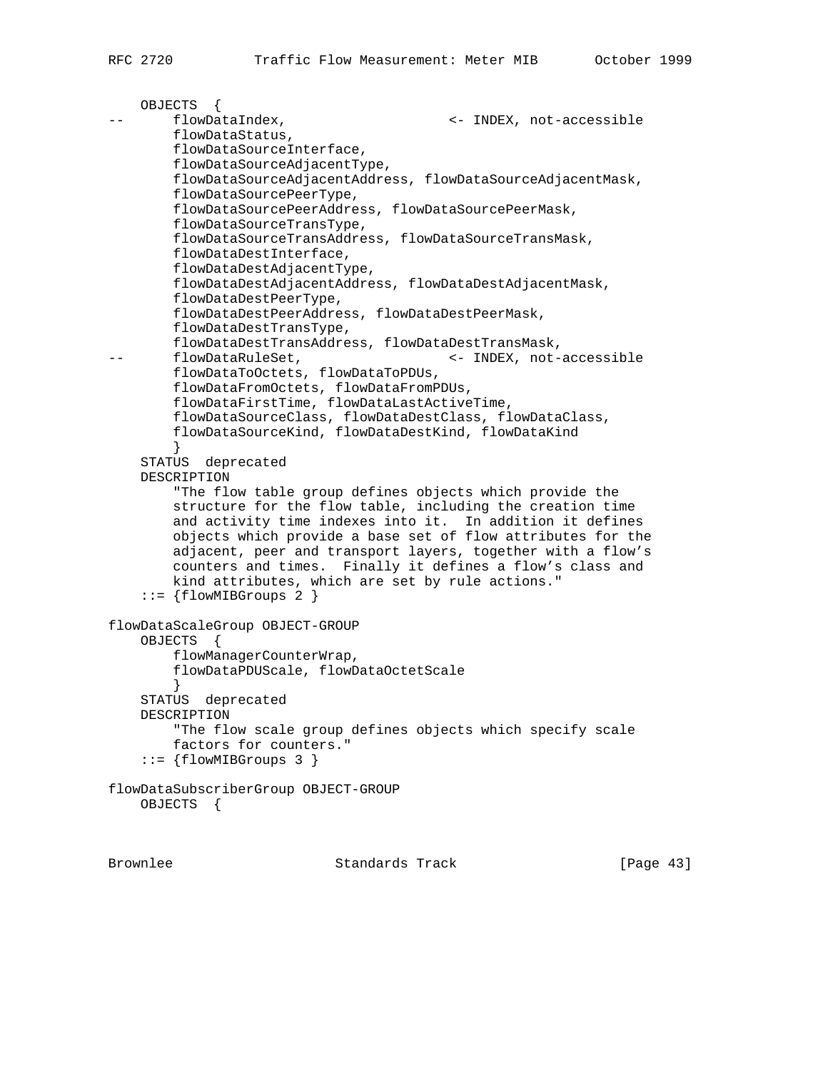```
 OBJECTS {
       flowDataIndex, \leftarrow INDEX, not-accessible
        flowDataStatus,
        flowDataSourceInterface,
        flowDataSourceAdjacentType,
        flowDataSourceAdjacentAddress, flowDataSourceAdjacentMask,
        flowDataSourcePeerType,
        flowDataSourcePeerAddress, flowDataSourcePeerMask,
        flowDataSourceTransType,
        flowDataSourceTransAddress, flowDataSourceTransMask,
        flowDataDestInterface,
        flowDataDestAdjacentType,
        flowDataDestAdjacentAddress, flowDataDestAdjacentMask,
         flowDataDestPeerType,
        flowDataDestPeerAddress, flowDataDestPeerMask,
        flowDataDestTransType,
        flowDataDestTransAddress, flowDataDestTransMask,
-- flowDataRuleSet, \leftarrow INDEX, not-accessible
        flowDataToOctets, flowDataToPDUs,
        flowDataFromOctets, flowDataFromPDUs,
        flowDataFirstTime, flowDataLastActiveTime,
        flowDataSourceClass, flowDataDestClass, flowDataClass,
        flowDataSourceKind, flowDataDestKind, flowDataKind
 }
     STATUS deprecated
    DESCRIPTION
         "The flow table group defines objects which provide the
         structure for the flow table, including the creation time
         and activity time indexes into it. In addition it defines
        objects which provide a base set of flow attributes for the
        adjacent, peer and transport layers, together with a flow's
        counters and times. Finally it defines a flow's class and
        kind attributes, which are set by rule actions."
     ::= {flowMIBGroups 2 }
flowDataScaleGroup OBJECT-GROUP
    OBJECTS {
         flowManagerCounterWrap,
        flowDataPDUScale, flowDataOctetScale
 }
     STATUS deprecated
    DESCRIPTION
        "The flow scale group defines objects which specify scale
        factors for counters."
    ::= {flowMIBGroups 3 }
flowDataSubscriberGroup OBJECT-GROUP
    OBJECTS {
```
Brownlee Standards Track [Page 43]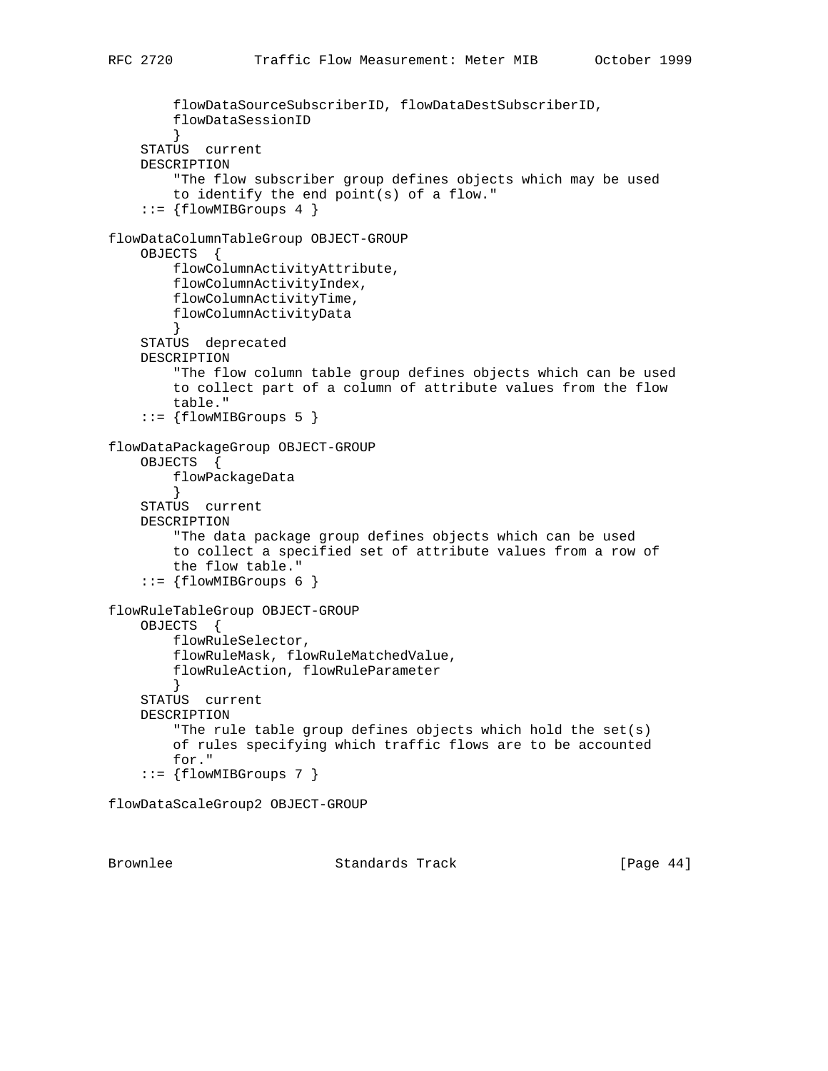```
 flowDataSourceSubscriberID, flowDataDestSubscriberID,
         flowDataSessionID
 }
     STATUS current
    DESCRIPTION
         "The flow subscriber group defines objects which may be used
         to identify the end point(s) of a flow."
    ::= {flowMIBGroups 4 }
flowDataColumnTableGroup OBJECT-GROUP
     OBJECTS {
        flowColumnActivityAttribute,
        flowColumnActivityIndex,
         flowColumnActivityTime,
         flowColumnActivityData
 }
    STATUS deprecated
    DESCRIPTION
         "The flow column table group defines objects which can be used
         to collect part of a column of attribute values from the flow
         table."
     ::= {flowMIBGroups 5 }
flowDataPackageGroup OBJECT-GROUP
     OBJECTS {
        flowPackageData
         }
     STATUS current
    DESCRIPTION
         "The data package group defines objects which can be used
         to collect a specified set of attribute values from a row of
        the flow table."
    ::= {flowMIBGroups 6 }
flowRuleTableGroup OBJECT-GROUP
     OBJECTS {
         flowRuleSelector,
         flowRuleMask, flowRuleMatchedValue,
         flowRuleAction, flowRuleParameter
 }
     STATUS current
     DESCRIPTION
         "The rule table group defines objects which hold the set(s)
         of rules specifying which traffic flows are to be accounted
        for."
     ::= {flowMIBGroups 7 }
```
flowDataScaleGroup2 OBJECT-GROUP

Brownlee Standards Track [Page 44]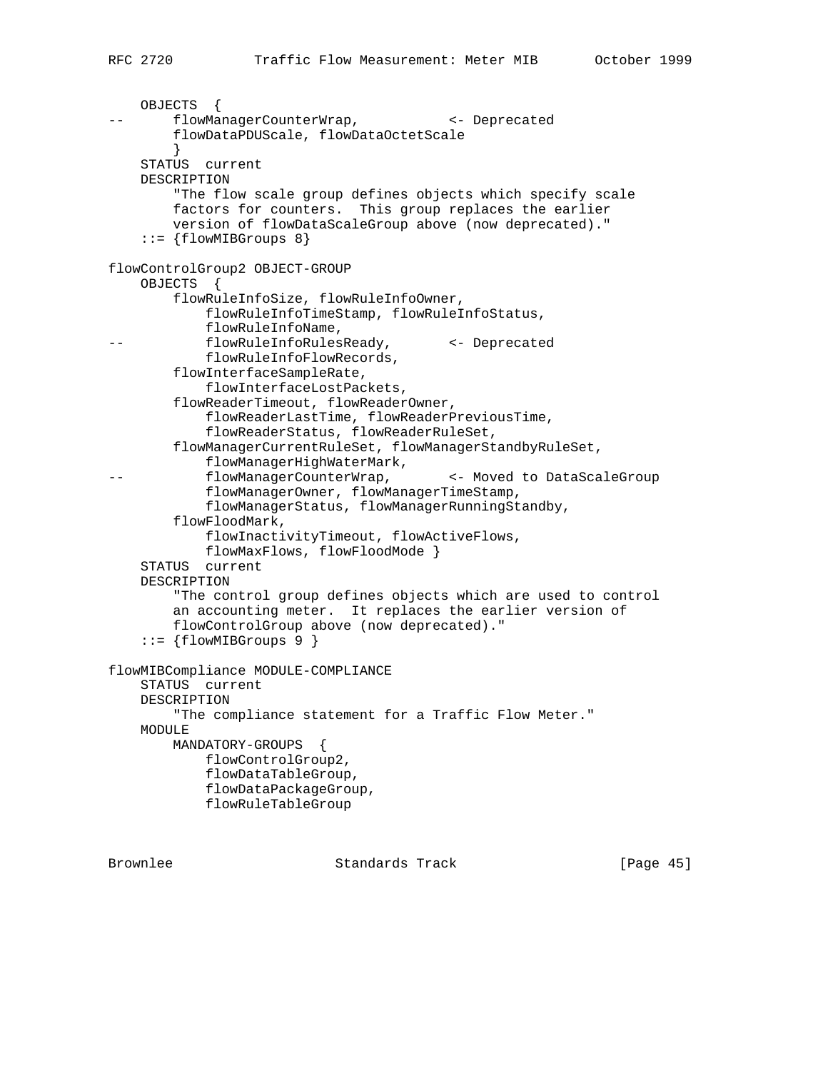```
 OBJECTS {
       flowManagerCounterWrap, <- Deprecated
        flowDataPDUScale, flowDataOctetScale
         }
    STATUS current
    DESCRIPTION
         "The flow scale group defines objects which specify scale
        factors for counters. This group replaces the earlier
        version of flowDataScaleGroup above (now deprecated)."
     ::= {flowMIBGroups 8}
flowControlGroup2 OBJECT-GROUP
     OBJECTS {
        flowRuleInfoSize, flowRuleInfoOwner,
            flowRuleInfoTimeStamp, flowRuleInfoStatus,
            flowRuleInfoName,
-- flowRuleInfoRulesReady, <- Deprecated
            flowRuleInfoFlowRecords,
        flowInterfaceSampleRate,
            flowInterfaceLostPackets,
         flowReaderTimeout, flowReaderOwner,
             flowReaderLastTime, flowReaderPreviousTime,
             flowReaderStatus, flowReaderRuleSet,
        flowManagerCurrentRuleSet, flowManagerStandbyRuleSet,
             flowManagerHighWaterMark,
-- flowManagerCounterWrap, <- Moved to DataScaleGroup
             flowManagerOwner, flowManagerTimeStamp,
             flowManagerStatus, flowManagerRunningStandby,
         flowFloodMark,
             flowInactivityTimeout, flowActiveFlows,
            flowMaxFlows, flowFloodMode }
     STATUS current
    DESCRIPTION
         "The control group defines objects which are used to control
         an accounting meter. It replaces the earlier version of
        flowControlGroup above (now deprecated)."
    ::= {flowMIBGroups 9 }
flowMIBCompliance MODULE-COMPLIANCE
     STATUS current
    DESCRIPTION
         "The compliance statement for a Traffic Flow Meter."
    MODULE
        MANDATORY-GROUPS {
            flowControlGroup2,
             flowDataTableGroup,
            flowDataPackageGroup,
            flowRuleTableGroup
```
Brownlee Standards Track [Page 45]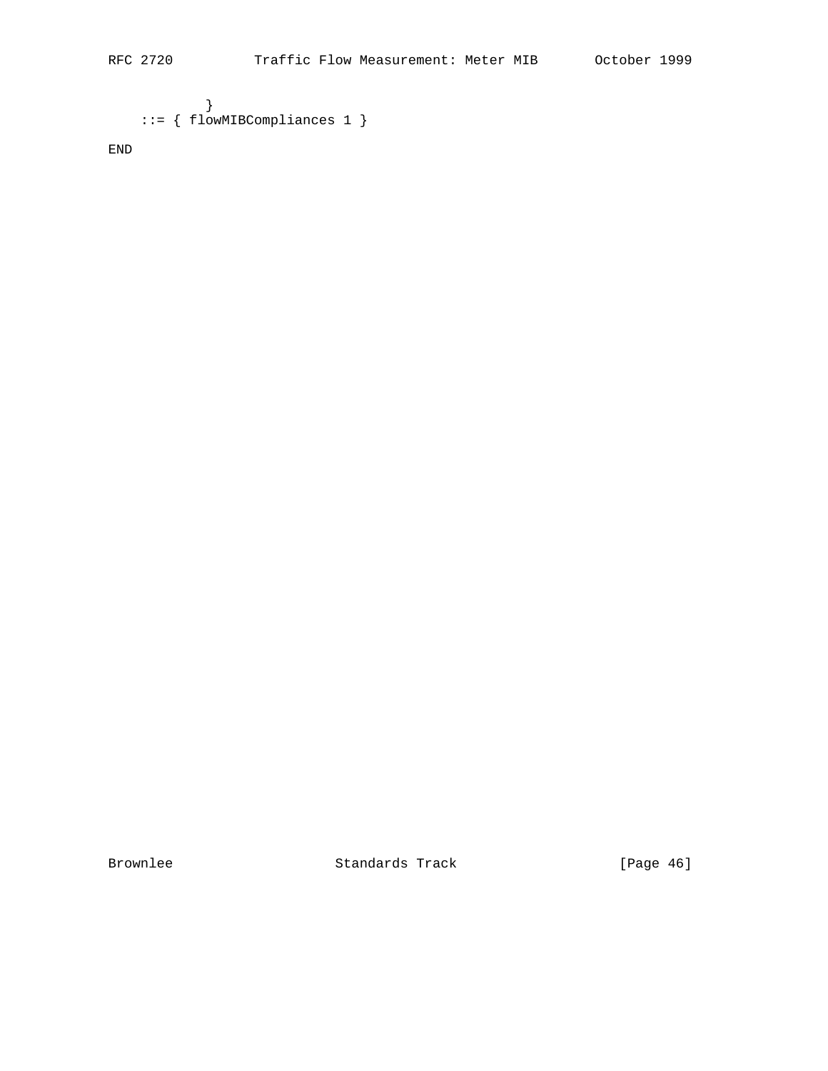```
 }
 ::= { flowMIBCompliances 1 }
```
END

Brownlee Standards Track [Page 46]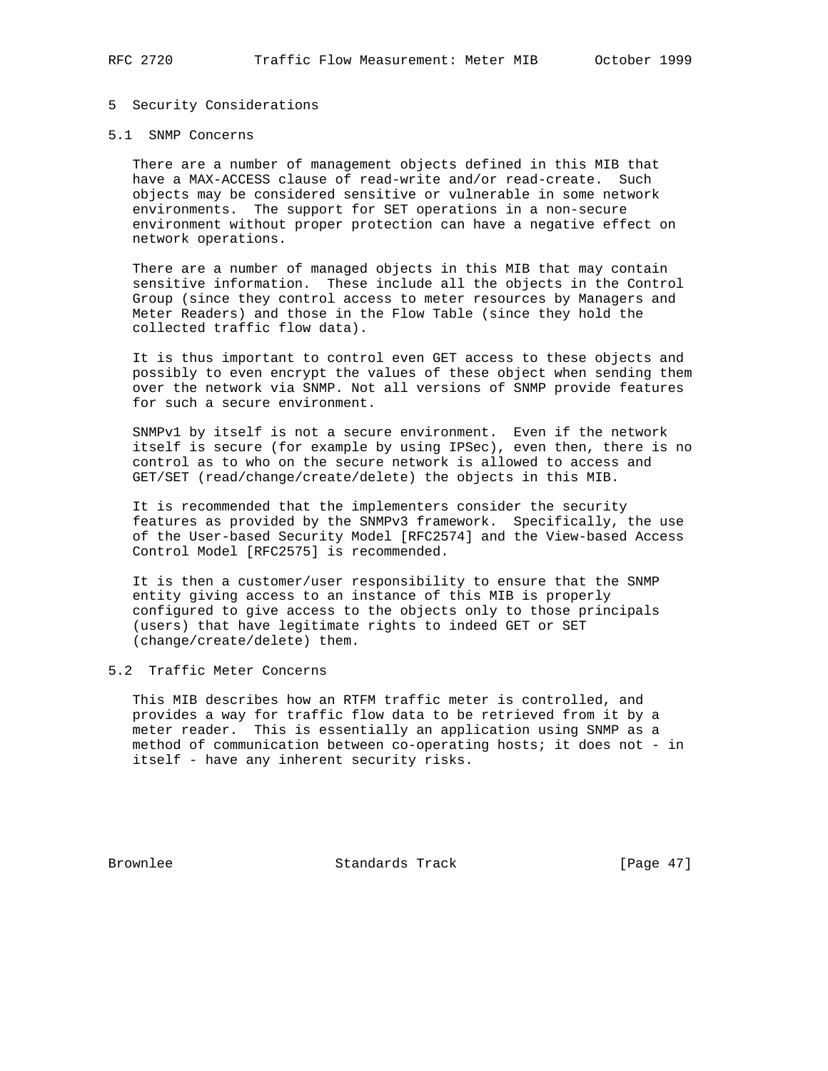### 5 Security Considerations

### 5.1 SNMP Concerns

 There are a number of management objects defined in this MIB that have a MAX-ACCESS clause of read-write and/or read-create. Such objects may be considered sensitive or vulnerable in some network environments. The support for SET operations in a non-secure environment without proper protection can have a negative effect on network operations.

 There are a number of managed objects in this MIB that may contain sensitive information. These include all the objects in the Control Group (since they control access to meter resources by Managers and Meter Readers) and those in the Flow Table (since they hold the collected traffic flow data).

 It is thus important to control even GET access to these objects and possibly to even encrypt the values of these object when sending them over the network via SNMP. Not all versions of SNMP provide features for such a secure environment.

 SNMPv1 by itself is not a secure environment. Even if the network itself is secure (for example by using IPSec), even then, there is no control as to who on the secure network is allowed to access and GET/SET (read/change/create/delete) the objects in this MIB.

 It is recommended that the implementers consider the security features as provided by the SNMPv3 framework. Specifically, the use of the User-based Security Model [RFC2574] and the View-based Access Control Model [RFC2575] is recommended.

 It is then a customer/user responsibility to ensure that the SNMP entity giving access to an instance of this MIB is properly configured to give access to the objects only to those principals (users) that have legitimate rights to indeed GET or SET (change/create/delete) them.

# 5.2 Traffic Meter Concerns

 This MIB describes how an RTFM traffic meter is controlled, and provides a way for traffic flow data to be retrieved from it by a meter reader. This is essentially an application using SNMP as a method of communication between co-operating hosts; it does not - in itself - have any inherent security risks.

Brownlee Standards Track [Page 47]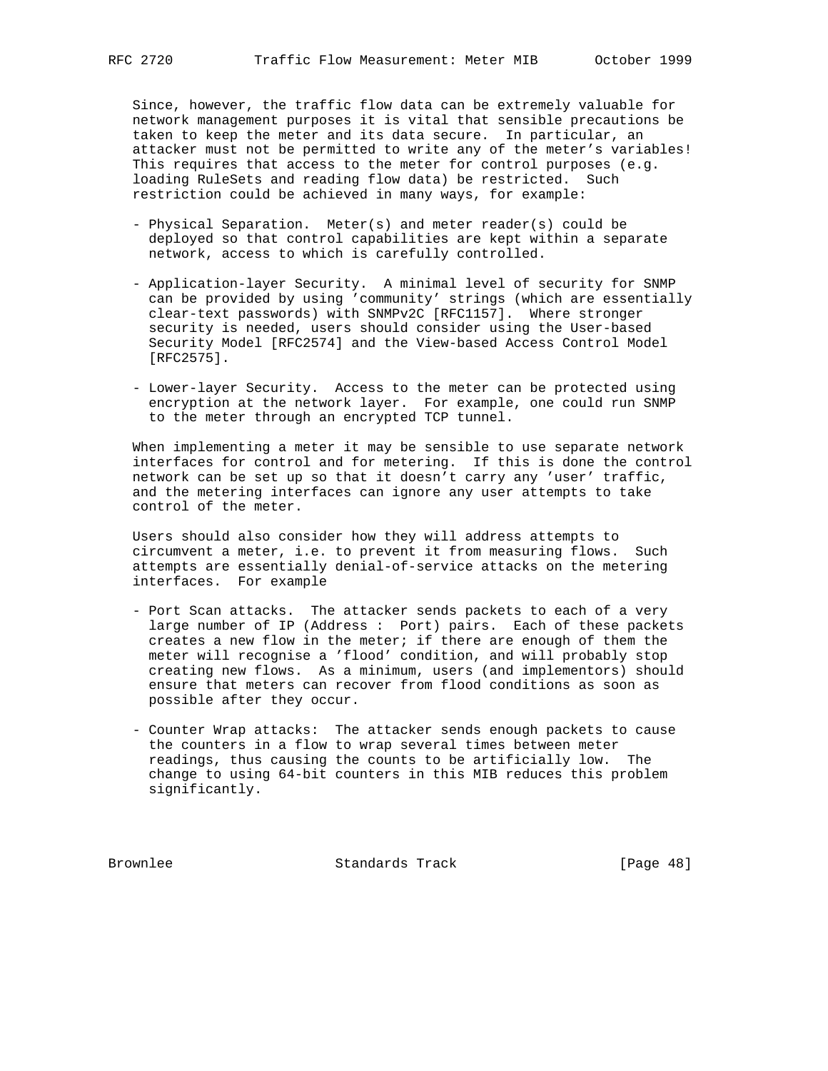Since, however, the traffic flow data can be extremely valuable for network management purposes it is vital that sensible precautions be taken to keep the meter and its data secure. In particular, an attacker must not be permitted to write any of the meter's variables! This requires that access to the meter for control purposes (e.g. loading RuleSets and reading flow data) be restricted. Such restriction could be achieved in many ways, for example:

- Physical Separation. Meter(s) and meter reader(s) could be deployed so that control capabilities are kept within a separate network, access to which is carefully controlled.
- Application-layer Security. A minimal level of security for SNMP can be provided by using 'community' strings (which are essentially clear-text passwords) with SNMPv2C [RFC1157]. Where stronger security is needed, users should consider using the User-based Security Model [RFC2574] and the View-based Access Control Model [RFC2575].
- Lower-layer Security. Access to the meter can be protected using encryption at the network layer. For example, one could run SNMP to the meter through an encrypted TCP tunnel.

 When implementing a meter it may be sensible to use separate network interfaces for control and for metering. If this is done the control network can be set up so that it doesn't carry any 'user' traffic, and the metering interfaces can ignore any user attempts to take control of the meter.

 Users should also consider how they will address attempts to circumvent a meter, i.e. to prevent it from measuring flows. Such attempts are essentially denial-of-service attacks on the metering interfaces. For example

- Port Scan attacks. The attacker sends packets to each of a very large number of IP (Address : Port) pairs. Each of these packets creates a new flow in the meter; if there are enough of them the meter will recognise a 'flood' condition, and will probably stop creating new flows. As a minimum, users (and implementors) should ensure that meters can recover from flood conditions as soon as possible after they occur.
- Counter Wrap attacks: The attacker sends enough packets to cause the counters in a flow to wrap several times between meter readings, thus causing the counts to be artificially low. The change to using 64-bit counters in this MIB reduces this problem significantly.

Brownlee Standards Track [Page 48]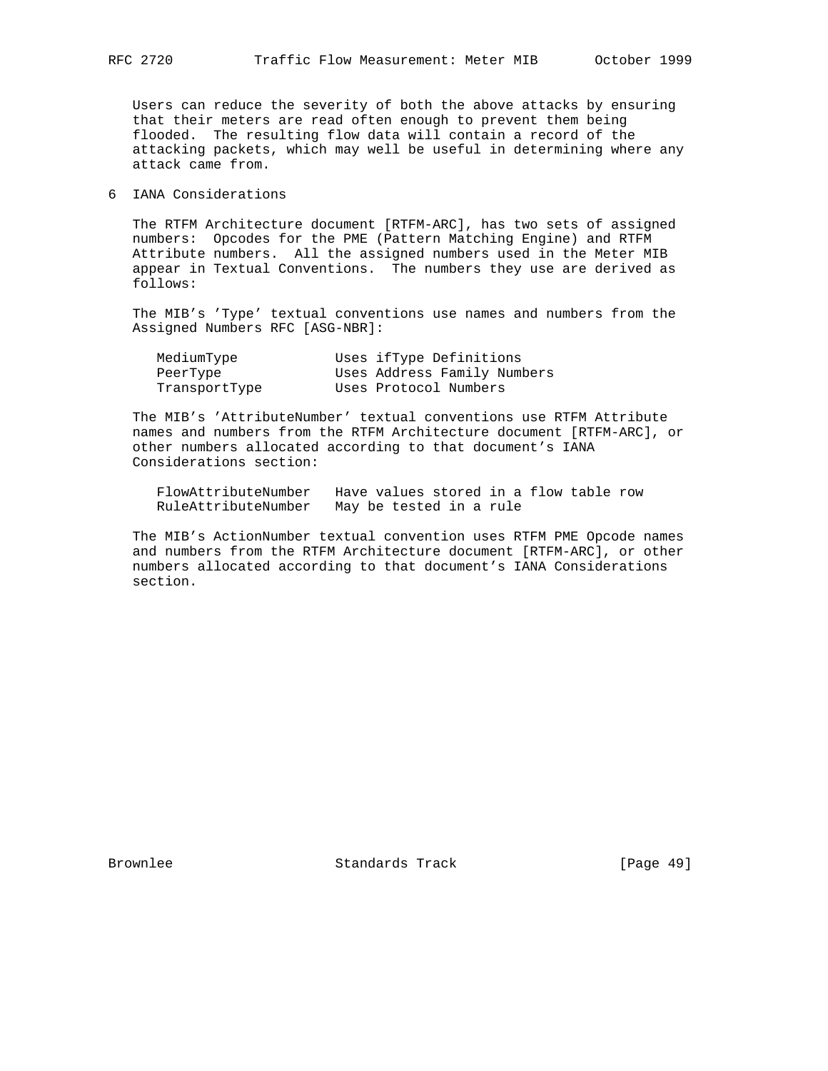Users can reduce the severity of both the above attacks by ensuring that their meters are read often enough to prevent them being flooded. The resulting flow data will contain a record of the attacking packets, which may well be useful in determining where any attack came from.

6 IANA Considerations

 The RTFM Architecture document [RTFM-ARC], has two sets of assigned numbers: Opcodes for the PME (Pattern Matching Engine) and RTFM Attribute numbers. All the assigned numbers used in the Meter MIB appear in Textual Conventions. The numbers they use are derived as follows:

 The MIB's 'Type' textual conventions use names and numbers from the Assigned Numbers RFC [ASG-NBR]:

| MediumType    | Uses ifType Definitions     |
|---------------|-----------------------------|
| PeerType      | Uses Address Family Numbers |
| TransportType | Uses Protocol Numbers       |

 The MIB's 'AttributeNumber' textual conventions use RTFM Attribute names and numbers from the RTFM Architecture document [RTFM-ARC], or other numbers allocated according to that document's IANA Considerations section:

| FlowAttributeNumber | Have values stored in a flow table row |
|---------------------|----------------------------------------|
| RuleAttributeNumber | May be tested in a rule                |

 The MIB's ActionNumber textual convention uses RTFM PME Opcode names and numbers from the RTFM Architecture document [RTFM-ARC], or other numbers allocated according to that document's IANA Considerations section.

Brownlee Standards Track [Page 49]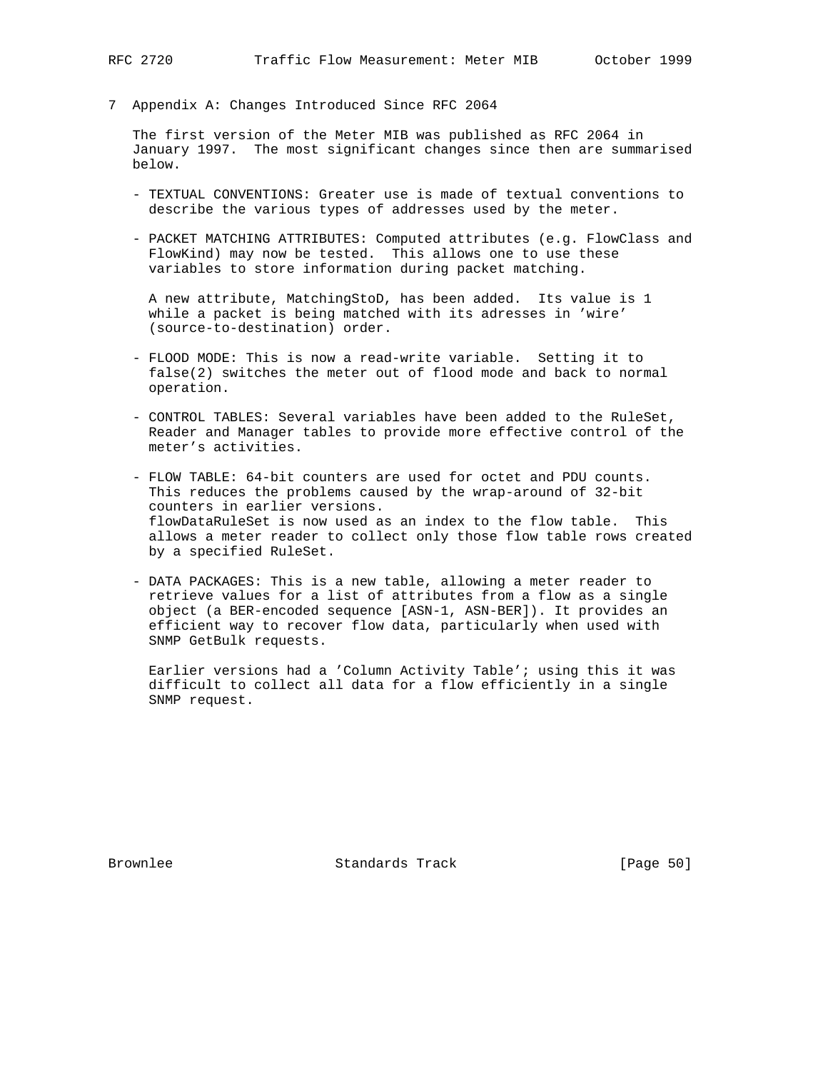7 Appendix A: Changes Introduced Since RFC 2064

 The first version of the Meter MIB was published as RFC 2064 in January 1997. The most significant changes since then are summarised below.

- TEXTUAL CONVENTIONS: Greater use is made of textual conventions to describe the various types of addresses used by the meter.
- PACKET MATCHING ATTRIBUTES: Computed attributes (e.g. FlowClass and FlowKind) may now be tested. This allows one to use these variables to store information during packet matching.

 A new attribute, MatchingStoD, has been added. Its value is 1 while a packet is being matched with its adresses in 'wire' (source-to-destination) order.

- FLOOD MODE: This is now a read-write variable. Setting it to false(2) switches the meter out of flood mode and back to normal operation.
- CONTROL TABLES: Several variables have been added to the RuleSet, Reader and Manager tables to provide more effective control of the meter's activities.
- FLOW TABLE: 64-bit counters are used for octet and PDU counts. This reduces the problems caused by the wrap-around of 32-bit counters in earlier versions. flowDataRuleSet is now used as an index to the flow table. This allows a meter reader to collect only those flow table rows created by a specified RuleSet.
- DATA PACKAGES: This is a new table, allowing a meter reader to retrieve values for a list of attributes from a flow as a single object (a BER-encoded sequence [ASN-1, ASN-BER]). It provides an efficient way to recover flow data, particularly when used with SNMP GetBulk requests.

 Earlier versions had a 'Column Activity Table'; using this it was difficult to collect all data for a flow efficiently in a single SNMP request.

Brownlee Standards Track [Page 50]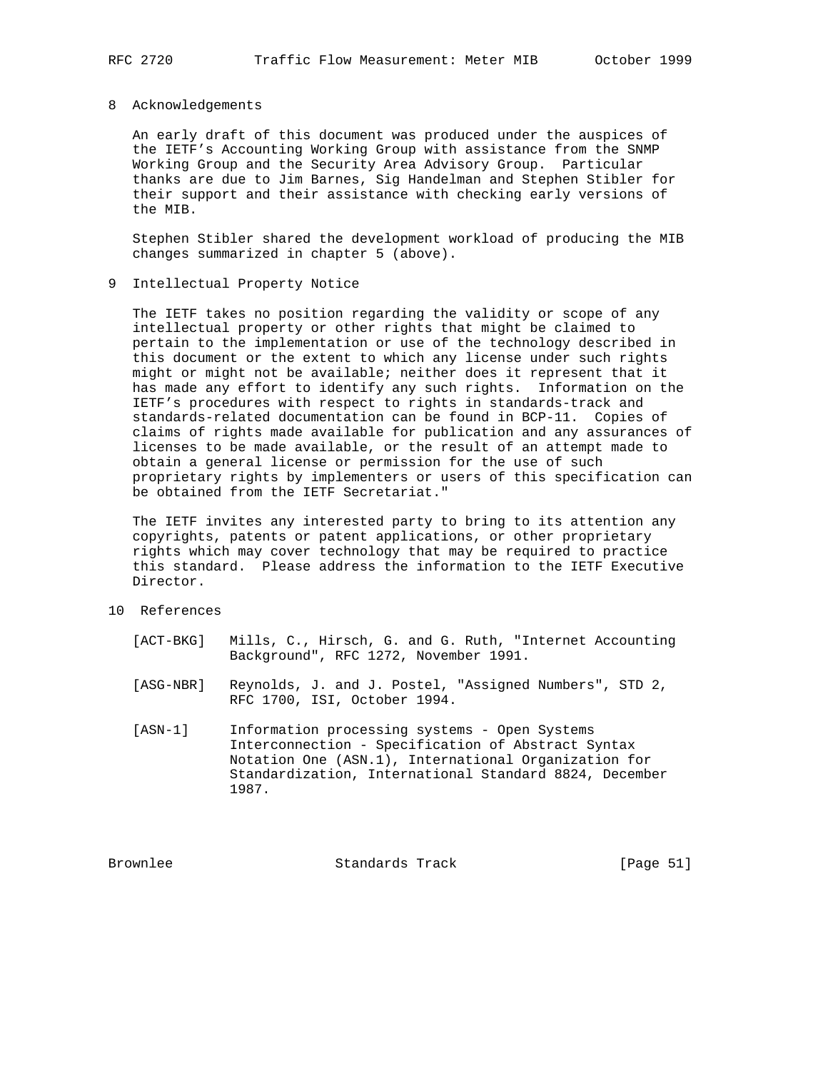#### 8 Acknowledgements

 An early draft of this document was produced under the auspices of the IETF's Accounting Working Group with assistance from the SNMP Working Group and the Security Area Advisory Group. Particular thanks are due to Jim Barnes, Sig Handelman and Stephen Stibler for their support and their assistance with checking early versions of the MIB.

 Stephen Stibler shared the development workload of producing the MIB changes summarized in chapter 5 (above).

### 9 Intellectual Property Notice

 The IETF takes no position regarding the validity or scope of any intellectual property or other rights that might be claimed to pertain to the implementation or use of the technology described in this document or the extent to which any license under such rights might or might not be available; neither does it represent that it has made any effort to identify any such rights. Information on the IETF's procedures with respect to rights in standards-track and standards-related documentation can be found in BCP-11. Copies of claims of rights made available for publication and any assurances of licenses to be made available, or the result of an attempt made to obtain a general license or permission for the use of such proprietary rights by implementers or users of this specification can be obtained from the IETF Secretariat."

 The IETF invites any interested party to bring to its attention any copyrights, patents or patent applications, or other proprietary rights which may cover technology that may be required to practice this standard. Please address the information to the IETF Executive Director.

## 10 References

- [ACT-BKG] Mills, C., Hirsch, G. and G. Ruth, "Internet Accounting Background", RFC 1272, November 1991.
- [ASG-NBR] Reynolds, J. and J. Postel, "Assigned Numbers", STD 2, RFC 1700, ISI, October 1994.
- [ASN-1] Information processing systems Open Systems Interconnection - Specification of Abstract Syntax Notation One (ASN.1), International Organization for Standardization, International Standard 8824, December 1987.

Brownlee Standards Track [Page 51]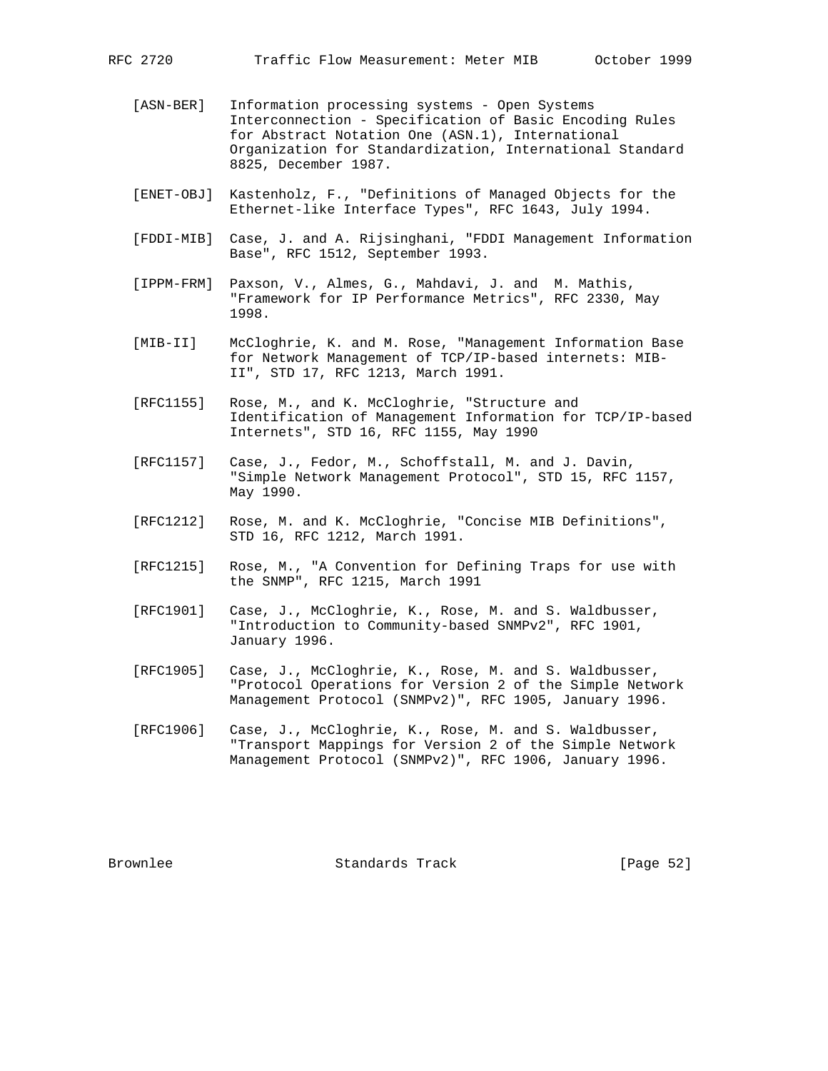- [ASN-BER] Information processing systems Open Systems Interconnection - Specification of Basic Encoding Rules for Abstract Notation One (ASN.1), International Organization for Standardization, International Standard 8825, December 1987.
- [ENET-OBJ] Kastenholz, F., "Definitions of Managed Objects for the Ethernet-like Interface Types", RFC 1643, July 1994.
- [FDDI-MIB] Case, J. and A. Rijsinghani, "FDDI Management Information Base", RFC 1512, September 1993.
- [IPPM-FRM] Paxson, V., Almes, G., Mahdavi, J. and M. Mathis, "Framework for IP Performance Metrics", RFC 2330, May 1998.
- [MIB-II] McCloghrie, K. and M. Rose, "Management Information Base for Network Management of TCP/IP-based internets: MIB- II", STD 17, RFC 1213, March 1991.
- [RFC1155] Rose, M., and K. McCloghrie, "Structure and Identification of Management Information for TCP/IP-based Internets", STD 16, RFC 1155, May 1990
- [RFC1157] Case, J., Fedor, M., Schoffstall, M. and J. Davin, "Simple Network Management Protocol", STD 15, RFC 1157, May 1990.
- [RFC1212] Rose, M. and K. McCloghrie, "Concise MIB Definitions", STD 16, RFC 1212, March 1991.
- [RFC1215] Rose, M., "A Convention for Defining Traps for use with the SNMP", RFC 1215, March 1991
- [RFC1901] Case, J., McCloghrie, K., Rose, M. and S. Waldbusser, "Introduction to Community-based SNMPv2", RFC 1901, January 1996.
- [RFC1905] Case, J., McCloghrie, K., Rose, M. and S. Waldbusser, "Protocol Operations for Version 2 of the Simple Network Management Protocol (SNMPv2)", RFC 1905, January 1996.
- [RFC1906] Case, J., McCloghrie, K., Rose, M. and S. Waldbusser, "Transport Mappings for Version 2 of the Simple Network Management Protocol (SNMPv2)", RFC 1906, January 1996.

Brownlee Standards Track [Page 52]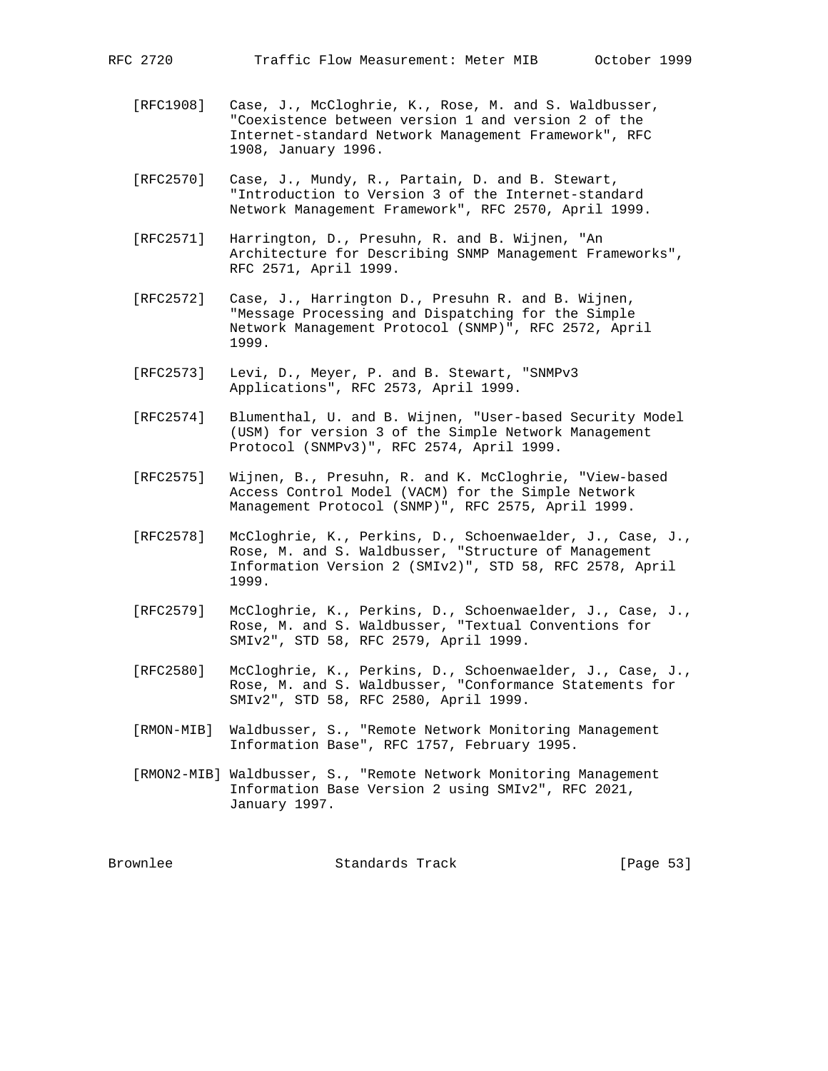- [RFC1908] Case, J., McCloghrie, K., Rose, M. and S. Waldbusser, "Coexistence between version 1 and version 2 of the Internet-standard Network Management Framework", RFC 1908, January 1996.
- [RFC2570] Case, J., Mundy, R., Partain, D. and B. Stewart, "Introduction to Version 3 of the Internet-standard Network Management Framework", RFC 2570, April 1999.
- [RFC2571] Harrington, D., Presuhn, R. and B. Wijnen, "An Architecture for Describing SNMP Management Frameworks", RFC 2571, April 1999.
- [RFC2572] Case, J., Harrington D., Presuhn R. and B. Wijnen, "Message Processing and Dispatching for the Simple Network Management Protocol (SNMP)", RFC 2572, April 1999.
- [RFC2573] Levi, D., Meyer, P. and B. Stewart, "SNMPv3 Applications", RFC 2573, April 1999.
- [RFC2574] Blumenthal, U. and B. Wijnen, "User-based Security Model (USM) for version 3 of the Simple Network Management Protocol (SNMPv3)", RFC 2574, April 1999.
- [RFC2575] Wijnen, B., Presuhn, R. and K. McCloghrie, "View-based Access Control Model (VACM) for the Simple Network Management Protocol (SNMP)", RFC 2575, April 1999.
- [RFC2578] McCloghrie, K., Perkins, D., Schoenwaelder, J., Case, J., Rose, M. and S. Waldbusser, "Structure of Management Information Version 2 (SMIv2)", STD 58, RFC 2578, April 1999.
- [RFC2579] McCloghrie, K., Perkins, D., Schoenwaelder, J., Case, J., Rose, M. and S. Waldbusser, "Textual Conventions for SMIv2", STD 58, RFC 2579, April 1999.
- [RFC2580] McCloghrie, K., Perkins, D., Schoenwaelder, J., Case, J., Rose, M. and S. Waldbusser, "Conformance Statements for SMIv2", STD 58, RFC 2580, April 1999.
- [RMON-MIB] Waldbusser, S., "Remote Network Monitoring Management Information Base", RFC 1757, February 1995.
- [RMON2-MIB] Waldbusser, S., "Remote Network Monitoring Management Information Base Version 2 using SMIv2", RFC 2021, January 1997.

Brownlee Standards Track [Page 53]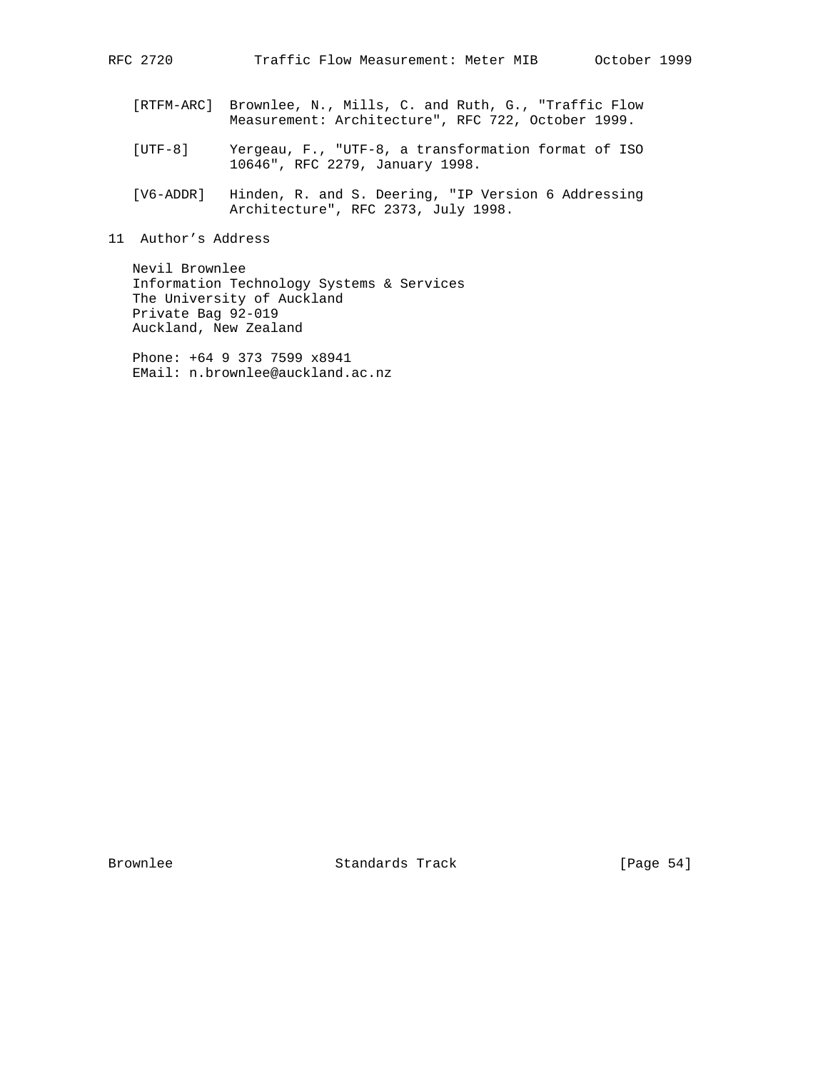- [RTFM-ARC] Brownlee, N., Mills, C. and Ruth, G., "Traffic Flow Measurement: Architecture", RFC 722, October 1999.
- [UTF-8] Yergeau, F., "UTF-8, a transformation format of ISO 10646", RFC 2279, January 1998.
- [V6-ADDR] Hinden, R. and S. Deering, "IP Version 6 Addressing Architecture", RFC 2373, July 1998.
- 11 Author's Address

 Nevil Brownlee Information Technology Systems & Services The University of Auckland Private Bag 92-019 Auckland, New Zealand

 Phone: +64 9 373 7599 x8941 EMail: n.brownlee@auckland.ac.nz

Brownlee Standards Track [Page 54]